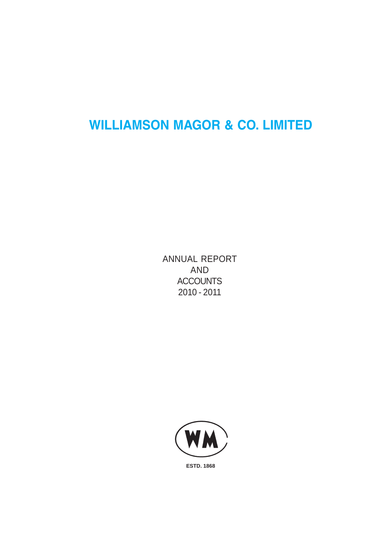# **WILLIAMSON MAGOR & CO. LIMITED**

ANNUAL REPORT AND **ACCOUNTS** 2010 - 2011

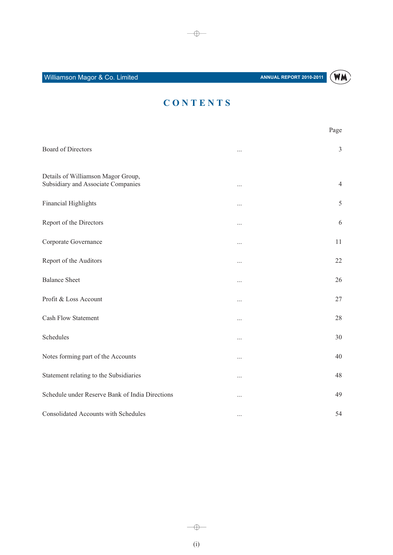

# CONTENTS

|                                                                          |          | Page           |
|--------------------------------------------------------------------------|----------|----------------|
| <b>Board of Directors</b>                                                | $\cdots$ | 3              |
| Details of Williamson Magor Group,<br>Subsidiary and Associate Companies |          | $\overline{4}$ |
| Financial Highlights                                                     |          | 5              |
| Report of the Directors                                                  |          | 6              |
| Corporate Governance                                                     |          | 11             |
| Report of the Auditors                                                   |          | 22             |
| <b>Balance Sheet</b>                                                     |          | 26             |
| Profit & Loss Account                                                    |          | 27             |
| <b>Cash Flow Statement</b>                                               | $\cdots$ | 28             |
| Schedules                                                                |          | 30             |
| Notes forming part of the Accounts                                       |          | 40             |
| Statement relating to the Subsidiaries                                   |          | 48             |
| Schedule under Reserve Bank of India Directions                          | $\cdots$ | 49             |
| Consolidated Accounts with Schedules                                     | $\cdots$ | 54             |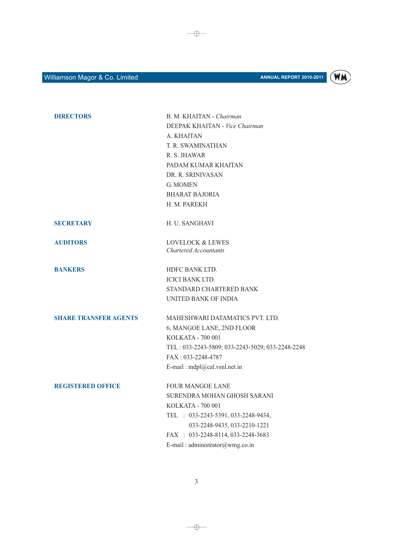

| <b>DIRECTORS</b>             | B. M. KHAITAN - Chairman                         |
|------------------------------|--------------------------------------------------|
|                              | DEEPAK KHAITAN - Vice Chairman                   |
|                              | A. KHAITAN                                       |
|                              | T. R. SWAMINATHAN                                |
|                              | R. S. JHAWAR                                     |
|                              | PADAM KUMAR KHAITAN                              |
|                              | DR. R. SRINIVASAN                                |
|                              | <b>G. MOMEN</b>                                  |
|                              | <b>BHARAT BAJORIA</b>                            |
|                              | H. M. PAREKH                                     |
| <b>SECRETARY</b>             | H. U. SANGHAVI                                   |
| <b>AUDITORS</b>              | <b>LOVELOCK &amp; LEWES</b>                      |
|                              | Chartered Accountants                            |
| <b>BANKERS</b>               | HDFC BANK LTD.                                   |
|                              | <b>ICICI BANK LTD.</b>                           |
|                              | STANDARD CHARTERED BANK                          |
|                              | UNITED BANK OF INDIA                             |
| <b>SHARE TRANSFER AGENTS</b> | MAHESHWARI DATAMATICS PVT. LTD.                  |
|                              | 6, MANGOE LANE, 2ND FLOOR                        |
|                              | KOLKATA - 700 001                                |
|                              | TEL: 033-2243-5809; 033-2243-5029; 033-2248-2248 |
|                              | FAX: 033-2248-4787                               |
|                              | E-mail: mdpl@cal.vsnl.net.in                     |
| <b>REGISTERED OFFICE</b>     | <b>FOUR MANGOE LANE</b>                          |
|                              | SURENDRA MOHAN GHOSH SARANI                      |
|                              | KOLKATA - 700 001                                |
|                              | TEL : 033-2243-5391, 033-2248-9434,              |
|                              | 033-2248-9435, 033-2210-1221                     |
|                              | FAX : 033-2248-8114, 033-2248-3683               |
|                              | E-mail: administrator@wmg.co.in                  |

 $\longrightarrow$ 

 $\longrightarrow$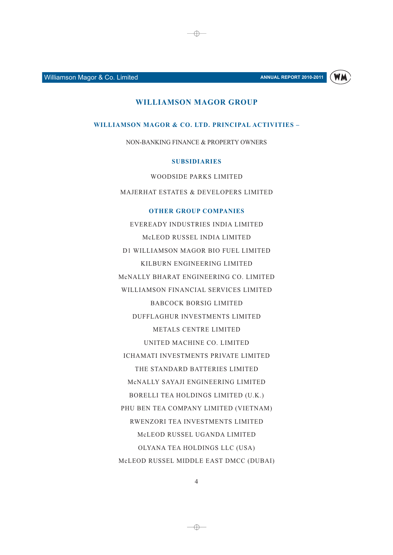**ANNUAL REPORT 2010-2011** 



#### **WILLIAMSON MAGOR GROUP**

⊕

WILLIAMSON MAGOR & CO. LTD. PRINCIPAL ACTIVITIES -

NON-BANKING FINANCE & PROPERTY OWNERS

#### **SUBSIDIARIES**

WOODSIDE PARKS LIMITED

**MAJERHAT ESTATES & DEVELOPERS LIMITED** 

#### **OTHER GROUP COMPANIES**

EVEREADY INDUSTRIES INDIA LIMITED McLEOD RUSSEL INDIA LIMITED D1 WILLIAMSON MAGOR BIO FUEL LIMITED KILBURN ENGINEERING LIMITED MCNALLY BHARAT ENGINEERING CO. LIMITED WILLIAMSON FINANCIAL SERVICES LIMITED **BABCOCK BORSIG LIMITED** DUFFLAGHUR INVESTMENTS LIMITED METALS CENTRE LIMITED UNITED MACHINE CO. LIMITED **ICHAMATI INVESTMENTS PRIVATE LIMITED** THE STANDARD BATTERIES LIMITED MCNALLY SAYAJI ENGINEERING LIMITED BORELLI TEA HOLDINGS LIMITED (U.K.) PHU BEN TEA COMPANY LIMITED (VIETNAM) RWENZORI TEA INVESTMENTS LIMITED McLEOD RUSSEL UGANDA LIMITED OLYANA TEA HOLDINGS LLC (USA) McLEOD RUSSEL MIDDLE EAST DMCC (DUBAI)

 $\overline{4}$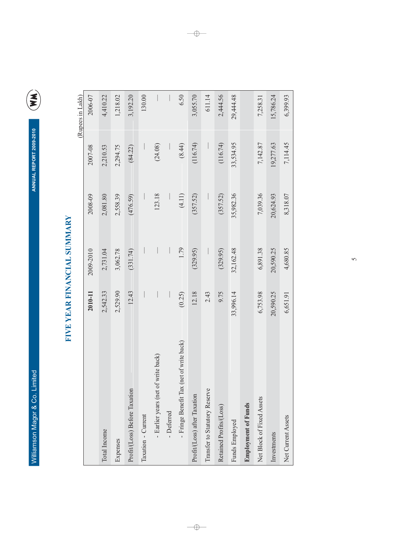ANNUAL REPORT 2009-2010



# FIVE YEAR FINANCIAL SUMMARY

|                                             |           |           |           |           | (Rupees in Lakh) |
|---------------------------------------------|-----------|-----------|-----------|-----------|------------------|
|                                             | 2010-11   | 2009-2010 | 2008-09   | 2007-08   | 2006-07          |
| Total Income                                | 2,542.33  | 2,731.04  | 2,081.80  | 2,210.53  | 4,410.22         |
| Expenses                                    | 2,529.90  | 3,062.78  | 2,558.39  | 2,294.75  | 1,218.02         |
| Profit/(Loss) Before Taxation               | 12.43     | (331.74)  | (476.59)  | (84.22)   | 3,192.20         |
| Taxation - Current                          |           |           |           |           | 130.00           |
| - Earlier years (net of write back)         |           |           | 123.18    | (24.08)   |                  |
| - Deferred                                  |           |           |           |           |                  |
| (net of write back)<br>- Fringe Benefit Tax | (0.25)    | 1.79      | (4.11)    | (8.44)    | 6.50             |
| Profit/(Loss) after Taxation                | 12.18     | (329.95)  | (357.52)  | (116.74)  | 3,055.70         |
| Transfer to Statutory Reserve               | 2.43      |           |           |           | 611.14           |
| Retained Profits/(Loss)                     | 9.75      | (329.95)  | (357.52)  | (116.74)  | 2,444.56         |
| Funds Employed                              | 33,996.14 | 32,162.48 | 35,982.36 | 33,534.95 | 29,444.48        |
| <b>Employment of Funds</b>                  |           |           |           |           |                  |
| Net Block of Fixed Assets                   | 6,753.98  | 6,891.38  | 7,039.36  | 7,142.87  | 7,258.31         |
| Investments                                 | 20,590.25 | 20,590.25 | 20,624.93 | 19,277.63 | 15,786.24        |
| Net Current Assets                          | 6,651.91  | 4,680.85  | 8,318.07  | 7,114.45  | 6,399.93         |

 $\longrightarrow$ 

 $-\oplus -$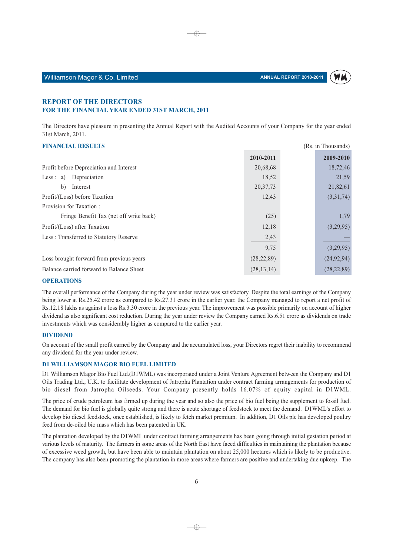

(Rs. in Thousands)

#### Williamson Magor & Co. Limited

#### **REPORT OF THE DIRECTORS** FOR THE FINANCIAL YEAR ENDED 31ST MARCH, 2011

The Directors have pleasure in presenting the Annual Report with the Audited Accounts of your Company for the year ended 31st March, 2011.

⊕

#### **FINANCIAL RESULTS**

|                                          | 2010-2011    | 2009-2010    |
|------------------------------------------|--------------|--------------|
| Profit before Depreciation and Interest  | 20,68,68     | 18,72,46     |
| Less : $a)$<br>Depreciation              | 18,52        | 21,59        |
| $\mathbf{b}$<br>Interest                 | 20, 37, 73   | 21,82,61     |
| Profit/(Loss) before Taxation            | 12,43        | (3,31,74)    |
| Provision for Taxation:                  |              |              |
| Fringe Benefit Tax (net off write back)  | (25)         | 1,79         |
| Profit/(Loss) after Taxation             | 12,18        | (3,29,95)    |
| Less: Transferred to Statutory Reserve   | 2,43         |              |
|                                          | 9,75         | (3,29,95)    |
| Loss brought forward from previous years | (28, 22, 89) | (24, 92, 94) |
| Balance carried forward to Balance Sheet | (28, 13, 14) | (28, 22, 89) |

#### **OPERATIONS**

The overall performance of the Company during the year under review was satisfactory. Despite the total earnings of the Company being lower at Rs.25.42 crore as compared to Rs.27.31 crore in the earlier year, the Company managed to report a net profit of Rs.12.18 lakhs as against a loss Rs.3.30 crore in the previous year. The improvement was possible primarily on account of higher dividend as also significant cost reduction. During the year under review the Company earned Rs.6.51 crore as dividends on trade investments which was considerably higher as compared to the earlier year.

#### **DIVIDEND**

On account of the small profit earned by the Company and the accumulated loss, your Directors regret their inability to recommend any dividend for the year under review.

#### **D1 WILLIAMSON MAGOR BIO FUEL LIMITED**

D1 Williamson Magor Bio Fuel Ltd.(D1WML) was incorporated under a Joint Venture Agreement between the Company and D1 Oils Trading Ltd., U.K. to facilitate development of Jatropha Plantation under contract farming arrangements for production of bio diesel from Jatropha Oilseeds. Your Company presently holds 16.07% of equity capital in D1WML.

The price of crude petroleum has firmed up during the year and so also the price of bio fuel being the supplement to fossil fuel. The demand for bio fuel is globally quite strong and there is acute shortage of feedstock to meet the demand. D1WML's effort to develop bio diesel feedstock, once established, is likely to fetch market premium. In addition, D1 Oils plc has developed poultry feed from de-oiled bio mass which has been patented in UK.

The plantation developed by the D1WML under contract farming arrangements has been going through initial gestation period at various levels of maturity. The farmers in some areas of the North East have faced difficulties in maintaining the plantation because of excessive weed growth, but have been able to maintain plantation on about  $25,000$  hectares which is likely to be productive. The company has also been promoting the plantation in more areas where farmers are positive and undertaking due upkeep. The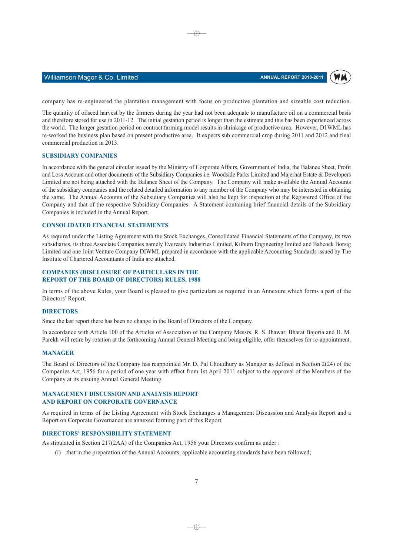

#### Williamson Magor & Co. Limited

company has re-engineered the plantation management with focus on productive plantation and sizeable cost reduction.

⊕

The quantity of oilseed harvest by the farmers during the year had not been adequate to manufacture oil on a commercial basis and therefore stored for use in 2011-12. The initial gestation period is longer than the estimate and this has been experienced across the world. The longer gestation period on contract farming model results in shrinkage of productive area. However, D1WML has re-worked the business plan based on present productive area. It expects sub commercial crop during 2011 and 2012 and final commercial production in 2013.

#### **SUBSIDIARY COMPANIES**

In accordance with the general circular issued by the Ministry of Corporate Affairs, Government of India, the Balance Sheet, Profit and Loss Account and other documents of the Subsidiary Companies i.e. Woodside Parks Limited and Majerhat Estate & Developers Limited are not being attached with the Balance Sheet of the Company. The Company will make available the Annual Accounts of the subsidiary companies and the related detailed information to any member of the Company who may be interested in obtaining the same. The Annual Accounts of the Subsidiary Companies will also be kept for inspection at the Registered Office of the Company and that of the respective Subsidiary Companies. A Statement containing brief financial details of the Subsidiary Companies is included in the Annual Report.

#### **CONSOLIDATED FINANCIAL STATEMENTS**

As required under the Listing Agreement with the Stock Exchanges, Consolidated Financial Statements of the Company, its two subsidiaries, its three Associate Companies namely Eveready Industries Limited, Kilburn Engineering limited and Babcock Borsig Limited and one Joint Venture Company DIWML prepared in accordance with the applicable Accounting Standards issued by The Institute of Chartered Accountants of India are attached.

#### **COMPANIES (DISCLOSURE OF PARTICULARS IN THE REPORT OF THE BOARD OF DIRECTORS) RULES, 1988**

In terms of the above Rules, your Board is pleased to give particulars as required in an Annexure which forms a part of the Directors' Report.

#### **DIRECTORS**

Since the last report there has been no change in the Board of Directors of the Company.

In accordance with Article 100 of the Articles of Association of the Company Messrs. R. S. Jhawar, Bharat Bajoria and H. M. Parekh will retire by rotation at the forthcoming Annual General Meeting and being eligible, offer themselves for re-appointment.

#### **MANAGER**

The Board of Directors of the Company has reappointed Mr. D. Pal Choudhury as Manager as defined in Section 2(24) of the Companies Act, 1956 for a period of one year with effect from 1st April 2011 subject to the approval of the Members of the Company at its ensuing Annual General Meeting.

#### **MANAGEMENT DISCUSSION AND ANALYSIS REPORT** AND REPORT ON CORPORATE GOVERNANCE

As required in terms of the Listing Agreement with Stock Exchanges a Management Discussion and Analysis Report and a Report on Corporate Governance are annexed forming part of this Report.

#### **DIRECTORS' RESPONSIBILITY STATEMENT**

As stipulated in Section 217(2AA) of the Companies Act, 1956 your Directors confirm as under :

(i) that in the preparation of the Annual Accounts, applicable accounting standards have been followed;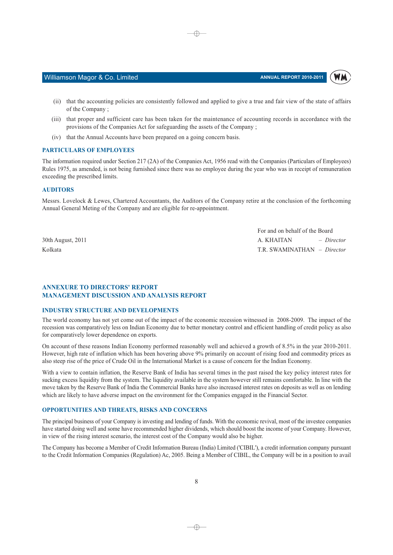**WM** 

(ii) that the accounting policies are consistently followed and applied to give a true and fair view of the state of affairs of the Company;

⊕

- (iii) that proper and sufficient care has been taken for the maintenance of accounting records in accordance with the provisions of the Companies Act for safeguarding the assets of the Company;
- (iv) that the Annual Accounts have been prepared on a going concern basis.

#### **PARTICULARS OF EMPLOYEES**

Williamson Magor & Co. Limited

The information required under Section 217 (2A) of the Companies Act, 1956 read with the Companies (Particulars of Employees) Rules 1975, as amended, is not being furnished since there was no employee during the year who was in receipt of remuneration exceeding the prescribed limits.

#### **AUDITORS**

Messrs. Lovelock & Lewes, Chartered Accountants, the Auditors of the Company retire at the conclusion of the forthcoming Annual General Meting of the Company and are eligible for re-appointment.

30th August, 2011 Kolkata

For and on behalf of the Board  $-Director$ A. KHAITAN T.R. SWAMINATHAN - Director

#### **ANNEXURE TO DIRECTORS' REPORT MANAGEMENT DISCUSSION AND ANALYSIS REPORT**

#### **INDUSTRY STRUCTURE AND DEVELOPMENTS**

The world economy has not yet come out of the impact of the economic recession witnessed in 2008-2009. The impact of the recession was comparatively less on Indian Economy due to better monetary control and efficient handling of credit policy as also for comparatively lower dependence on exports.

On account of these reasons Indian Economy performed reasonably well and achieved a growth of 8.5% in the year 2010-2011. However, high rate of inflation which has been hovering above 9% primarily on account of rising food and commodity prices as also steep rise of the price of Crude Oil in the International Market is a cause of concern for the Indian Economy.

With a view to contain inflation, the Reserve Bank of India has several times in the past raised the key policy interest rates for sucking excess liquidity from the system. The liquidity available in the system however still remains comfortable. In line with the move taken by the Reserve Bank of India the Commercial Banks have also increased interest rates on deposits as well as on lending which are likely to have adverse impact on the environment for the Companies engaged in the Financial Sector.

#### **OPPORTUNITIES AND THREATS, RISKS AND CONCERNS**

The principal business of your Company is investing and lending of funds. With the economic revival, most of the investee companies have started doing well and some have recommended higher dividends, which should boost the income of your Company. However, in view of the rising interest scenario, the interest cost of the Company would also be higher.

The Company has become a Member of Credit Information Bureau (India) Limited ('CIBIL'), a credit information company pursuant to the Credit Information Companies (Regulation) Ac, 2005. Being a Member of CIBIL, the Company will be in a position to avail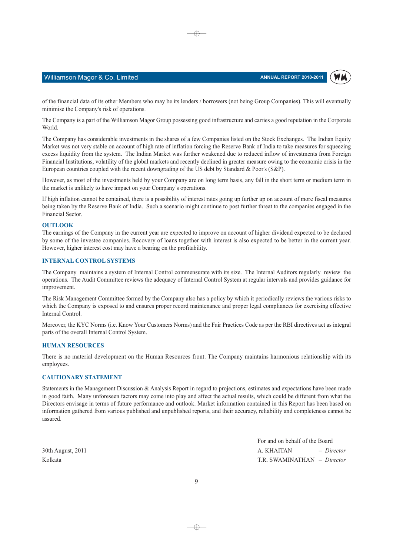

#### Williamson Magor & Co. Limited

of the financial data of its other Members who may be its lenders / borrowers (not being Group Companies). This will eventually minimise the Company's risk of operations.

⊕

The Company is a part of the Williamson Magor Group possessing good infrastructure and carries a good reputation in the Corporate World.

The Company has considerable investments in the shares of a few Companies listed on the Stock Exchanges. The Indian Equity Market was not very stable on account of high rate of inflation forcing the Reserve Bank of India to take measures for squeezing excess liquidity from the system. The Indian Market was further weakened due to reduced inflow of investments from Foreign Financial Institutions, volatility of the global markets and recently declined in greater measure owing to the economic crisis in the European countries coupled with the recent downgrading of the US debt by Standard & Poor's (S&P).

However, as most of the investments held by your Company are on long term basis, any fall in the short term or medium term in the market is unlikely to have impact on your Company's operations.

If high inflation cannot be contained, there is a possibility of interest rates going up further up on account of more fiscal measures being taken by the Reserve Bank of India. Such a scenario might continue to post further threat to the companies engaged in the Financial Sector.

#### **OUTLOOK**

The earnings of the Company in the current year are expected to improve on account of higher dividend expected to be declared by some of the investee companies. Recovery of loans together with interest is also expected to be better in the current year. However, higher interest cost may have a bearing on the profitability.

#### **INTERNAL CONTROL SYSTEMS**

The Company maintains a system of Internal Control commensurate with its size. The Internal Auditors regularly review the operations. The Audit Committee reviews the adequacy of Internal Control System at regular intervals and provides guidance for improvement.

The Risk Management Committee formed by the Company also has a policy by which it periodically reviews the various risks to which the Company is exposed to and ensures proper record maintenance and proper legal compliances for exercising effective Internal Control.

Moreover, the KYC Norms (i.e. Know Your Customers Norms) and the Fair Practices Code as per the RBI directives act as integral parts of the overall Internal Control System.

#### **HUMAN RESOURCES**

There is no material development on the Human Resources front. The Company maintains harmonious relationship with its employees.

#### **CAUTIONARY STATEMENT**

Statements in the Management Discussion & Analysis Report in regard to projections, estimates and expectations have been made in good faith. Many unforeseen factors may come into play and affect the actual results, which could be different from what the Directors envisage in terms of future performance and outlook. Market information contained in this Report has been based on information gathered from various published and unpublished reports, and their accuracy, reliability and completeness cannot be assured.

30th August, 2011 Kolkata

For and on behalf of the Board A. KHAITAN  $-$  Director T.R. SWAMINATHAN - Director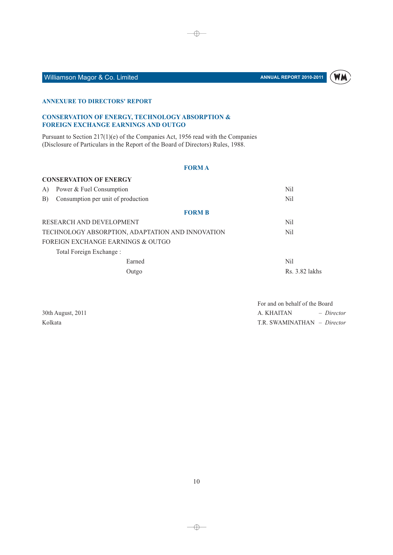

# Williamson Magor & Co. Limited

#### **ANNEXURE TO DIRECTORS' REPORT**

#### **CONSERVATION OF ENERGY, TECHNOLOGY ABSORPTION &** FOREIGN EXCHANGE EARNINGS AND OUTGO

Pursuant to Section 217(1)(e) of the Companies Act, 1956 read with the Companies (Disclosure of Particulars in the Report of the Board of Directors) Rules, 1988.

#### **FORMA**

 $\bigoplus$ 

|    | <b>CONSERVATION OF ENERGY</b>                    |                  |
|----|--------------------------------------------------|------------------|
| A) | Power & Fuel Consumption                         | Nil              |
| B) | Consumption per unit of production               | N <sub>il</sub>  |
|    | <b>FORM B</b>                                    |                  |
|    | RESEARCH AND DEVELOPMENT                         | Nil              |
|    | TECHNOLOGY ABSORPTION, ADAPTATION AND INNOVATION | N <sub>il</sub>  |
|    | FOREIGN EXCHANGE EARNINGS & OUTGO                |                  |
|    | Total Foreign Exchange :                         |                  |
|    | Earned                                           | Nil              |
|    | Outgo                                            | $Rs. 3.82$ lakhs |

30th August, 2011 Kolkata

For and on behalf of the Board A. KHAITAN - Director T.R. SWAMINATHAN - Director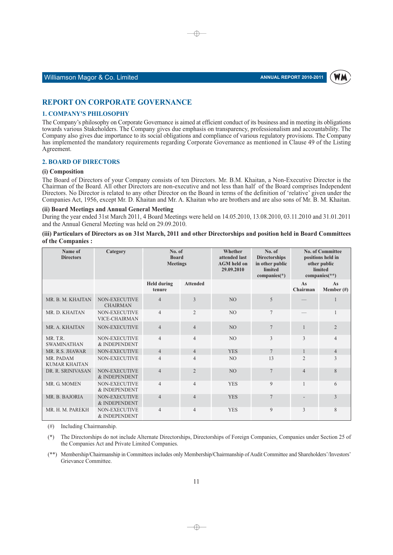

#### Williamson Magor & Co. Limited

#### **REPORT ON CORPORATE GOVERNANCE**

#### **1. COMPANY'S PHILOSOPHY**

The Company's philosophy on Corporate Governance is aimed at efficient conduct of its business and in meeting its obligations towards various Stakeholders. The Company gives due emphasis on transparency, professionalism and accountability. The Company also gives due importance to its social obligations and compliance of various regulatory provisions. The Company has implemented the mandatory requirements regarding Corporate Governance as mentioned in Clause 49 of the Listing Agreement.

⊕

#### **2. BOARD OF DIRECTORS**

#### (i) Composition

The Board of Directors of your Company consists of ten Directors, Mr. B.M. Khaitan, a Non-Executive Director is the Chairman of the Board. All other Directors are non-executive and not less than half of the Board comprises Independent Directors. No Director is related to any other Director on the Board in terms of the definition of 'relative' given under the Companies Act. 1956, except Mr. D. Khaitan and Mr. A. Khaitan who are brothers and are also sons of Mr. B. M. Khaitan.

#### (ii) Board Meetings and Annual General Meeting

During the year ended 31st March 2011, 4 Board Meetings were held on 14.05.2010, 13.08.2010, 03.11.2010 and 31.01.2011 and the Annual General Meeting was held on 29.09.2010.

(iii) Particulars of Directors as on 31st March, 2011 and other Directorships and position held in Board Committees of the Companies:

| Name of<br><b>Directors</b>       | Category                              | No. of<br><b>Board</b><br><b>Meetings</b> |                 | Whether<br>attended last<br><b>AGM</b> held on<br>29.09.2010 | No. of<br><b>Directorships</b><br>in other public<br>limited<br>companies $(*)$ |                | <b>No. of Committee</b><br>positions held in<br>other public<br>limited<br>companies $(**)$ |
|-----------------------------------|---------------------------------------|-------------------------------------------|-----------------|--------------------------------------------------------------|---------------------------------------------------------------------------------|----------------|---------------------------------------------------------------------------------------------|
|                                   |                                       | <b>Held during</b><br>tenure              | <b>Attended</b> |                                                              |                                                                                 | As<br>Chairman | As<br>Member $(\#)$                                                                         |
| MR. B. M. KHAITAN                 | NON-EXECUTIVE<br><b>CHAIRMAN</b>      | $\overline{4}$                            | $\mathcal{E}$   | N <sub>O</sub>                                               | 5                                                                               |                |                                                                                             |
| MR. D. KHAITAN                    | <b>NON-EXECUTIVE</b><br>VICE-CHAIRMAN | $\overline{4}$                            | $\overline{2}$  | N <sub>O</sub>                                               | $\overline{7}$                                                                  |                |                                                                                             |
| MR. A. KHAITAN                    | NON-EXECUTIVE                         | $\overline{4}$                            | $\overline{4}$  | N <sub>O</sub>                                               | $\overline{7}$                                                                  |                | $\overline{2}$                                                                              |
| MR.T.R.<br><b>SWAMINATHAN</b>     | NON-EXECUTIVE<br>& INDEPENDENT        | $\overline{4}$                            | $\overline{4}$  | N <sub>O</sub>                                               | 3                                                                               | 3              | $\overline{4}$                                                                              |
| MR. R.S. JHAWAR                   | NON-EXECUTIVE                         | $\overline{4}$                            | $\overline{4}$  | <b>YES</b>                                                   | $\overline{7}$                                                                  | $\mathbf{1}$   | $\overline{4}$                                                                              |
| MR. PADAM<br><b>KUMAR KHAITAN</b> | NON-EXECUTIVE                         | $\overline{4}$                            | $\overline{4}$  | NO                                                           | 13                                                                              | $\overline{c}$ | 3                                                                                           |
| DR. R. SRINIVASAN                 | NON-EXECUTIVE<br>& INDEPENDENT        | $\overline{4}$                            | $\overline{2}$  | N <sub>O</sub>                                               | $\overline{7}$                                                                  | $\overline{4}$ | 8                                                                                           |
| MR. G. MOMEN                      | NON-EXECUTIVE<br>& INDEPENDENT        | $\overline{4}$                            | $\overline{4}$  | <b>YES</b>                                                   | 9                                                                               | 1              | 6                                                                                           |
| MR. B. BAJORIA                    | <b>NON-EXECUTIVE</b><br>& INDEPENDENT | $\overline{4}$                            | $\overline{4}$  | <b>YES</b>                                                   | $\overline{7}$                                                                  |                | 3                                                                                           |
| MR. H. M. PAREKH                  | <b>NON-EXECUTIVE</b><br>& INDEPENDENT | $\overline{4}$                            | $\overline{4}$  | <b>YES</b>                                                   | $\mathbf Q$                                                                     | $\mathcal{E}$  | 8                                                                                           |

 $(\#)$  Including Chairmanship.

(\*\*) Membership/Chairmanship in Committees includes only Membership/Chairmanship of Audit Committee and Shareholders'/Investors' Grievance Committee.

 $(*)$ The Directorships do not include Alternate Directorships, Directorships of Foreign Companies, Companies under Section 25 of the Companies Act and Private Limited Companies.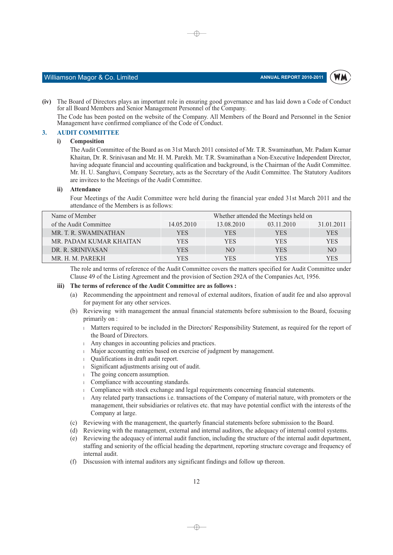WM



(iv) The Board of Directors plays an important role in ensuring good governance and has laid down a Code of Conduct for all Board Members and Senior Management Personnel of the Company.

⊕

The Code has been posted on the website of the Company. All Members of the Board and Personnel in the Senior Management have confirmed compliance of the Code of Conduct.

#### $\mathbf{3}$ **AUDIT COMMITTEE**

#### Composition  $\ddot{\mathbf{i}}$

The Audit Committee of the Board as on 31st March 2011 consisted of Mr. T.R. Swaminathan, Mr. Padam Kumar Khaitan, Dr. R. Sriniyasan and Mr. H. M. Parekh, Mr. T.R. Swaminathan a Non-Executive Independent Director. having adequate financial and accounting qualification and background, is the Chairman of the Audit Committee. Mr. H. U. Sanghavi, Company Secretary, acts as the Secretary of the Audit Committee. The Statutory Auditors are invitees to the Meetings of the Audit Committee.

#### ii) Attendance

Four Meetings of the Audit Committee were held during the financial year ended 31st March 2011 and the attendance of the Members is as follows:

| Name of Member          | Whether attended the Meetings held on |            |            |                |  |
|-------------------------|---------------------------------------|------------|------------|----------------|--|
| of the Audit Committee  | 14.05.2010                            | 13.08.2010 | 03.11.2010 | 31.01.2011     |  |
| MR. T. R. SWAMINATHAN   | YES                                   | YES        | YES.       | <b>YES</b>     |  |
| MR. PADAM KUMAR KHAITAN | <b>YES</b>                            | YES        | <b>YES</b> | <b>YES</b>     |  |
| DR. R. SRINIVASAN       | <b>YES</b>                            | NO.        | <b>YES</b> | N <sub>O</sub> |  |
| MR. H. M. PAREKH        | YES                                   | YES        | YES        | YES            |  |

The role and terms of reference of the Audit Committee covers the matters specified for Audit Committee under Clause 49 of the Listing Agreement and the provision of Section 292A of the Companies Act, 1956.

#### iii) The terms of reference of the Audit Committee are as follows :

- (a) Recommending the appointment and removal of external auditors, fixation of audit fee and also approval for payment for any other services.
- (b) Reviewing with management the annual financial statements before submission to the Board, focusing primarily on :
	- I Matters required to be included in the Directors' Responsibility Statement, as required for the report of the Board of Directors.
	- $\perp$  Any changes in accounting policies and practices.
	- Major accounting entries based on exercise of judgment by management.
	- Qualifications in draft audit report.  $\mathbf{1}$
	- 1 Significant adjustments arising out of audit.
	- <sup>1</sup> The going concern assumption.
	- 1 Compliance with accounting standards.
	- Compliance with stock exchange and legal requirements concerning financial statements.  $\mathbf{1}$
	- Any related party transactions *i.e.* transactions of the Company of material nature, with promoters or the management, their subsidiaries or relatives etc. that may have potential conflict with the interests of the Company at large.
- (c) Reviewing with the management, the quarterly financial statements before submission to the Board.
- (d) Reviewing with the management, external and internal auditors, the adequacy of internal control systems.
- (e) Reviewing the adequacy of internal audit function, including the structure of the internal audit department. staffing and seniority of the official heading the department, reporting structure coverage and frequency of internal audit.
- (f) Discussion with internal auditors any significant findings and follow up thereon.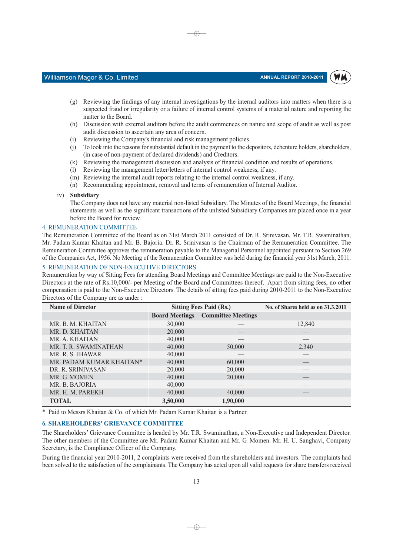

#### Williamson Magor & Co. Limited

(g) Reviewing the findings of any internal investigations by the internal auditors into matters when there is a suspected fraud or irregularity or a failure of internal control systems of a material nature and reporting the matter to the Board.

⊕

- (h) Discussion with external auditors before the audit commences on nature and scope of audit as well as post audit discussion to ascertain any area of concern.
- $(i)$ Reviewing the Company's financial and risk management policies.
- $(i)$ To look into the reasons for substantial default in the payment to the depositors, debenture holders, shareholders, (in case of non-payment of declared dividends) and Creditors.
- $(k)$ Reviewing the management discussion and analysis of financial condition and results of operations.
- $(1)$ Reviewing the management letter/letters of internal control weakness, if any.
- (m) Reviewing the internal audit reports relating to the internal control weakness, if any,
- (n) Recommending appointment, removal and terms of remuneration of Internal Auditor.
- iv) Subsidiary

The Company does not have any material non-listed Subsidiary. The Minutes of the Board Meetings, the financial statements as well as the significant transactions of the unlisted Subsidiary Companies are placed once in a year before the Board for review.

#### **4. REMUNERATION COMMITTEE**

The Remuneration Committee of the Board as on 31st March 2011 consisted of Dr. R. Srinivasan, Mr. T.R. Swaminathan, Mr. Padam Kumar Khaitan and Mr. B. Bajoria. Dr. R. Srinivasan is the Chairman of the Remuneration Committee. The Remuneration Committee approves the remuneration payable to the Managerial Personnel appointed pursuant to Section 269 of the Companies Act, 1956. No Meeting of the Remuneration Committee was held during the financial year 31st March, 2011.

#### 5. REMUNERATION OF NON-EXECUTIVE DIRECTORS

Remuneration by way of Sitting Fees for attending Board Meetings and Committee Meetings are paid to the Non-Executive Directors at the rate of Rs.10,000/- per Meeting of the Board and Committees thereof. Apart from sitting fees, no other compensation is paid to the Non-Executive Directors. The details of sitting fees paid during 2010-2011 to the Non-Executive Directors of the Company are as under:

| <b>Name of Director</b>  |          | <b>Sitting Fees Paid (Rs.)</b>           | No. of Shares held as on 31.3.2011 |
|--------------------------|----------|------------------------------------------|------------------------------------|
|                          |          | <b>Board Meetings Committee Meetings</b> |                                    |
| MR. B. M. KHAITAN        | 30,000   |                                          | 12,840                             |
| MR. D. KHAITAN           | 20,000   |                                          |                                    |
| MR. A. KHAITAN           | 40,000   |                                          |                                    |
| MR. T. R. SWAMINATHAN    | 40,000   | 50,000                                   | 2,340                              |
| MR. R. S. JHAWAR         | 40,000   |                                          |                                    |
| MR. PADAM KUMAR KHAITAN* | 40,000   | 60,000                                   |                                    |
| DR. R. SRINIVASAN        | 20,000   | 20,000                                   |                                    |
| MR. G. MOMEN             | 40,000   | 20,000                                   |                                    |
| MR. B. BAJORIA           | 40,000   |                                          |                                    |
| MR. H. M. PAREKH         | 40,000   | 40,000                                   |                                    |
| <b>TOTAL</b>             | 3,50,000 | 1,90,000                                 |                                    |

\* Paid to Messrs Khaitan & Co. of which Mr. Padam Kumar Khaitan is a Partner.

#### **6. SHAREHOLDERS' GRIEVANCE COMMITTEE**

The Shareholders' Grievance Committee is headed by Mr. T.R. Swaminathan, a Non-Executive and Independent Director. The other members of the Committee are Mr. Padam Kumar Khaitan and Mr. G. Momen. Mr. H. U. Sanghavi, Company Secretary, is the Compliance Officer of the Company.

During the financial year 2010-2011, 2 complaints were received from the shareholders and investors. The complaints had been solved to the satisfaction of the complainants. The Company has acted upon all valid requests for share transfers received

 $\neg$   $\neg$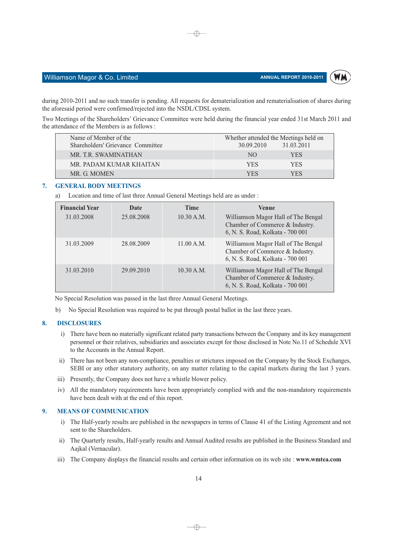

#### Williamson Magor & Co. Limited

during 2010-2011 and no such transfer is pending. All requests for dematerialization and rematerialisation of shares during the aforesaid period were confirmed/rejected into the NSDL/CDSL system.

⊕

Two Meetings of the Shareholders' Grievance Committee were held during the financial year ended 31st March 2011 and the attendance of the Members is as follows :

| Name of Member of the             | Whether attended the Meetings held on |
|-----------------------------------|---------------------------------------|
| Shareholders' Grievance Committee | 31.03.2011<br>30.09.2010              |
| MR. T.R. SWAMINATHAN              | <b>YES</b><br>NO.                     |
| MR. PADAM KUMAR KHAITAN           | YES.<br><b>YES</b>                    |
| MR. G. MOMEN                      | YFS<br>YFS                            |

#### 7. **GENERAL BODY MEETINGS**

Location and time of last three Annual General Meetings held are as under : a)

| <b>Financial Year</b> | Date       | <b>Time</b> | <b>Venue</b>                                                                                               |
|-----------------------|------------|-------------|------------------------------------------------------------------------------------------------------------|
| 31.03.2008            | 25.08.2008 | 10.30 A.M.  | Williamson Magor Hall of The Bengal<br>Chamber of Commerce & Industry.<br>6, N. S. Road, Kolkata - 700 001 |
| 31.03.2009            | 28.08.2009 | 11.00 A.M.  | Williamson Magor Hall of The Bengal<br>Chamber of Commerce & Industry.<br>6, N. S. Road, Kolkata - 700 001 |
| 31.03.2010            | 29.09.2010 | 10.30 A.M.  | Williamson Magor Hall of The Bengal<br>Chamber of Commerce & Industry.<br>6, N. S. Road, Kolkata - 700 001 |

No Special Resolution was passed in the last three Annual General Meetings.

No Special Resolution was required to be put through postal ballot in the last three years.  $h)$ 

#### 8. **DISCLOSURES**

- i) There have been no materially significant related party transactions between the Company and its key management personnel or their relatives, subsidiaries and associates except for those disclosed in Note No.11 of Schedule XVI to the Accounts in the Annual Report.
- ii) There has not been any non-compliance, penalties or strictures imposed on the Company by the Stock Exchanges, SEBI or any other statutory authority, on any matter relating to the capital markets during the last 3 years.
- iii) Presently, the Company does not have a whistle blower policy.
- iv) All the mandatory requirements have been appropriately complied with and the non-mandatory requirements have been dealt with at the end of this report.

#### 9. **MEANS OF COMMUNICATION**

- i) The Half-yearly results are published in the newspapers in terms of Clause 41 of the Listing Agreement and not sent to the Shareholders.
- ii) The Quarterly results, Half-yearly results and Annual Audited results are published in the Business Standard and Aajkal (Vernacular).
- iii) The Company displays the financial results and certain other information on its web site: www.wmtea.com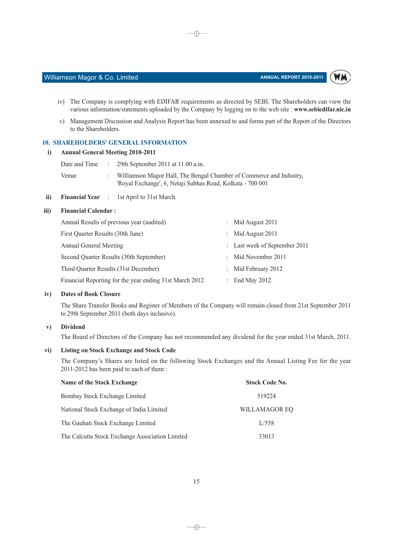

- iv) The Company is complying with EDIFAR requirements as directed by SEBI. The Shareholders can view the
- v) Management Discussion and Analysis Report has been annexed to and forms part of the Report of the Directors to the Shareholders.

various information/statements uploaded by the Company by logging on to the web site : www.sebiedifar.nic.in

 $\oplus$ 

#### **10. SHAREHOLDERS' GENERAL INFORMATION**

#### i) Annual General Meeting 2010-2011

Williamson Magor & Co. Limited

| Date and Time | 29th September 2011 at $11.00$ a.m.                                                                                               |
|---------------|-----------------------------------------------------------------------------------------------------------------------------------|
| Venue         | Williamson Magor Hall, The Bengal Chamber of Commerce and Industry,<br>'Royal Exchange', 6, Netaji Subhas Road, Kolkata - 700 001 |

ii) Financial Year : 1st April to 31st March.

#### iii) **Financial Calendar:**

| Annual Results of previous year (audited)               | Mid August 2011               |
|---------------------------------------------------------|-------------------------------|
| First Quarter Results (30th June)                       | Mid August 2011               |
| Annual General Meeting                                  | : Last week of September 2011 |
| Second Quarter Results (30th September)                 | : Mid November 2011           |
| Third Quarter Results (31st December)                   | : Mid February 2012           |
| Financial Reporting for the year ending 31st March 2012 | End May 2012                  |

#### $iv)$ **Dates of Book Closure**

The Share Transfer Books and Register of Members of the Company will remain closed from 21st September 2011 to 29th September 2011 (both days inclusive).

#### $\mathbf{v})$ **Dividend**

The Board of Directors of the Company has not recommended any dividend for the year ended 31st March, 2011.

#### $\mathbf{v}$ i) **Listing on Stock Exchange and Stock Code**

The Company's Shares are listed on the following Stock Exchanges and the Annual Listing Fee for the year 2011-2012 has been paid to each of them:

| Name of the Stock Exchange                      | <b>Stock Code No.</b> |
|-------------------------------------------------|-----------------------|
| Bombay Stock Exchange Limited                   | 519224                |
| National Stock Exchange of India Limited        | WILLAMAGOR EO         |
| The Gauhati Stock Exchange Limited              | L/558                 |
| The Calcutta Stock Exchange Association Limited | 33013                 |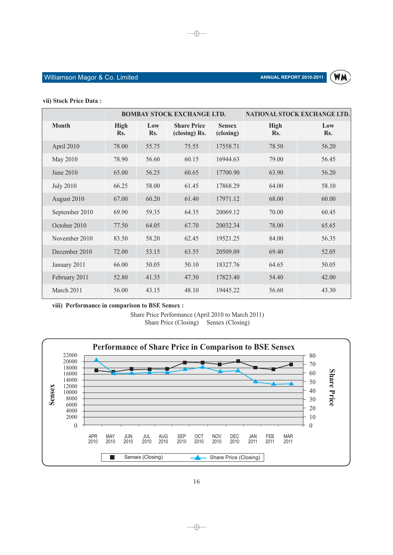

#### vii) Stock Price Data:

|                  | <b>BOMBAY STOCK EXCHANGE LTD.</b> |            |                                     | NATIONAL STOCK EXCHANGE LTD. |                    |            |
|------------------|-----------------------------------|------------|-------------------------------------|------------------------------|--------------------|------------|
| <b>Month</b>     | <b>High</b><br>Rs.                | Low<br>Rs. | <b>Share Price</b><br>(closing) Rs. | <b>Sensex</b><br>(closing)   | <b>High</b><br>Rs. | Low<br>Rs. |
| April 2010       | 78.00                             | 55.75      | 75.55                               | 17558.71                     | 78.50              | 56.20      |
| May 2010         | 78.90                             | 56.60      | 60.15                               | 16944.63                     | 79.00              | 56.45      |
| June 2010        | 65.00                             | 56.25      | 60.65                               | 17700.90                     | 63.90              | 56.20      |
| <b>July 2010</b> | 66.25                             | 58.00      | 61.45                               | 17868.29                     | 64.00              | 58.10      |
| August 2010      | 67.00                             | 60.20      | 61.40                               | 17971.12                     | 68.00              | 60.00      |
| September 2010   | 69.90                             | 59.35      | 64.35                               | 20069.12                     | 70.00              | 60.45      |
| October 2010     | 77.50                             | 64.05      | 67.70                               | 20032.34                     | 78.00              | 65.65      |
| November 2010    | 83.50                             | 58.20      | 62.45                               | 19521.25                     | 84.00              | 56.35      |
| December 2010    | 72.00                             | 53.15      | 63.55                               | 20509.09                     | 69.40              | 52.05      |
| January 2011     | 66.00                             | 50.05      | 50.10                               | 18327.76                     | 64.65              | 50.05      |
| February 2011    | 52.80                             | 41.35      | 47.30                               | 17823.40                     | 54.40              | 42.00      |
| March 2011       | 56.00                             | 43.15      | 48.10                               | 19445.22                     | 56.60              | 43.30      |

 $\bigoplus$ 

viii) Performance in comparison to BSE Sensex :

Share Price Performance (April 2010 to March 2011) Share Price (Closing) Sensex (Closing)

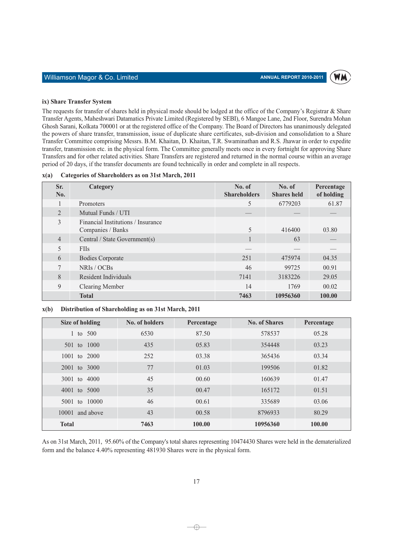#### ix) Share Transfer System

The requests for transfer of shares held in physical mode should be lodged at the office of the Company's Registrar & Share Transfer Agents, Maheshwari Datamatics Private Limited (Registered by SEBI), 6 Mangoe Lane, 2nd Floor, Surendra Mohan Ghosh Sarani, Kolkata 700001 or at the registered office of the Company. The Board of Directors has unanimously delegated the powers of share transfer, transmission, issue of duplicate share certificates, sub-division and consolidation to a Share Transfer Committee comprising Messrs. B.M. Khaitan, D. Khaitan, T.R. Swaminathan and R.S. Jhawar in order to expedite transfer, transmission etc. in the physical form. The Committee generally meets once in every fortnight for approving Share Transfers and for other related activities. Share Transfers are registered and returned in the normal course within an average period of 20 days, if the transfer documents are found technically in order and complete in all respects.

 $x(a)$ Categories of Shareholders as on 31st March, 2011

| Sr.<br>No.     | Category                                                | No. of<br><b>Shareholders</b> | No. of<br><b>Shares</b> held | Percentage<br>of holding |
|----------------|---------------------------------------------------------|-------------------------------|------------------------------|--------------------------|
|                | Promoters                                               | 5                             | 6779203                      | 61.87                    |
| $\overline{2}$ | Mutual Funds / UTI                                      |                               |                              |                          |
| 3              | Financial Institutions / Insurance<br>Companies / Banks | 5                             | 416400                       | 03.80                    |
| $\overline{4}$ | Central / State Government(s)                           |                               | 63                           |                          |
| 5              | <b>FIIs</b>                                             |                               |                              |                          |
| 6              | <b>Bodies Corporate</b>                                 | 251                           | 475974                       | 04.35                    |
| 7              | NRIs / OCBs                                             | 46                            | 99725                        | 00.91                    |
| 8              | Resident Individuals                                    | 7141                          | 3183226                      | 29.05                    |
| 9              | <b>Clearing Member</b>                                  | 14                            | 1769                         | 00.02                    |
|                | <b>Total</b>                                            | 7463                          | 10956360                     | 100.00                   |

#### Distribution of Shareholding as on 31st March, 2011  $x(b)$

| Size of holding | No. of holders | Percentage | <b>No. of Shares</b> | Percentage |
|-----------------|----------------|------------|----------------------|------------|
| 1 to $500$      | 6530           | 87.50      | 578537               | 05.28      |
| 501 to 1000     | 435            | 05.83      | 354448               | 03.23      |
| 1001 to 2000    | 252            | 03.38      | 365436               | 03.34      |
| 2001 to 3000    | 77             | 01.03      | 199506               | 01.82      |
| 3001 to 4000    | 45             | 00.60      | 160639               | 01.47      |
| 4001 to 5000    | 35             | 00.47      | 165172               | 01.51      |
| 5001 to 10000   | 46             | 00.61      | 335689               | 03.06      |
| 10001 and above | 43             | 00.58      | 8796933              | 80.29      |
| <b>Total</b>    | 7463           | 100.00     | 10956360             | 100.00     |

As on 31st March, 2011, 95.60% of the Company's total shares representing 10474430 Shares were held in the dematerialized form and the balance 4.40% representing 481930 Shares were in the physical form.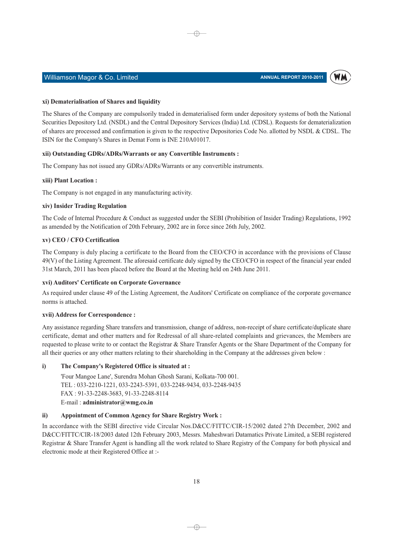

#### Williamson Magor & Co. Limited

#### xi) Dematerialisation of Shares and liquidity

The Shares of the Company are compulsorily traded in dematerialised form under depository systems of both the National Securities Depository Ltd. (NSDL) and the Central Depository Services (India) Ltd. (CDSL). Requests for dematerialization of shares are processed and confirmation is given to the respective Depositories Code No. allotted by NSDL & CDSL. The ISIN for the Company's Shares in Demat Form is INE 210A01017.

⊕

#### xii) Outstanding GDRs/ADRs/Warrants or any Convertible Instruments :

The Company has not issued any GDRs/ADRs/Warrants or any convertible instruments.

#### xiii) Plant Location:

The Company is not engaged in any manufacturing activity.

#### xiv) Insider Trading Regulation

The Code of Internal Procedure & Conduct as suggested under the SEBI (Prohibition of Insider Trading) Regulations, 1992 as amended by the Notification of 20th February, 2002 are in force since 26th July, 2002.

#### xv) CEO / CFO Certification

The Company is duly placing a certificate to the Board from the CEO/CFO in accordance with the provisions of Clause 49(V) of the Listing Agreement. The aforesaid certificate duly signed by the CEO/CFO in respect of the financial year ended 31st March, 2011 has been placed before the Board at the Meeting held on 24th June 2011.

#### xvi) Auditors' Certificate on Corporate Governance

As required under clause 49 of the Listing Agreement, the Auditors' Certificate on compliance of the corporate governance norms is attached.

#### xvii) Address for Correspondence :

Any assistance regarding Share transfers and transmission, change of address, non-receipt of share certificate/duplicate share certificate, demat and other matters and for Redressal of all share-related complaints and grievances, the Members are requested to please write to or contact the Registrar & Share Transfer Agents or the Share Department of the Company for all their queries or any other matters relating to their shareholding in the Company at the addresses given below:

#### i) The Company's Registered Office is situated at:

'Four Mangoe Lane', Surendra Mohan Ghosh Sarani, Kolkata-700 001. TEL: 033-2210-1221, 033-2243-5391, 033-2248-9434, 033-2248-9435 FAX: 91-33-2248-3683, 91-33-2248-8114 E-mail: administrator@wmg.co.in

#### $\mathbf{ii}$ **Appointment of Common Agency for Share Registry Work:**

In accordance with the SEBI directive vide Circular Nos.D&CC/FITTC/CIR-15/2002 dated 27th December, 2002 and D&CC/FITTC/CIR-18/2003 dated 12th February 2003, Messrs. Maheshwari Datamatics Private Limited, a SEBI registered Registrar & Share Transfer Agent is handling all the work related to Share Registry of the Company for both physical and electronic mode at their Registered Office at :-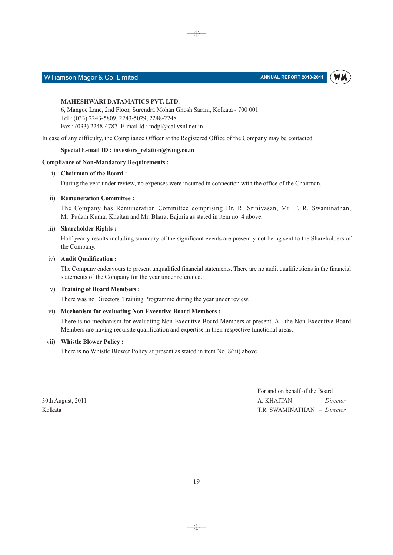

# Williamson Magor & Co. Limited

#### **MAHESHWARI DATAMATICS PVT. LTD.**

6, Mangoe Lane, 2nd Floor, Surendra Mohan Ghosh Sarani, Kolkata - 700 001 Tel: (033) 2243-5809, 2243-5029, 2248-2248 Fax: (033) 2248-4787 E-mail Id: mdpl@cal.vsnl.net.in

In case of any difficulty, the Compliance Officer at the Registered Office of the Company may be contacted.

#### Special E-mail ID : investors  $relation@wmg.co.in$

#### **Compliance of Non-Mandatory Requirements:**

#### i) Chairman of the Board:

During the year under review, no expenses were incurred in connection with the office of the Chairman.

⊕

#### ii) Remuneration Committee :

The Company has Remuneration Committee comprising Dr. R. Srinivasan, Mr. T. R. Swaminathan, Mr. Padam Kumar Khaitan and Mr. Bharat Bajoria as stated in item no. 4 above.

#### iii) Shareholder Rights:

Half-yearly results including summary of the significant events are presently not being sent to the Shareholders of the Company.

#### iv) Audit Qualification:

The Company endeavours to present unqualified financial statements. There are no audit qualifications in the financial statements of the Company for the year under reference.

#### v) Training of Board Members:

There was no Directors' Training Programme during the year under review.

#### vi) Mechanism for evaluating Non-Executive Board Members:

There is no mechanism for evaluating Non-Executive Board Members at present. All the Non-Executive Board Members are having requisite qualification and expertise in their respective functional areas.

#### vii) Whistle Blower Policy:

There is no Whistle Blower Policy at present as stated in item No. 8(iii) above

30th August, 2011 Kolkata

For and on behalf of the Board A. KHAITAN  $-$  Director T.R. SWAMINATHAN - Director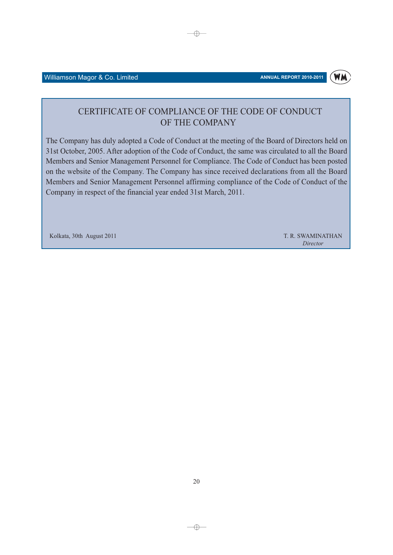#### Williamson Magor & Co. Limited

# CERTIFICATE OF COMPLIANCE OF THE CODE OF CONDUCT OF THE COMPANY

 $\rightarrow$ 

The Company has duly adopted a Code of Conduct at the meeting of the Board of Directors held on 31st October, 2005. After adoption of the Code of Conduct, the same was circulated to all the Board Members and Senior Management Personnel for Compliance. The Code of Conduct has been posted on the website of the Company. The Company has since received declarations from all the Board Members and Senior Management Personnel affirming compliance of the Code of Conduct of the Company in respect of the financial year ended 31st March, 2011.

Kolkata, 30th August 2011

T. R. SWAMINATHAN Director

 $-\bigoplus$ 

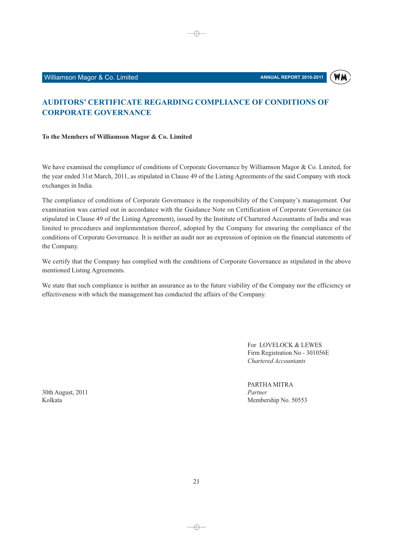

# **AUDITORS' CERTIFICATE REGARDING COMPLIANCE OF CONDITIONS OF CORPORATE GOVERNANCE**

 $\oplus$ 

#### To the Members of Williamson Magor & Co. Limited

We have examined the compliance of conditions of Corporate Governance by Williamson Magor & Co. Limited, for the year ended 31st March, 2011, as stipulated in Clause 49 of the Listing Agreements of the said Company with stock exchanges in India.

The compliance of conditions of Corporate Governance is the responsibility of the Company's management. Our examination was carried out in accordance with the Guidance Note on Certification of Corporate Governance (as stipulated in Clause 49 of the Listing Agreement), issued by the Institute of Chartered Accountants of India and was limited to procedures and implementation thereof, adopted by the Company for ensuring the compliance of the conditions of Corporate Governance. It is neither an audit nor an expression of opinion on the financial statements of the Company.

We certify that the Company has complied with the conditions of Corporate Governance as stipulated in the above mentioned Listing Agreements.

We state that such compliance is neither an assurance as to the future viability of the Company nor the efficiency or effectiveness with which the management has conducted the affairs of the Company.

> For LOVELOCK & LEWES Firm Registration No - 301056E Chartered Accountants

PARTHA MITRA Partner Membership No. 50553

30th August, 2011 Kolkata

 $21$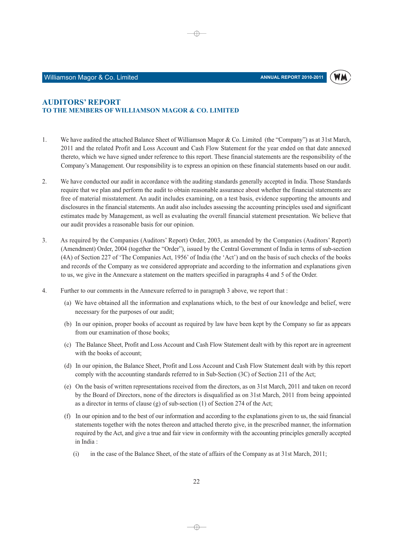

#### **AUDITORS' REPORT** TO THE MEMBERS OF WILLIAMSON MAGOR & CO. LIMITED

1. We have audited the attached Balance Sheet of Williamson Magor & Co. Limited (the "Company") as at 31st March, 2011 and the related Profit and Loss Account and Cash Flow Statement for the year ended on that date annexed thereto, which we have signed under reference to this report. These financial statements are the responsibility of the Company's Management. Our responsibility is to express an opinion on these financial statements based on our audit.

⊕

- 2. We have conducted our audit in accordance with the auditing standards generally accepted in India. Those Standards require that we plan and perform the audit to obtain reasonable assurance about whether the financial statements are free of material misstatement. An audit includes examining, on a test basis, evidence supporting the amounts and disclosures in the financial statements. An audit also includes assessing the accounting principles used and significant estimates made by Management, as well as evaluating the overall financial statement presentation. We believe that our audit provides a reasonable basis for our opinion.
- 3. As required by the Companies (Auditors' Report) Order, 2003, as amended by the Companies (Auditors' Report) (Amendment) Order, 2004 (together the "Order"), issued by the Central Government of India in terms of sub-section (4A) of Section 227 of 'The Companies Act, 1956' of India (the 'Act') and on the basis of such checks of the books and records of the Company as we considered appropriate and according to the information and explanations given to us, we give in the Annexure a statement on the matters specified in paragraphs 4 and 5 of the Order.
- $4.$ Further to our comments in the Annexure referred to in paragraph 3 above, we report that :
	- (a) We have obtained all the information and explanations which, to the best of our knowledge and belief, were necessary for the purposes of our audit;
	- (b) In our opinion, proper books of account as required by law have been kept by the Company so far as appears from our examination of those books;
	- (c) The Balance Sheet, Profit and Loss Account and Cash Flow Statement dealt with by this report are in agreement with the books of account:
	- (d) In our opinion, the Balance Sheet, Profit and Loss Account and Cash Flow Statement dealt with by this report comply with the accounting standards referred to in Sub-Section (3C) of Section 211 of the Act;
	- (e) On the basis of written representations received from the directors, as on 31st March, 2011 and taken on record by the Board of Directors, none of the directors is disqualified as on 31st March, 2011 from being appointed as a director in terms of clause (g) of sub-section  $(1)$  of Section 274 of the Act;
	- (f) In our opinion and to the best of our information and according to the explanations given to us, the said financial statements together with the notes thereon and attached thereto give, in the prescribed manner, the information required by the Act, and give a true and fair view in conformity with the accounting principles generally accepted in India:
		- $(i)$ in the case of the Balance Sheet, of the state of affairs of the Company as at 31st March, 2011;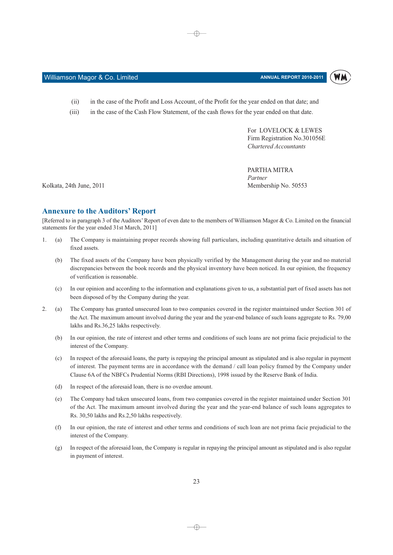WM

- in the case of the Profit and Loss Account, of the Profit for the year ended on that date; and
- $(iii)$ in the case of the Cash Flow Statement, of the cash flows for the year ended on that date.

⊕

For LOVELOCK & LEWES Firm Registration No.301056E Chartered Accountants

PARTHA MITRA Partner Membership No. 50553

Kolkata, 24th June, 2011

 $(ii)$ 

#### **Annexure to the Auditors' Report**

Williamson Magor & Co. Limited

[Referred to in paragraph 3 of the Auditors' Report of even date to the members of Williamson Magor & Co. Limited on the financial statements for the year ended 31st March, 2011]

- The Company is maintaining proper records showing full particulars, including quantitative details and situation of  $\mathbf{1}$ .  $(a)$ fixed assets.
	- The fixed assets of the Company have been physically verified by the Management during the year and no material  $(b)$ discrepancies between the book records and the physical inventory have been noticed. In our opinion, the frequency of verification is reasonable.
	- $(c)$ In our opinion and according to the information and explanations given to us, a substantial part of fixed assets has not been disposed of by the Company during the year.
- The Company has granted unsecured loan to two companies covered in the register maintained under Section 301 of  $\mathcal{L}$  $(a)$ the Act. The maximum amount involved during the year and the year-end balance of such loans aggregate to Rs. 79,00 lakhs and Rs.36,25 lakhs respectively.
	- $(h)$ In our opinion, the rate of interest and other terms and conditions of such loans are not prima facie prejudicial to the interest of the Company.
	- $(c)$ In respect of the aforesaid loans, the party is repaying the principal amount as stipulated and is also regular in payment of interest. The payment terms are in accordance with the demand / call loan policy framed by the Company under Clause 6A of the NBFCs Prudential Norms (RBI Directions), 1998 issued by the Reserve Bank of India.
	- In respect of the aforesaid loan, there is no overdue amount.  $(d)$
	- $(e)$ The Company had taken unsecured loans, from two companies covered in the register maintained under Section 301 of the Act. The maximum amount involved during the year and the year-end balance of such loans aggregates to Rs. 30,50 lakhs and Rs.2,50 lakhs respectively.
	- $(f)$ In our opinion, the rate of interest and other terms and conditions of such loan are not prima facie prejudicial to the interest of the Company.
	- In respect of the aforesaid loan, the Company is regular in repaying the principal amount as stipulated and is also regular  $(g)$ in payment of interest.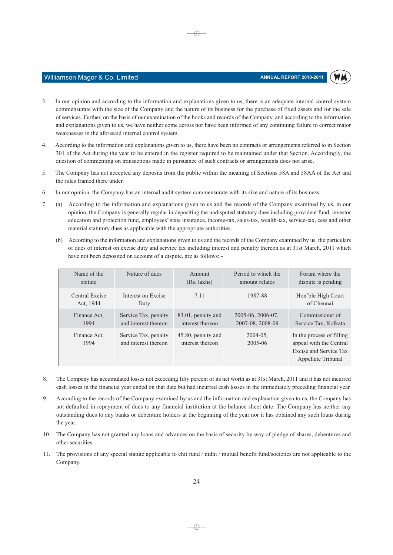WM

- Williamson Magor & Co. Limited
- In our opinion and according to the information and explanations given to us, there is an adequate internal control system 3. commensurate with the size of the Company and the nature of its business for the purchase of fixed assets and for the sale of services. Further, on the basis of our examination of the books and records of the Company, and according to the information and explanations given to us, we have neither come across nor have been informed of any continuing failure to correct major weaknesses in the aforesaid internal control system.

⊕

- $\mathbf{A}$ According to the information and explanations given to us, there have been no contracts or arrangements referred to in Section 301 of the Act during the year to be entered in the register required to be maintained under that Section. Accordingly, the question of commenting on transactions made in pursuance of such contracts or arrangements does not arise.
- 5. The Company has not accepted any deposits from the public within the meaning of Sections 58A and 58AA of the Act and the rules framed there under.
- In our opinion, the Company has an internal audit system commensurate with its size and nature of its business. 6.
- 7. (a) According to the information and explanations given to us and the records of the Company examined by us, in our opinion, the Company is generally regular in depositing the undisputed statutory dues including provident fund, investor education and protection fund, employees' state insurance, income-tax, sales-tax, wealth-tax, service-tax, cess and other material statutory dues as applicable with the appropriate authorities.
	- (b) According to the information and explanations given to us and the records of the Company examined by us, the particulars of dues of interest on excise duty and service tax including interest and penalty thereon as at 31st March, 2011 which have not been deposited on account of a dispute, are as follows: -

| Name of the                 | Nature of dues                               | Amount                                 | Period to which the      | Forum where the                                                                                      |
|-----------------------------|----------------------------------------------|----------------------------------------|--------------------------|------------------------------------------------------------------------------------------------------|
| statute                     |                                              | (Rs. lakhs)                            | amount relates           | dispute is pending                                                                                   |
| Central Excise<br>Act, 1944 | Interest on Excise<br>Duty                   | 7.11                                   | 1987-88                  | Hon'ble High Court<br>of Chennai                                                                     |
| Finance Act,                | Service Tax, penalty                         | 83.01, penalty and                     | 2005-06, 2006-07,        | Commissioner of                                                                                      |
| 1994                        | and interest thereon                         | interest thereon                       | 2007-08, 2008-09         | Service Tax, Kolkata                                                                                 |
| Finance Act.<br>1994        | Service Tax, penalty<br>and interest thereon | 45.80, penalty and<br>interest thereon | $2004 - 05$ .<br>2005-06 | In the process of filling<br>appeal with the Central<br>Excise and Service Tax<br>Appellate Tribunal |

- 8. The Company has accumulated losses not exceeding fifty percent of its net worth as at 31st March, 2011 and it has not incurred cash losses in the financial year ended on that date but had incurred cash losses in the immediately preceding financial year.
- 9. According to the records of the Company examined by us and the information and explanation given to us, the Company has not defaulted in repayment of dues to any financial institution at the balance sheet date. The Company has neither any outstanding dues to any banks or debenture holders at the beginning of the year nor it has obtained any such loans during the year.
- 10. The Company has not granted any loans and advances on the basis of security by way of pledge of shares, debentures and other securities.
- 11. The provisions of any special statute applicable to chit fund / nidhi / mutual benefit fund/societies are not applicable to the Company.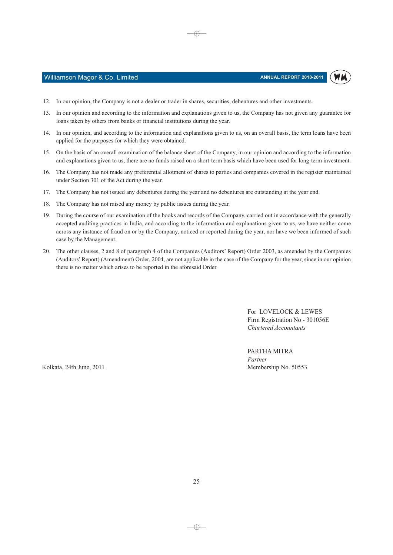

#### Williamson Magor & Co. Limited

- 12. In our opinion, the Company is not a dealer or trader in shares, securities, debentures and other investments.
- 13. In our opinion and according to the information and explanations given to us, the Company has not given any guarantee for loans taken by others from banks or financial institutions during the year.

⊕

- 14. In our opinion, and according to the information and explanations given to us, on an overall basis, the term loans have been applied for the purposes for which they were obtained.
- 15. On the basis of an overall examination of the balance sheet of the Company, in our opinion and according to the information and explanations given to us, there are no funds raised on a short-term basis which have been used for long-term investment.
- 16. The Company has not made any preferential allotment of shares to parties and companies covered in the register maintained under Section 301 of the Act during the year.
- 17. The Company has not issued any debentures during the year and no debentures are outstanding at the year end.
- 18. The Company has not raised any money by public issues during the year.
- 19. During the course of our examination of the books and records of the Company, carried out in accordance with the generally accepted auditing practices in India, and according to the information and explanations given to us, we have neither come across any instance of fraud on or by the Company, noticed or reported during the year, nor have we been informed of such case by the Management.
- 20. The other clauses, 2 and 8 of paragraph 4 of the Companies (Auditors' Report) Order 2003, as amended by the Companies (Auditors' Report) (Amendment) Order, 2004, are not applicable in the case of the Company for the year, since in our opinion there is no matter which arises to be reported in the aforesaid Order.

For LOVELOCK & LEWES Firm Registration No - 301056E Chartered Accountants

PARTHA MITRA Partner Membership No. 50553

Kolkata, 24th June, 2011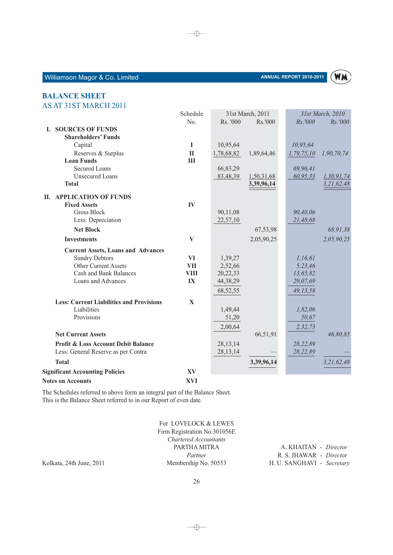

#### **BALANCE SHEET** AS AT 31ST MARCH 2011

|                                                 | Schedule     |            | 31st March, 2011 |            | 31st March, 2010 |
|-------------------------------------------------|--------------|------------|------------------|------------|------------------|
|                                                 | No.          | Rs. '000   | Rs.'000          | Rs.'000    | Rs.'000          |
| <b>I. SOURCES OF FUNDS</b>                      |              |            |                  |            |                  |
| <b>Shareholders' Funds</b>                      |              |            |                  |            |                  |
| Capital                                         | I            | 10,95,64   |                  | 10,95,64   |                  |
| Reserves & Surplus                              | $\mathbf{I}$ | 1,78,68,82 | 1,89,64,46       | 1,79,75,10 | 1,90,70,74       |
| <b>Loan Funds</b>                               | III          |            |                  |            |                  |
| <b>Secured Loans</b>                            |              | 66,83,29   |                  | 69,96,41   |                  |
| <b>Unsecured Loans</b>                          |              | 83,48,39   | 1,50,31,68       | 60,95,33   | 1,30,91,74       |
| <b>Total</b>                                    |              |            | 3,39,96,14       |            | 3,21,62,48       |
| <b>II. APPLICATION OF FUNDS</b>                 |              |            |                  |            |                  |
| <b>Fixed Assets</b>                             | IV           |            |                  |            |                  |
| Gross Block                                     |              | 90,11,08   |                  | 90,40,06   |                  |
| Less: Depreciation                              |              | 22,57,10   |                  | 21,48,68   |                  |
| <b>Net Block</b>                                |              |            | 67,53,98         |            | 68,91,38         |
| <b>Investments</b>                              | V            |            | 2,05,90,25       |            | 2,05,90,25       |
| <b>Current Assets, Loans and Advances</b>       |              |            |                  |            |                  |
| <b>Sundry Debtors</b>                           | <b>VI</b>    | 1,39,27    |                  | 1,16,61    |                  |
| <b>Other Current Assets</b>                     | <b>VII</b>   | 2,52,66    |                  | 5,23,46    |                  |
| <b>Cash and Bank Balances</b>                   | <b>VIII</b>  | 20,22,33   |                  | 13,65,82   |                  |
| Loans and Advances                              | IX           | 44,38,29   |                  | 29,07,69   |                  |
|                                                 |              | 68,52,55   |                  | 49,13,58   |                  |
| <b>Less: Current Liabilities and Provisions</b> | $\mathbf X$  |            |                  |            |                  |
| Liabilities                                     |              | 1,49,44    |                  | 1,82,06    |                  |
| Provisions                                      |              | 51,20      |                  | 50,67      |                  |
|                                                 |              | 2,00,64    |                  | 2,32,73    |                  |
| <b>Net Current Assets</b>                       |              |            | 66,51,91         |            | 46,80,85         |
| <b>Profit &amp; Loss Account Debit Balance</b>  |              | 28, 13, 14 |                  | 28,22,89   |                  |
| Less: General Reserve as per Contra             |              | 28, 13, 14 |                  | 28,22,89   |                  |
| <b>Total</b>                                    |              |            | 3,39,96,14       |            | 3,21,62,48       |
| <b>Significant Accounting Policies</b>          | XV           |            |                  |            |                  |
| <b>Notes on Accounts</b>                        | <b>XVI</b>   |            |                  |            |                  |

 $\bigoplus$ 

**Notes on Accounts** 

The Schedules referred to above form an integral part of the Balance Sheet. This is the Balance Sheet referred to in our Report of even date.

> For LOVELOCK & LEWES Firm Registration No.301056E Chartered Accountants PARTHA MITRA Partner Membership No. 50553

A. KHAITAN - Director R. S. JHAWAR - Director H. U. SANGHAVI - Secretary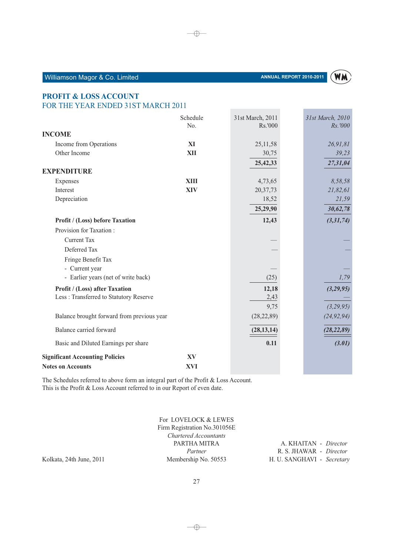A. KHAITAN - Director R. S. JHAWAR - Director H. U. SANGHAVI - Secretary

 $\rightarrow$ 

For LOVELOCK & LEWES Firm Registration No.301056E Chartered Accountants PARTHA MITRA

Partner

Membership No. 50553

# Williamson Magor & Co. Limited

**PROFIT & LOSS ACCOUNT** 

| FOR THE YEAR ENDED 31ST MARCH 2011         |             |                  |                  |  |  |
|--------------------------------------------|-------------|------------------|------------------|--|--|
|                                            | Schedule    | 31st March, 2011 | 31st March, 2010 |  |  |
|                                            | No.         | Rs.'000          | Rs.'000          |  |  |
| <b>INCOME</b>                              |             |                  |                  |  |  |
| Income from Operations                     | XI          | 25,11,58         | 26,91,81         |  |  |
| Other Income                               | XII         | 30,75            | 39,23            |  |  |
|                                            |             | 25,42,33         | 27,31,04         |  |  |
| <b>EXPENDITURE</b>                         |             |                  |                  |  |  |
| Expenses                                   | <b>XIII</b> | 4,73,65          | 8,58,58          |  |  |
| Interest                                   | XIV         | 20,37,73         | 21,82,61         |  |  |
| Depreciation                               |             | 18,52            | 21,59            |  |  |
|                                            |             | 25,29,90         | 30,62,78         |  |  |
| Profit / (Loss) before Taxation            |             | 12,43            | (3,31,74)        |  |  |
| Provision for Taxation:                    |             |                  |                  |  |  |
| <b>Current Tax</b>                         |             |                  |                  |  |  |
| Deferred Tax                               |             |                  |                  |  |  |
| Fringe Benefit Tax                         |             |                  |                  |  |  |
| - Current year                             |             |                  |                  |  |  |
| - Earlier years (net of write back)        |             | (25)             | 1,79             |  |  |
| Profit / (Loss) after Taxation             |             | 12,18            | (3,29,95)        |  |  |
| Less : Transferred to Statutory Reserve    |             | 2,43             |                  |  |  |
|                                            |             | 9,75             | (3, 29, 95)      |  |  |
| Balance brought forward from previous year |             | (28, 22, 89)     | (24, 92, 94)     |  |  |
| Balance carried forward                    |             | (28, 13, 14)     | (28, 22, 89)     |  |  |
| Basic and Diluted Earnings per share       |             | 0.11             | (3.01)           |  |  |
| <b>Significant Accounting Policies</b>     | XV          |                  |                  |  |  |
| <b>Notes on Accounts</b>                   | <b>XVI</b>  |                  |                  |  |  |

The Schedules referred to above form an integral part of the Profit & Loss Account. This is the Profit & Loss Account referred to in our Report of even date.

**WM**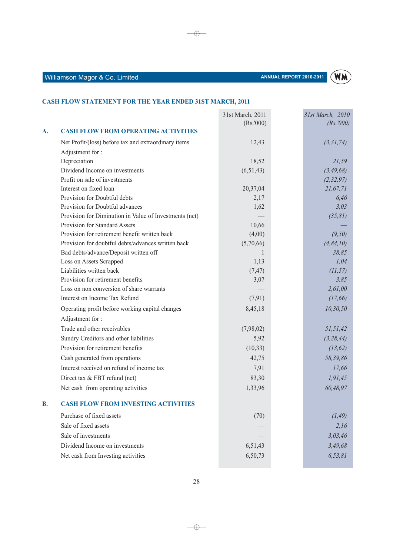

### CASH FLOW STATEMENT FOR THE YEAR ENDED 31ST MARCH, 2011

|           |                                                        | 31st March, 2011<br>(Rs. '000) | 31st March, 2010<br>(Rs. '000) |
|-----------|--------------------------------------------------------|--------------------------------|--------------------------------|
| A.        | <b>CASH FLOW FROM OPERATING ACTIVITIES</b>             |                                |                                |
|           | Net Profit/(loss) before tax and extraordinary items   | 12,43                          | (3,31,74)                      |
|           | Adjustment for:                                        |                                |                                |
|           | Depreciation                                           | 18,52                          | 21,59                          |
|           | Dividend Income on investments                         | (6,51,43)                      | (3, 49, 68)                    |
|           | Profit on sale of investments                          |                                | (2, 32, 97)                    |
|           | Interest on fixed loan                                 | 20,37,04                       | 21,67,71                       |
|           | Provision for Doubtful debts                           | 2,17                           | 6,46                           |
|           | Provision for Doubtful advances                        | 1,62                           | 3,03                           |
|           | Provision for Diminution in Value of Investments (net) |                                | (35, 81)                       |
|           | Provision for Standard Assets                          | 10,66                          |                                |
|           | Provision for retirement benefit written back          | (4,00)                         | (9,50)                         |
|           | Provision for doubtful debts/advances written back     | (5,70,66)                      | (4, 84, 10)                    |
|           | Bad debts/advance/Deposit written off                  | $\mathbf{1}$                   | 38,85                          |
|           | Loss on Assets Scrapped                                | 1,13                           | 1,04                           |
|           | Liabilities written back                               | (7, 47)                        | (11, 57)                       |
|           | Provision for retirement benefits                      | 3,07                           | 3,85                           |
|           | Loss on non conversion of share warrants               |                                | 2,61,00                        |
|           | Interest on Income Tax Refund                          | (7,91)                         | (17, 66)                       |
|           | Operating profit before working capital changes        | 8,45,18                        | 10, 30, 50                     |
|           | Adjustment for:                                        |                                |                                |
|           | Trade and other receivables                            | (7,98,02)                      | 51,51,42                       |
|           | Sundry Creditors and other liabilities                 | 5,92                           | (3, 28, 44)                    |
|           | Provision for retirement benefits                      | (10, 33)                       | (13, 62)                       |
|           | Cash generated from operations                         | 42,75                          | 58,39,86                       |
|           | Interest received on refund of income tax              | 7,91                           | 17,66                          |
|           | Direct tax & FBT refund (net)                          | 83,30                          | 1, 91, 45                      |
|           | Net cash from operating activities                     | 1,33,96                        | 60,48,97                       |
| <b>B.</b> | <b>CASH FLOW FROM INVESTING ACTIVITIES</b>             |                                |                                |
|           | Purchase of fixed assets                               | (70)                           | (1, 49)                        |
|           |                                                        |                                |                                |
|           | Sale of fixed assets                                   |                                | 2,16                           |
|           | Sale of investments                                    |                                | 3,03,46                        |
|           | Dividend Income on investments                         | 6,51,43                        | 3,49,68                        |
|           | Net cash from Investing activities                     | 6,50,73                        | 6, 53, 81                      |

 $\overline{\bigoplus}$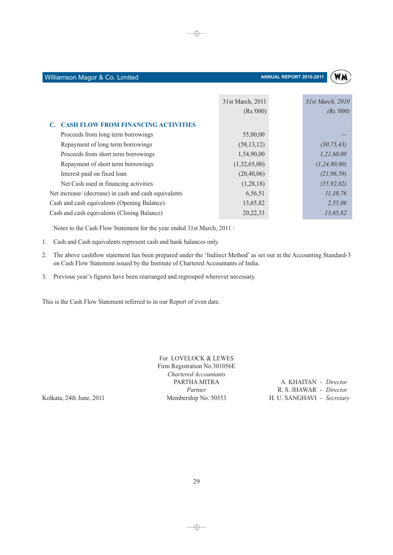

|                                                       | 31st March, 2011 | 31st March, 2010 |
|-------------------------------------------------------|------------------|------------------|
|                                                       | (Rs.000)         | (Rs. '000)       |
| <b>CASH FLOW FROM FINANCING ACTIVITIES</b>            |                  |                  |
| Proceeds from long term borrowings                    | 55,00,00         |                  |
| Repayment of long term borrowings                     | (58, 13, 12)     | (30, 75, 43)     |
| Proceeds from short term borrowings                   | 1,54,90,00       | 1,21,60,00       |
| Repayment of short term borrowings                    | (1,32,65,00)     | (1, 24, 80, 00)  |
| Interest paid on fixed loan                           | (20, 40, 06)     | (21, 96, 59)     |
| Net Cash used in financing activities                 | (1,28,18)        | (55, 92, 02)     |
| Net increase/ (decrease) in cash and cash equivalents | 6,56,51          | 11, 10, 76       |
| Cash and cash equivalents (Opening Balance)           | 13,65,82         | 2,55,06          |
| Cash and cash equivalents (Closing Balance)           | 20, 22, 33       | 13,65,82         |

 $\oplus$ 

Notes to the Cash Flow Statement for the year ended 31st March, 2011:

1. Cash and Cash equivalents represent cash and bank balances only.

Williamson Magor & Co. Limited

- 2. The above cashflow statement has been prepared under the 'Indirect Method' as set out in the Accounting Standard-3 on Cash Flow Statement issued by the Institute of Chartered Accountants of India.
- 3. Previous year's figures have been rearranged and regrouped wherever necessary.

This is the Cash Flow Statement referred to in our Report of even date.

For LOVELOCK & LEWES Firm Registration No.301056E Chartered Accountants PARTHA MITRA Partner Membership No. 50553

Kolkata, 24th June, 2011

29

A. KHAITAN - Director R. S. JHAWAR - Director H. U. SANGHAVI - Secretary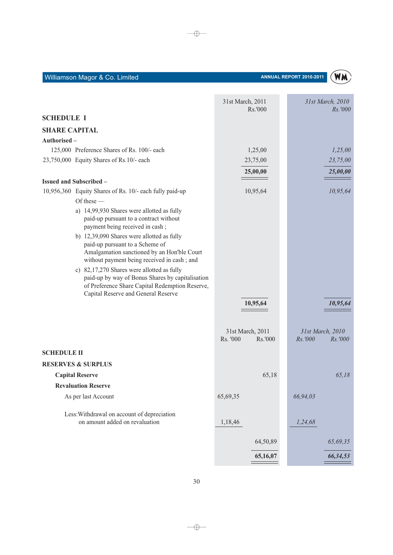|                      |                                                                                                                                                                                          | 31st March, 2011<br>Rs.'000             | 31st March, 2010<br><i>Rs.'000</i>     |
|----------------------|------------------------------------------------------------------------------------------------------------------------------------------------------------------------------------------|-----------------------------------------|----------------------------------------|
| <b>SCHEDULE I</b>    |                                                                                                                                                                                          |                                         |                                        |
| <b>SHARE CAPITAL</b> |                                                                                                                                                                                          |                                         |                                        |
| Authorised -         |                                                                                                                                                                                          |                                         |                                        |
|                      | 125,000 Preference Shares of Rs. 100/- each                                                                                                                                              | 1,25,00                                 | 1,25,00                                |
|                      | 23,750,000 Equity Shares of Rs.10/- each                                                                                                                                                 | 23,75,00                                | 23,75,00                               |
|                      |                                                                                                                                                                                          | 25,00,00                                | 25,00,00                               |
|                      | <b>Issued and Subscribed -</b>                                                                                                                                                           |                                         |                                        |
|                      | 10,956,360 Equity Shares of Rs. 10/- each fully paid-up                                                                                                                                  | 10,95,64                                | 10,95,64                               |
|                      | Of these $-$                                                                                                                                                                             |                                         |                                        |
|                      | a) 14,99,930 Shares were allotted as fully<br>paid-up pursuant to a contract without<br>payment being received in cash;                                                                  |                                         |                                        |
|                      | b) 12,39,090 Shares were allotted as fully<br>paid-up pursuant to a Scheme of<br>Amalgamation sanctioned by an Hon'ble Court<br>without payment being received in cash; and              |                                         |                                        |
|                      | c) 82,17,270 Shares were allotted as fully<br>paid-up by way of Bonus Shares by capitalisation<br>of Preference Share Capital Redemption Reserve,<br>Capital Reserve and General Reserve |                                         |                                        |
|                      |                                                                                                                                                                                          | 10,95,64                                | 10,95,64                               |
|                      |                                                                                                                                                                                          | 31st March, 2011<br>Rs. '000<br>Rs.'000 | 31st March, 2010<br>Rs.'000<br>Rs.'000 |
| <b>SCHEDULE II</b>   |                                                                                                                                                                                          |                                         |                                        |
|                      | <b>RESERVES &amp; SURPLUS</b>                                                                                                                                                            |                                         |                                        |
|                      | <b>Capital Reserve</b>                                                                                                                                                                   | 65,18                                   | 65,18                                  |
|                      | <b>Revaluation Reserve</b>                                                                                                                                                               |                                         |                                        |
|                      | As per last Account                                                                                                                                                                      | 65,69,35                                | 66,94,03                               |
|                      | Less: Withdrawal on account of depreciation<br>on amount added on revaluation                                                                                                            | 1,18,46                                 | 1,24,68                                |
|                      |                                                                                                                                                                                          | 64,50,89                                | 65,69,35                               |
|                      |                                                                                                                                                                                          | 65,16,07                                | 66,34,53                               |

 $\longrightarrow$ 

Williamson Magor & Co. Limited

### ANNUAL REPORT 2010-2011

(WM)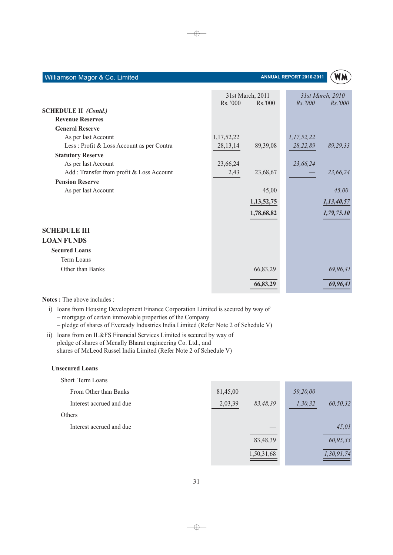#### ANNUAL REPORT 2010-2011



 $\qquad \qquad =$ 

|                                           | Rs. '000   | 31st March, 2011<br>Rs.000 | Rs.7000    | 31st March, 2010<br><i>Rs.'000</i> |
|-------------------------------------------|------------|----------------------------|------------|------------------------------------|
| <b>SCHEDULE II (Contd.)</b>               |            |                            |            |                                    |
| <b>Revenue Reserves</b>                   |            |                            |            |                                    |
| <b>General Reserve</b>                    |            |                            |            |                                    |
| As per last Account                       | 1,17,52,22 |                            | 1,17,52,22 |                                    |
| Less: Profit & Loss Account as per Contra | 28, 13, 14 | 89,39,08                   | 28,22,89   | 89,29,33                           |
| <b>Statutory Reserve</b>                  |            |                            |            |                                    |
| As per last Account                       | 23,66,24   |                            | 23,66,24   |                                    |
| Add: Transfer from profit & Loss Account  | 2,43       | 23,68,67                   |            | 23,66,24                           |
| <b>Pension Reserve</b>                    |            |                            |            |                                    |
| As per last Account                       |            | 45,00                      |            | 45,00                              |
|                                           |            | 1, 13, 52, 75              |            | 1,13,40,57                         |
|                                           |            | 1,78,68,82                 |            | 1,79,75.10                         |
| <b>SCHEDULE III</b>                       |            |                            |            |                                    |
| <b>LOAN FUNDS</b>                         |            |                            |            |                                    |
| <b>Secured Loans</b>                      |            |                            |            |                                    |
| Term Loans                                |            |                            |            |                                    |
| Other than Banks                          |            | 66,83,29                   |            | 69,96,41                           |
|                                           |            | 66,83,29                   |            | 69,96,41                           |

#### Notes : The above includes :

i) loans from Housing Development Finance Corporation Limited is secured by way of - mortgage of certain immovable properties of the Company - pledge of shares of Eveready Industries India Limited (Refer Note 2 of Schedule V)

ii) loans from on IL&FS Financial Services Limited is secured by way of pledge of shares of Mcnally Bharat engineering Co. Ltd., and shares of McLeod Russel India Limited (Refer Note 2 of Schedule V)

#### **Unsecured Loans**

| Short Term Loans         |          |            |          |            |
|--------------------------|----------|------------|----------|------------|
| From Other than Banks    | 81,45,00 |            | 59,20,00 |            |
| Interest accrued and due | 2,03,39  | 83,48,39   | 1,30,32  | 60,50,32   |
| Others                   |          |            |          |            |
| Interest accrued and due |          |            |          | 45,01      |
|                          |          | 83,48,39   |          | 60,95,33   |
|                          |          | 1,50,31,68 |          | 1,30,91,74 |

 $\bigoplus$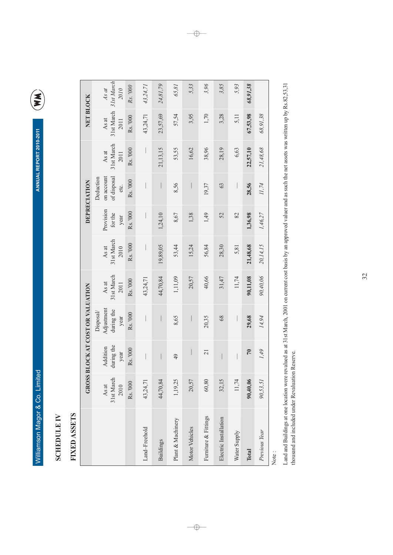ANNUAL REPORT 2010-2011

E

# **SCHEDULE IV**

# FIXED ASSETS

|                       |                             |                                | GROSS BLOCK AT COST OR VALUATION              |                             |                             |                              | DEPRECIATION                                   |                             | NET BLOCK                   |                             |
|-----------------------|-----------------------------|--------------------------------|-----------------------------------------------|-----------------------------|-----------------------------|------------------------------|------------------------------------------------|-----------------------------|-----------------------------|-----------------------------|
|                       | 31st March<br>As at<br>2010 | during the<br>Addition<br>year | Adjustment<br>during the<br>Disposal/<br>year | 31st March<br>As at<br>2011 | 31st March<br>As at<br>2010 | Provision<br>for the<br>year | on account<br>of disposal<br>Deduction<br>etc. | 31st March<br>As at<br>2011 | 31st March<br>As at<br>2011 | 31st March<br>As at<br>2010 |
|                       | Rs. '000                    | Rs. '000                       | Rs. '000                                      | Rs. '000                    | Rs. '000                    | Rs. '000                     | Rs. '000                                       | Rs. '000                    | Rs. '000                    | Rs. '000                    |
| Land-Freehold         | 43,24,71                    | $\overline{\phantom{a}}$       |                                               | 43,24,71                    |                             |                              |                                                |                             | 43,24,71                    | 43,24,71                    |
| <b>Buildings</b>      | 44,70,84                    |                                |                                               | 44,70,84                    | 19,89,05                    | 1,24,10                      |                                                | 21, 13, 15                  | 23,57,69                    | 24,81,79                    |
| Plant & Machinery     | 1,19,25                     | 49                             | 8,65                                          | 1,11,09                     | 53,44                       | 8,67                         | 8,56                                           | 53,55                       | 57,54                       | 65,81                       |
| Motor Vehicles        | 20,57                       | $\Big $                        | $\bigg\vert$                                  | 20,57                       | 15,24                       | 1,38                         |                                                | 16,62                       | 3,95                        | 5,33                        |
| Furniture & Fittings  | 60,80                       | 21                             | 20,35                                         | 40,66                       | 56,84                       | 1,49                         | 19,37                                          | 38,96                       | 1,70                        | 3,96                        |
| Electric Installation | 32,15                       |                                | 68                                            | 31,47                       | 28,30                       | 52                           | 63                                             | 28,19                       | 3,28                        | 3,85                        |
| Water Supply          | 11,74                       | $\bigg $                       |                                               | 11,74                       | 5,81                        | 82                           |                                                | 6,63                        | 5,11                        | 5,93                        |
| Total                 | 90,40,06                    | $\sqrt{2}$                     | 29,68                                         | 90,11,08                    | 21,48,68                    | 1,36,98                      | 28,56                                          | 22,57,10                    | 67,53,98                    | 68,91,38                    |
| Previous Year         | 90,53,51                    | 1,49                           | 14,94                                         | 90,40,06                    | 20,14,15                    | 1,46,27                      | 11,74                                          | 21,48,68                    | 68,91,38                    |                             |
| Note                  |                             |                                |                                               |                             |                             |                              |                                                |                             |                             |                             |

 $\begin{tabular}{c} \multicolumn{2}{c} {\textbf{A}} \\ \multicolumn{2}{c} {\textbf{B}} \\ \multicolumn{2}{c} {\textbf{A}} \\ \multicolumn{2}{c} {\textbf{B}} \\ \multicolumn{2}{c} {\textbf{A}} \\ \multicolumn{2}{c} {\textbf{B}} \\ \multicolumn{2}{c} {\textbf{A}} \\ \multicolumn{2}{c} {\textbf{B}} \\ \multicolumn{2}{c} {\textbf{B}} \\ \multicolumn{2}{c} {\textbf{B}} \\ \multicolumn{2}{c} {\textbf{B}} \\ \multicolumn{2}{c} {\textbf{B}} \\ \multicolumn{2}{c} {\textbf{B}} \\ \multicolumn$ 

Land and Buildings at one location were revalued as at 31st March, 2001 on current cost basis by an approved valuer and as such the net assets was written up by Rs.82,53,31 thousand and included under Revaluation Reserve.

 $\rightarrow$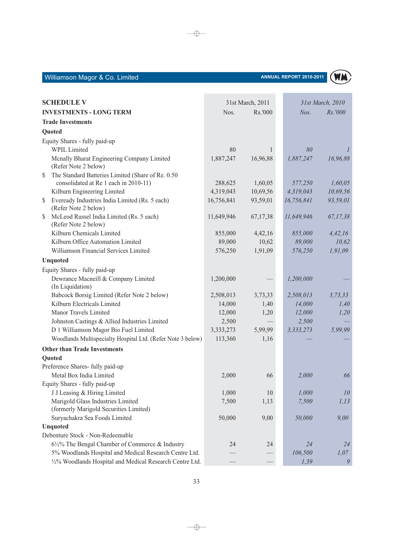## ANNUAL REPORT 2010-2011



| <b>SCHEDULE V</b>                                                           | 31st March, 2011 |              |            | 31st March, 2010 |  |
|-----------------------------------------------------------------------------|------------------|--------------|------------|------------------|--|
| <b>INVESTMENTS - LONG TERM</b>                                              | Nos.<br>Rs.'000  |              |            | Nos.<br>Rs.'000  |  |
| <b>Trade Investments</b>                                                    |                  |              |            |                  |  |
| Quoted                                                                      |                  |              |            |                  |  |
| Equity Shares - fully paid-up                                               |                  |              |            |                  |  |
| <b>WPIL Limited</b>                                                         | 80               | $\mathbf{1}$ | 80         |                  |  |
| Mcnally Bharat Engineering Company Limited<br>(Refer Note 2 below)          | 1,887,247        | 16,96,88     | 1,887,247  | 16,96,88         |  |
| The Standard Batteries Limited (Share of Re. 0.50<br>\$                     |                  |              |            |                  |  |
| consolidated at Re 1 each in 2010-11)                                       | 288,625          | 1,60,05      | 577,250    | 1,60,05          |  |
| Kilburn Engineering Limited                                                 | 4,319,043        | 10,69,56     | 4,319,043  | 10,69,56         |  |
| Eveready Industries India Limited (Rs. 5 each)<br>S<br>(Refer Note 2 below) | 16,756,841       | 93,59,01     | 16,756,841 | 93,59,01         |  |
| McLeod Russel India Limited (Rs. 5 each)<br>\$<br>(Refer Note 2 below)      | 11,649,946       | 67,17,38     | 11,649,946 | 67,17,38         |  |
| Kilburn Chemicals Limited                                                   | 855,000          | 4,42,16      | 855,000    | 4,42,16          |  |
| Kilburn Office Automation Limited                                           | 89,000           | 10,62        | 89,000     | 10,62            |  |
| Williamson Financial Services Limited                                       | 576,250          | 1,91,09      | 576,250    | 1,91,09          |  |
| <b>Unquoted</b>                                                             |                  |              |            |                  |  |
| Equity Shares - fully paid-up                                               |                  |              |            |                  |  |
| Dewrance Macneill & Company Limited<br>(In Liquidation)                     | 1,200,000        |              | 1,200,000  |                  |  |
| Babcock Borsig Limited (Refer Note 2 below)                                 | 2,508,013        | 3,73,33      | 2,508,013  | 3, 73, 33        |  |
| Kilburn Electricals Limited                                                 | 14,000           | 1,40         | 14,000     | 1,40             |  |
| Manor Travels Limited                                                       | 12,000           | 1,20         | 12,000     | 1,20             |  |
| Johnston Castings & Allied Industries Limited                               | 2,500            |              | 2,500      |                  |  |
| D 1 Williamson Magor Bio Fuel Limited                                       | 3,333,273        | 5,99,99      | 3,333,273  | 5,99,99          |  |
| Woodlands Multispecialty Hospital Ltd. (Refer Note 3 below)                 | 113,360          | 1,16         |            |                  |  |
| <b>Other than Trade Investments</b>                                         |                  |              |            |                  |  |
| Quoted                                                                      |                  |              |            |                  |  |
| Preference Shares- fully paid-up                                            |                  |              |            |                  |  |
| Metal Box India Limited                                                     | 2,000            | 66           | 2,000      | 66               |  |
| Equity Shares - fully paid-up                                               |                  |              |            |                  |  |
| J J Leasing & Hiring Limited                                                | 1,000            | 10           | 1,000      | 10               |  |
| Marigold Glass Industries Limited                                           | 7,500            | 1,13         | 7,500      | 1, 13            |  |
| (formerly Marigold Securities Limited)                                      |                  |              |            |                  |  |
| Suryachakra Sea Foods Limited                                               | 50,000           | 9,00         | 50,000     | 9,00             |  |
| Unquoted                                                                    |                  |              |            |                  |  |
| Debenture Stock - Non-Redeemable                                            |                  |              |            |                  |  |
| 6½% The Bengal Chamber of Commerce & Industry                               | 24               | 24           | 24         | 24               |  |
| 5% Woodlands Hospital and Medical Research Centre Ltd.                      |                  |              | 106,500    | 1,07             |  |
| 1/2% Woodlands Hospital and Medical Research Centre Ltd.                    |                  |              | 1,39       | 9                |  |

 $\rightarrow$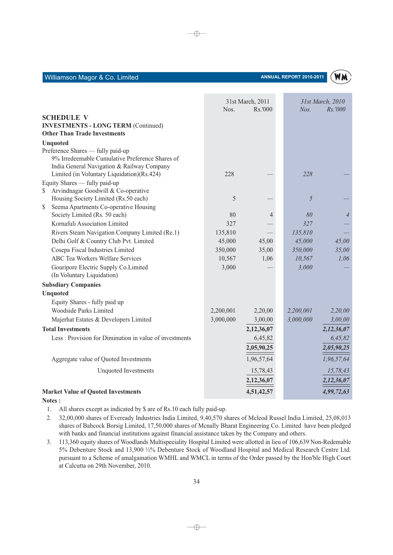|                                                                                                                                    |           | 31st March, 2011 |           | 31st March, 2010 |
|------------------------------------------------------------------------------------------------------------------------------------|-----------|------------------|-----------|------------------|
|                                                                                                                                    | Nos.      | Rs.'000          | Nos.      | Rs.'000          |
| <b>SCHEDULE V</b>                                                                                                                  |           |                  |           |                  |
| <b>INVESTMENTS - LONG TERM (Continued)</b>                                                                                         |           |                  |           |                  |
| <b>Other Than Trade Investments</b>                                                                                                |           |                  |           |                  |
| <b>Unquoted</b>                                                                                                                    |           |                  |           |                  |
| Preference Shares — fully paid-up<br>9% Irredeemable Cumulative Preference Shares of<br>India General Navigation & Railway Company |           |                  |           |                  |
| Limited (in Voluntary Liquidation)(Rs.424)                                                                                         | 228       |                  | 228       |                  |
| Equity Shares - fully paid-up                                                                                                      |           |                  |           |                  |
| Arvindnagar Goodwill & Co-operative<br>\$                                                                                          |           |                  |           |                  |
| Housing Society Limited (Rs.50 each)                                                                                               | 5         |                  | 5         |                  |
| Seema Apartments Co-operative Housing<br>\$                                                                                        |           |                  |           |                  |
| Society Limited (Rs. 50 each)                                                                                                      | 80        | 4                | 80        | $\overline{4}$   |
| Kornafuli Association Limited                                                                                                      | 327       |                  | 327       |                  |
| Rivers Steam Navigation Company Limited (Re.1)                                                                                     | 135,810   |                  | 135,810   |                  |
| Delhi Golf & Country Club Pvt. Limited                                                                                             | 45,000    | 45,00            | 45,000    | 45,00            |
| Cosepa Fiscal Industries Limited                                                                                                   | 350,000   | 35,00            | 350,000   | 35,00            |
| <b>ABC Tea Workers Welfare Services</b>                                                                                            | 10,567    | 1,06             | 10,567    | 1,06             |
| Gouripore Electric Supply Co.Limited<br>(In Voluntary Liquidation)                                                                 | 3,000     |                  | 3,000     |                  |
| <b>Subsdiary Companies</b>                                                                                                         |           |                  |           |                  |
| <b>Unquoted</b>                                                                                                                    |           |                  |           |                  |
| Equity Shares - fully paid up                                                                                                      |           |                  |           |                  |
| Woodside Parks Limited                                                                                                             | 2,200,001 | 2,20,00          | 2,200,001 | 2,20,00          |
| Majerhat Estates & Developers Limited                                                                                              | 3,000,000 | 3,00,00          | 3,000,000 | 3,00,00          |
| <b>Total Investments</b>                                                                                                           |           | 2,12,36,07       |           | 2,12,36,07       |
| Less: Provision for Diminution in value of investments                                                                             |           | 6,45,82          |           | 6,45,82          |
|                                                                                                                                    |           | 2,05,90,25       |           | 2,05,90,25       |
| Aggregate value of Quoted Investments                                                                                              |           | 1,96,57,64       |           | 1,96,57,64       |
| <b>Unquoted Investments</b>                                                                                                        |           | 15,78,43         |           | 15,78,43         |
|                                                                                                                                    |           | 2,12,36,07       |           | 2,12,36,07       |
| <b>Market Value of Quoted Investments</b>                                                                                          |           | 4,51,42,57       |           | 4,99,72,63       |

⊕

ANNUAL REPORT 2010-2011

Notes:

Williamson Magor & Co. Limited

- 1. All shares except as indicated by \$ are of Rs.10 each fully paid-up.
- 2. 32,00,000 shares of Eveready Industries India Limited, 9,40,570 shares of Mcleod Russel India Limited, 25,08,013 shares of Babcock Borsig Limited, 17,50,000 shares of Mcnally Bharat Engineering Co. Limited have been pledged with banks and financial institutions against financial assistance taken by the Company and others.
- 3. 113,360 equity shares of Woodlands Multispeciality Hospital Limited were allotted in lieu of 106,639 Non-Redemable 5% Debenture Stock and 13,900 1/2% Debenture Stock of Woodland Hospital and Medical Research Centre Ltd. pursuant to a Scheme of amalgamation WMHL and WMCL in terms of the Order passed by the Hon'ble High Court at Calcutta on 29th November, 2010.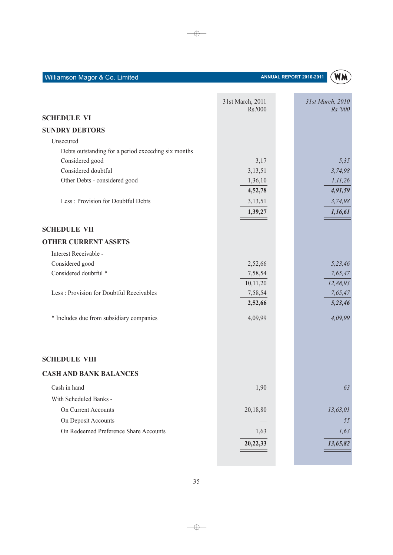|                                                     | 31st March, 2011 | 31st March, 2010 |
|-----------------------------------------------------|------------------|------------------|
|                                                     | Rs.'000          | Rs.'000          |
| <b>SCHEDULE VI</b>                                  |                  |                  |
| <b>SUNDRY DEBTORS</b>                               |                  |                  |
| Unsecured                                           |                  |                  |
| Debts outstanding for a period exceeding six months |                  |                  |
| Considered good                                     | 3,17             | 5,35             |
| Considered doubtful                                 | 3,13,51          | 3,74,98          |
| Other Debts - considered good                       | 1,36,10          | 1, 11, 26        |
|                                                     | 4,52,78          | 4,91,59          |
| Less: Provision for Doubtful Debts                  | 3,13,51          | 3,74,98          |
|                                                     | 1,39,27          | 1,16,61          |
| <b>SCHEDULE VII</b>                                 |                  |                  |
| <b>OTHER CURRENT ASSETS</b>                         |                  |                  |
| Interest Receivable -                               |                  |                  |
| Considered good                                     | 2,52,66          | 5,23,46          |
| Considered doubtful <sup>*</sup>                    | 7,58,54          | 7,65,47          |
|                                                     | 10,11,20         | 12,88,93         |
| Less: Provision for Doubtful Receivables            | 7,58,54          | 7,65,47          |
|                                                     | 2,52,66          | 5,23,46          |
| * Includes due from subsidiary companies            | 4,09,99          | 4,09,99          |
|                                                     |                  |                  |
| <b>SCHEDULE VIII</b>                                |                  |                  |
| <b>CASH AND BANK BALANCES</b>                       |                  |                  |
| Cash in hand                                        | 1,90             | 63               |
| With Scheduled Banks -                              |                  |                  |
| On Current Accounts                                 | 20,18,80         | 13,63,01         |
| On Deposit Accounts                                 |                  | 55               |
| On Redeemed Preference Share Accounts               | 1,63             | 1,63             |
|                                                     | 20,22,33         | 13,65,82         |
|                                                     |                  |                  |
|                                                     |                  |                  |

35

 $\longrightarrow$ 

### ANNUAL REPORT 2010-2011

(WM)

 $\longrightarrow$ 

Williamson Magor & Co. Limited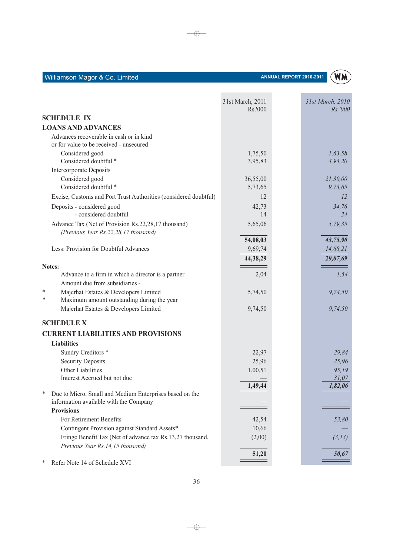

|                                                                                     | 31st March, 2011<br>Rs.'000 | 31st March, 2010<br>Rs.'000 |
|-------------------------------------------------------------------------------------|-----------------------------|-----------------------------|
| <b>SCHEDULE IX</b>                                                                  |                             |                             |
| <b>LOANS AND ADVANCES</b>                                                           |                             |                             |
| Advances recoverable in cash or in kind                                             |                             |                             |
| or for value to be received - unsecured                                             |                             |                             |
| Considered good                                                                     | 1,75,50                     | 1,63,58                     |
| Considered doubtful *                                                               | 3,95,83                     | 4,94,20                     |
| Intercorporate Deposits                                                             |                             |                             |
| Considered good                                                                     | 36,55,00                    | 21,30,00                    |
| Considered doubtful *                                                               | 5,73,65                     | 9,73,65                     |
| Excise, Customs and Port Trust Authorities (considered doubtful)                    | 12                          | 12                          |
| Deposits - considered good                                                          | 42,73                       | 34,76                       |
| - considered doubtful                                                               | 14                          | 24                          |
| Advance Tax (Net of Provision Rs.22,28,17 thousand)                                 | 5,65,06                     | 5,79,35                     |
| (Previous Year Rs.22,28,17 thousand)                                                |                             |                             |
|                                                                                     | 54,08,03                    | 43,75,90                    |
| Less: Provision for Doubtful Advances                                               | 9,69,74                     | 14,68,21                    |
|                                                                                     | 44,38,29                    | 29,07,69                    |
| Notes:                                                                              |                             |                             |
| Advance to a firm in which a director is a partner                                  | 2,04                        | 1,54                        |
| Amount due from subsidiaries -                                                      |                             |                             |
| Majerhat Estates & Developers Limited<br>*<br>*                                     | 5,74,50                     | 9,74,50                     |
| Maximum amount outstanding during the year<br>Majerhat Estates & Developers Limited |                             |                             |
|                                                                                     | 9,74,50                     | 9,74,50                     |
| <b>SCHEDULE X</b>                                                                   |                             |                             |
| <b>CURRENT LIABILITIES AND PROVISIONS</b>                                           |                             |                             |
| <b>Liabilities</b>                                                                  |                             |                             |
| Sundry Creditors *                                                                  | 22,97                       | 29,84                       |
| <b>Security Deposits</b>                                                            | 25,96                       | 25,96                       |
| Other Liabilities                                                                   | 1,00,51                     | 95,19                       |
| Interest Accrued but not due                                                        |                             | 31,07                       |
|                                                                                     | 1,49,44                     | 1,82,06                     |
| ∗<br>Due to Micro, Small and Medium Enterprises based on the                        |                             |                             |
| information available with the Company                                              |                             |                             |
| <b>Provisions</b>                                                                   |                             |                             |
| For Retirement Benefits                                                             | 42,54                       | 53,80                       |
| Contingent Provision against Standard Assets*                                       | 10,66                       |                             |
| Fringe Benefit Tax (Net of advance tax Rs.13,27 thousand,                           | (2,00)                      | (3,13)                      |
| Previous Year Rs.14,15 thousand)                                                    | 51,20                       | 50,67                       |
| Refer Note 14 of Schedule XVI<br>∗                                                  |                             |                             |
|                                                                                     |                             |                             |

 $\rightarrow$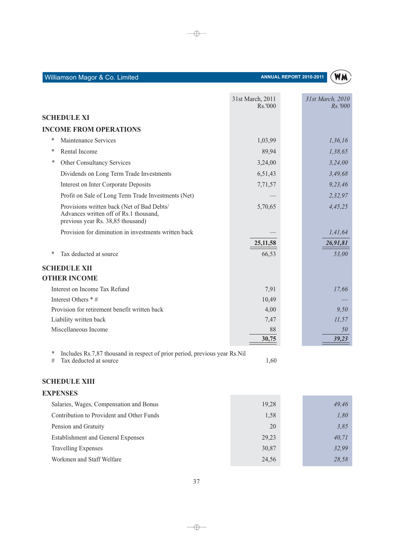|        |                                                                                                                           | 31st March, 2011<br>Rs.000 | 31st March, 2010<br>Rs.7000 |
|--------|---------------------------------------------------------------------------------------------------------------------------|----------------------------|-----------------------------|
|        | <b>SCHEDULE XI</b>                                                                                                        |                            |                             |
|        | <b>INCOME FROM OPERATIONS</b>                                                                                             |                            |                             |
| ∗      | Maintenance Services                                                                                                      | 1,03,99                    | 1,36,16                     |
| ∗      | Rental Income                                                                                                             | 89,94                      | 1,38,65                     |
| *      | Other Consultancy Services                                                                                                | 3,24,00                    | 3,24,00                     |
|        | Dividends on Long Term Trade Investments                                                                                  | 6,51,43                    | 3,49,68                     |
|        | Interest on Inter Corporate Deposits                                                                                      | 7,71,57                    | 9,23,46                     |
|        | Profit on Sale of Long Term Trade Investments (Net)                                                                       |                            | 2,32,97                     |
|        | Provisions written back (Net of Bad Debts/<br>Advances written off of Rs.1 thousand,<br>previous year Rs. 38,85 thousand) | 5,70,65                    | 4,45,25                     |
|        | Provision for diminution in investments written back                                                                      |                            | 1,41,64                     |
|        |                                                                                                                           | 25, 11, 58                 | 26,91,81                    |
| *      | Tax deducted at source                                                                                                    | 66,53                      | 53,00                       |
|        | <b>SCHEDULE XII</b>                                                                                                       |                            |                             |
|        | <b>OTHER INCOME</b>                                                                                                       |                            |                             |
|        | Interest on Income Tax Refund                                                                                             | 7,91                       | 17,66                       |
|        | Interest Others * #                                                                                                       | 10,49                      |                             |
|        | Provision for retirement benefit written back                                                                             | 4,00                       | 9,50                        |
|        | Liability written back                                                                                                    | 7,47                       | 11,57                       |
|        | Miscellaneous Income                                                                                                      | 88                         | 50                          |
|        |                                                                                                                           | 30,75                      | 39,23                       |
| ∗<br># | Includes Rs.7,87 thousand in respect of prior period, previous year Rs.Nil<br>Tax deducted at source                      | 1,60                       |                             |

 $\rightarrow$ 

(WM)

ANNUAL REPORT 2010-2011

# **SCHEDULE XIII**

Williamson Magor & Co. Limited

| <b>EXPENSES</b>                           |       |       |
|-------------------------------------------|-------|-------|
| Salaries, Wages, Compensation and Bonus   | 19,28 | 49,46 |
| Contribution to Provident and Other Funds | 1,58  | 1,80  |
| Pension and Gratuity                      | 20    | 3,85  |
| <b>Establishment and General Expenses</b> | 29,23 | 40,71 |
| <b>Travelling Expenses</b>                | 30,87 | 32,99 |
| Workmen and Staff Welfare                 | 24,56 | 28.58 |

37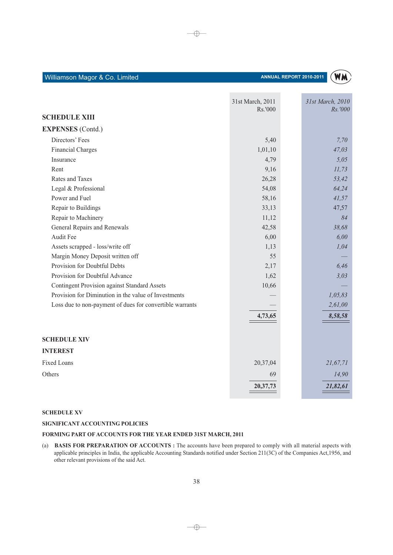| Williamson Magor & Co. Limited |  |  |
|--------------------------------|--|--|
|                                |  |  |



|                                                          | 31st March, 2011<br>Rs.'000 | 31st March, 2010<br>Rs.'000 |
|----------------------------------------------------------|-----------------------------|-----------------------------|
| <b>SCHEDULE XIII</b>                                     |                             |                             |
| <b>EXPENSES</b> (Contd.)                                 |                             |                             |
| Directors' Fees                                          | 5,40                        | 7,70                        |
| <b>Financial Charges</b>                                 | 1,01,10                     | 47,03                       |
| Insurance                                                | 4,79                        | 5,05                        |
| Rent                                                     | 9,16                        | 11,73                       |
| Rates and Taxes                                          | 26,28                       | 53,42                       |
| Legal & Professional                                     | 54,08                       | 64,24                       |
| Power and Fuel                                           | 58,16                       | 41,57                       |
| Repair to Buildings                                      | 33,13                       | 47,57                       |
| Repair to Machinery                                      | 11,12                       | 84                          |
| General Repairs and Renewals                             | 42,58                       | 38,68                       |
| <b>Audit Fee</b>                                         | 6,00                        | 6,00                        |
| Assets scrapped - loss/write off                         | 1,13                        | 1,04                        |
| Margin Money Deposit written off                         | 55                          |                             |
| Provision for Doubtful Debts                             | 2,17                        | 6,46                        |
| Provision for Doubtful Advance                           | 1,62                        | 3,03                        |
| <b>Contingent Provision against Standard Assets</b>      | 10,66                       |                             |
| Provision for Diminution in the value of Investments     |                             | 1,05,83                     |
| Loss due to non-payment of dues for convertible warrants |                             | 2,61,00                     |
|                                                          | 4,73,65                     | 8,58,58                     |
| <b>SCHEDULE XIV</b>                                      |                             |                             |
| <b>INTEREST</b>                                          |                             |                             |
| <b>Fixed Loans</b>                                       | 20,37,04                    | 21,67,71                    |
| Others                                                   | 69                          | 14,90                       |
|                                                          | 20,37,73                    | 21,82,61                    |

 $\bigoplus$ 

### **SCHEDULE XV**

### SIGNIFICANT ACCOUNTING POLICIES

### FORMING PART OF ACCOUNTS FOR THE YEAR ENDED 31ST MARCH, 2011

(a) BASIS FOR PREPARATION OF ACCOUNTS : The accounts have been prepared to comply with all material aspects with applicable principles in India, the applicable Accounting Standards notified under Section 211(3C) of the Companies Act, 1956, and other relevant provisions of the said Act.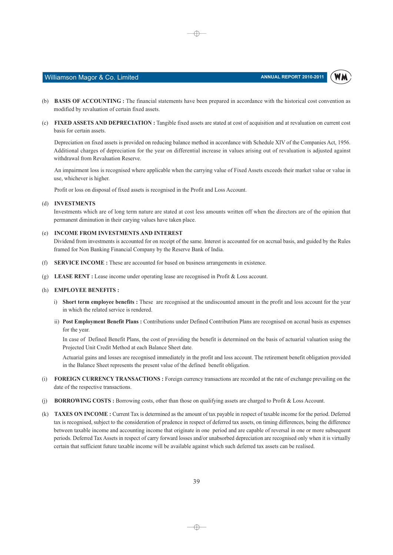WM



(b) BASIS OF ACCOUNTING : The financial statements have been prepared in accordance with the historical cost convention as modified by revaluation of certain fixed assets.

⊕

(c) FIXED ASSETS AND DEPRECIATION : Tangible fixed assets are stated at cost of acquisition and at revaluation on current cost basis for certain assets.

Depreciation on fixed assets is provided on reducing balance method in accordance with Schedule XIV of the Companies Act. 1956. Additional charges of depreciation for the year on differential increase in values arising out of revaluation is adjusted against withdrawal from Revaluation Reserve.

An impairment loss is recognised where applicable when the carrying value of Fixed Assets exceeds their market value or value in use, whichever is higher.

Profit or loss on disposal of fixed assets is recognised in the Profit and Loss Account.

### (d) INVESTMENTS

Investments which are of long term nature are stated at cost less amounts written off when the directors are of the opinion that permanent diminution in their carying values have taken place.

### (e) INCOME FROM INVESTMENTS AND INTEREST

Dividend from investments is accounted for on receipt of the same. Interest is accounted for on accrual basis, and guided by the Rules framed for Non Banking Financial Company by the Reserve Bank of India.

- (f) SERVICE INCOME : These are accounted for based on business arrangements in existence.
- (g) LEASE RENT : Lease income under operating lease are recognised in Profit & Loss account.

### (h) EMPLOYEE BENEFITS:

- i) Short term employee benefits : These are recognised at the undiscounted amount in the profit and loss account for the year in which the related service is rendered.
- ii) Post Employment Benefit Plans: Contributions under Defined Contribution Plans are recognised on accrual basis as expenses for the year.

In case of Defined Benefit Plans, the cost of providing the benefit is determined on the basis of actuarial valuation using the Projected Unit Credit Method at each Balance Sheet date.

Actuarial gains and losses are recognised immediately in the profit and loss account. The retirement benefit obligation provided in the Balance Sheet represents the present value of the defined benefit obligation.

- (i) FOREIGN CURRENCY TRANSACTIONS: Foreign currency transactions are recorded at the rate of exchange prevailing on the date of the respective transactions.
- **BORROWING COSTS**: Borrowing costs, other than those on qualifying assets are charged to Profit & Loss Account.  $(i)$
- (k) TAXES ON INCOME : Current Tax is determined as the amount of tax payable in respect of taxable income for the period. Deferred tax is recognised, subject to the consideration of prudence in respect of deferred tax assets, on timing differences, being the difference between taxable income and accounting income that originate in one period and are capable of reversal in one or more subsequent periods. Deferred Tax Assets in respect of carry forward losses and/or unabsorbed depreciation are recognised only when it is virtually certain that sufficient future taxable income will be available against which such deferred tax assets can be realised.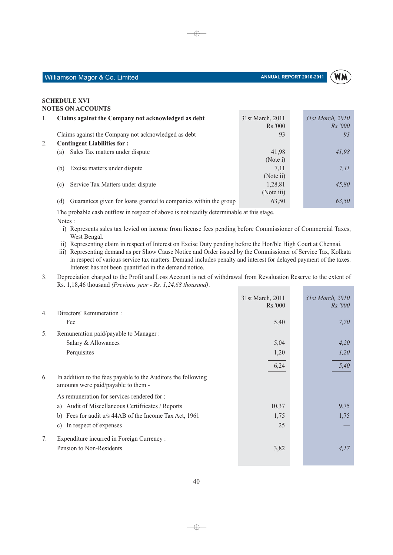WM

### **SCHEDULE XVI NOTES ON ACCOUNTS**

| 1. | Claims against the Company not acknowledged as debt                     | 31st March, 2011<br>Rs.'000 | 31st March, 2010<br><i>Rs.'000</i> |
|----|-------------------------------------------------------------------------|-----------------------------|------------------------------------|
|    | Claims against the Company not acknowledged as debt                     | 93                          | 93                                 |
| 2. | <b>Contingent Liabilities for:</b>                                      |                             |                                    |
|    | Sales Tax matters under dispute<br>(a)                                  | 41,98                       | 41,98                              |
|    |                                                                         | (Note i)                    |                                    |
|    | Excise matters under dispute<br>(b)                                     | 7.11                        | 7.11                               |
|    |                                                                         | (Note ii)                   |                                    |
|    | Service Tax Matters under dispute<br>(c)                                | 1,28,81                     | 45,80                              |
|    |                                                                         | (Note iii)                  |                                    |
|    | Guarantees given for loans granted to companies within the group<br>(d) | 63,50                       | 63.50                              |

 $\oplus$ 

The probable cash outflow in respect of above is not readily determinable at this stage. Notes:

- i) Represents sales tax levied on income from license fees pending before Commissioner of Commercial Taxes, West Bengal.
- ii) Representing claim in respect of Interest on Excise Duty pending before the Hon'ble High Court at Chennai.

iii) Representing demand as per Show Cause Notice and Order issued by the Commissioner of Service Tax, Kolkata in respect of various service tax matters. Demand includes penalty and interest for delayed payment of the taxes. Interest has not been quantified in the demand notice.

 $3.$ Depreciation charged to the Profit and Loss Account is net of withdrawal from Revaluation Reserve to the extent of Rs. 1,18,46 thousand (Previous year - Rs. 1,24,68 thousand).

|                                                                                                            | 31st March, 2011<br>Rs.'000 | 31st March, 2010<br><i>Rs.</i> '000 |
|------------------------------------------------------------------------------------------------------------|-----------------------------|-------------------------------------|
| Directors' Remuneration :<br>$\overline{4}$ .                                                              |                             |                                     |
| Fee                                                                                                        | 5,40                        | 7.70                                |
| Remuneration paid/payable to Manager :<br>5.                                                               |                             |                                     |
| Salary & Allowances                                                                                        | 5,04                        | 4,20                                |
| Perquisites                                                                                                | 1,20                        | 1,20                                |
|                                                                                                            | 6,24                        | 5,40                                |
| In addition to the fees payable to the Auditors the following<br>6.<br>amounts were paid/payable to them - |                             |                                     |
| As remuneration for services rendered for:                                                                 |                             |                                     |
| Audit of Miscellaneous Certifricates / Reports<br>a)                                                       | 10,37                       | 9,75                                |
| Fees for audit u/s 44AB of the Income Tax Act, 1961<br>b)                                                  | 1,75                        | 1,75                                |
| In respect of expenses<br>$\mathcal{C}$ )                                                                  | 25                          |                                     |
| Expenditure incurred in Foreign Currency :<br>7.                                                           |                             |                                     |
| Pension to Non-Residents                                                                                   | 3,82                        | 4,17                                |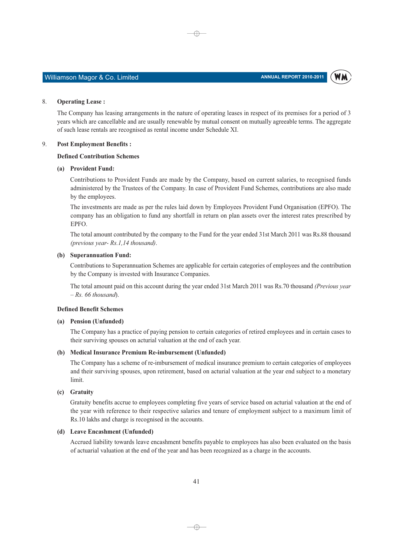WM

### Williamson Magor & Co. Limited

#### 8. **Operating Lease:**

The Company has leasing arrangements in the nature of operating leases in respect of its premises for a period of 3 years which are cancellable and are usually renewable by mutual consent on mutually agreeable terms. The aggregate of such lease rentals are recognised as rental income under Schedule XI.

 $\oplus$ 

#### 9. **Post Employment Benefits:**

### **Defined Contribution Schemes**

### (a) Provident Fund:

Contributions to Provident Funds are made by the Company, based on current salaries, to recognised funds administered by the Trustees of the Company. In case of Provident Fund Schemes, contributions are also made by the employees.

The investments are made as per the rules laid down by Employees Provident Fund Organisation (EPFO). The company has an obligation to fund any shortfall in return on plan assets over the interest rates prescribed by EPFO.

The total amount contributed by the company to the Fund for the year ended 31st March 2011 was Rs.88 thousand (previous year-Rs.1,14 thousand).

### (b) Superannuation Fund:

Contributions to Superannuation Schemes are applicable for certain categories of employees and the contribution by the Company is invested with Insurance Companies.

The total amount paid on this account during the year ended 31st March 2011 was Rs.70 thousand (Previous year  $-Rs. 66$  thousand).

### **Defined Benefit Schemes**

### (a) Pension (Unfunded)

The Company has a practice of paying pension to certain categories of retired employees and in certain cases to their surviving spouses on acturial valuation at the end of each year.

### (b) Medical Insurance Premium Re-imbursement (Unfunded)

The Company has a scheme of re-imbursement of medical insurance premium to certain categories of employees and their surviving spouses, upon retirement, based on acturial valuation at the year end subject to a monetary limit.

### (c) Gratuity

Gratuity benefits accrue to employees completing five years of service based on acturial valuation at the end of the year with reference to their respective salaries and tenure of employment subject to a maximum limit of Rs.10 lakhs and charge is recognised in the accounts.

### (d) Leave Encashment (Unfunded)

Accrued liability towards leave encashment benefits payable to employees has also been evaluated on the basis of actuarial valuation at the end of the year and has been recognized as a charge in the accounts.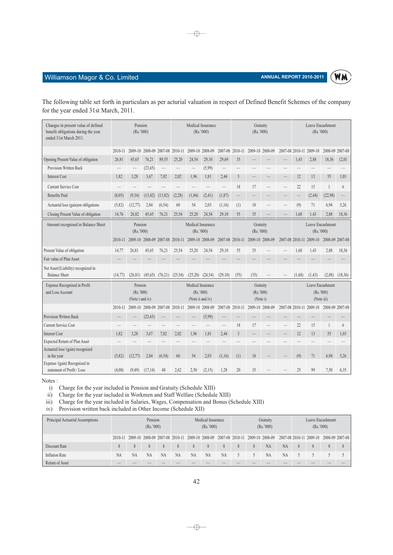

# Williamson Magor & Co. Limited

| The following table set forth in particulars as per acturial valuation in respect of Defined Benefit Schemes of the company |  |
|-----------------------------------------------------------------------------------------------------------------------------|--|
| for the year ended 31st March, 2011.                                                                                        |  |

 $\overline{\bigoplus}$ 

| Changes in present value of defined<br>benefit obligations during the year<br>ended 31st March 2011. |          | Pension<br>(Rs.'000)                    |          |                                 |         |                                                 | Medical Insurance<br>(Rs.'000) |         |                | Gratuity<br>(Rs.'000)             |                 |                 | Leave Encashment<br>(Rs.'000) |                                             |         |
|------------------------------------------------------------------------------------------------------|----------|-----------------------------------------|----------|---------------------------------|---------|-------------------------------------------------|--------------------------------|---------|----------------|-----------------------------------|-----------------|-----------------|-------------------------------|---------------------------------------------|---------|
|                                                                                                      | 2010-11  | 2009-10                                 | 2008-09  | 2007-08                         | 2010-11 |                                                 | 2009-10 2008-09                | 2007-08 | 2010-11        |                                   | 2009-10 2008-09 | 2007-08 2010-11 | 2009-10                       | 2008-09 2007-08                             |         |
| Opening Present Value of obligation                                                                  | 26,81    | 45,65                                   | 76,21    | 89,55                           | 25,20   | 24,54                                           | 29,10                          | 29,69   | 35             |                                   |                 | 1,43            | 2,88                          | 18,36                                       | 12,01   |
| Provision Written Back                                                                               |          |                                         | (23, 65) |                                 |         |                                                 | (5,99)                         |         |                |                                   |                 |                 |                               |                                             |         |
| <b>Interest Cost</b>                                                                                 | 1,82     | 3,28                                    | 3.67     | 7,02                            | 2,02    | 1,96                                            | 1,81                           | 2,44    | $\overline{3}$ |                                   |                 | 12              | 13                            | 55                                          | 1,03    |
| <b>Current Service Cost</b>                                                                          |          |                                         |          |                                 |         |                                                 |                                |         | 18             | 17                                |                 | 22              | 15                            | $\mathbf{1}$                                | 6       |
| <b>Benefits Paid</b>                                                                                 | (8,05)   | (9, 34)                                 | (13, 42) | (13, 82)                        | (2, 28) | (1, 84)                                         | (2, 41)                        | (1, 87) |                |                                   |                 |                 | (2, 44)                       | (22,98)                                     |         |
| Actuarial loss (gain)on obligations                                                                  | (5, 82)  | (12,77)                                 | 2.84     | (6, 54)                         | 60      | 54                                              | 2,03                           | (1,16)  | (1)            | 18                                |                 | (9)             | 71                            | 6,94                                        | 5,26    |
| Closing Present Value of obligation                                                                  | 14,76    | 26,82                                   | 45,65    | 76,21                           | 25.54   | 25.20                                           | 24,54                          | 29,10   | 55             | 35                                |                 | 1,68            | 1,43                          | 2,88                                        | 18,36   |
| Amount recognised in Balance Sheet                                                                   |          | Pension<br>(Rs.'000)                    |          |                                 |         | Medical Insurance<br>(Rs. '000)                 |                                |         |                | Gratuity<br>(Rs.7000)             |                 |                 | (Rs. '000)                    | Leave Encashment                            |         |
|                                                                                                      | 2010-11  |                                         |          |                                 |         | 2009-10 2008-09 2007-08 2010-11 2009-10 2008-09 |                                | 2007-08 | 2010-11        |                                   | 2009-10 2008-09 |                 | 2007-08 2010-11 2009-10       | 2008-09 2007-08                             |         |
| Present Value of obligation                                                                          | 14,77    | 26,81                                   | 45,65    | 76,21                           | 25,54   | 25,20                                           | 24,54                          | 29,10   | 55             | 35                                |                 | 1,68            | 1.43                          | 2.88                                        | 18,36   |
| Fair value of Plan Asset                                                                             |          |                                         |          |                                 |         |                                                 |                                |         |                |                                   |                 |                 |                               |                                             |         |
| Net Asset/(Liability) recognized in<br><b>Balance Sheet</b>                                          | (14, 77) | (26.81)                                 | (45,65)  | (76,21)                         | (25,54) | (25,20)                                         | (24, 54)                       | (29,10) | (55)           | (35)                              |                 | (1,68)          | (1,43)                        | (2,88)                                      | (18,36) |
| Expense Recognized in Profit<br>and Loss Account                                                     |          | Pension<br>(Rs.'000)<br>(Note i and iv) |          |                                 |         | Medical Insurance<br>(Note ii and iv)           | (Rs. '000)                     |         |                | Gratuity<br>(Rs.'000)<br>(Note i) |                 |                 |                               | Leave Encashment<br>(Rs.'000)<br>(Note iii) |         |
|                                                                                                      | 2010-11  |                                         |          | 2009-10 2008-09 2007-08 2010-11 |         |                                                 | 2009-10 2008-09                | 2007-08 | 2010-11        |                                   | 2009-10 2008-09 |                 | 2007-08 2010-11 2009-10       | 2008-09 2007-08                             |         |
| Provision Written Back                                                                               |          |                                         | (23, 65) |                                 |         |                                                 | (5,99)                         |         |                |                                   |                 |                 |                               |                                             |         |
| <b>Current Service Cost</b>                                                                          |          |                                         |          |                                 |         |                                                 |                                |         | 18             | 17                                |                 | 22              | 15                            | $\mathbf{1}$                                | 6       |
| <b>Interest Cost</b>                                                                                 | 1.82     | 3.28                                    | 3.67     | 7.02                            | 2.02    | 1.96                                            | 1.81                           | 2.44    | $\overline{3}$ |                                   |                 | 12              | 13                            | 55                                          | 1.03    |
| Expected Return of Plan Asset                                                                        |          |                                         |          |                                 |         |                                                 |                                |         |                |                                   |                 |                 |                               |                                             |         |
| Actuarial loss/ (gain) recognized<br>in the year                                                     | (5, 82)  | (12,77)                                 | 2,84     | (6, 54)                         | 60      | 54                                              | 2,03                           | (1,16)  | (1)            | 18                                |                 | (9)             | 71                            | 6,94                                        | 5.26    |
| Expense /(gain) Recognized in<br>statement of Profit / Loss                                          | (4,00)   | (9, 49)                                 | (17,14)  | 48                              | 2,62    | 2,50                                            | (2,15)                         | 1,28    | 20             | 35                                |                 | 25              | 99                            | 7.50                                        | 6,35    |

Notes:

i) Charge for the year included in Pension and Gratuity (Schedule XIII)

ii) Charge for the year included in Workmen and Staff Welfare (Schedule XIII)

iii) Charge for the year included in Salaries, Wages, Compensation and Bonus (Schedule XIII)

iv) Provision written back included in Other Income (Schedule XII)

| Principal Actuarial Assumptions | Pension<br>(Rs.'000) |    | Medical Insurance<br>(Rs.'000) |    |           | Gratuity<br>(Rs.'000) |                                                                 |           |  | Leave Encashment<br>(Rs.'000) |                 |           |   |                                         |  |  |
|---------------------------------|----------------------|----|--------------------------------|----|-----------|-----------------------|-----------------------------------------------------------------|-----------|--|-------------------------------|-----------------|-----------|---|-----------------------------------------|--|--|
|                                 | 2010-11              |    |                                |    |           |                       | 2009-10 2008-09 2007-08 2010-11 2009-10 2008-09 2007-08 2010-11 |           |  |                               | 2009-10 2008-09 |           |   | 2007-08 2010-11 2009-10 2008-09 2007-08 |  |  |
| Discount Rate                   |                      | 8  |                                |    | 8         | 8                     | 8                                                               | 8         |  | 8                             | <b>NA</b>       | <b>NA</b> | 8 |                                         |  |  |
| <b>Inflation Rate</b>           | <b>NA</b>            | NA | <b>NA</b>                      | NА | <b>NA</b> | <b>NA</b>             | NA                                                              | <b>NA</b> |  |                               | <b>NA</b>       | <b>NA</b> |   |                                         |  |  |
| Return of Asset                 |                      |    |                                |    |           |                       |                                                                 |           |  |                               |                 |           |   |                                         |  |  |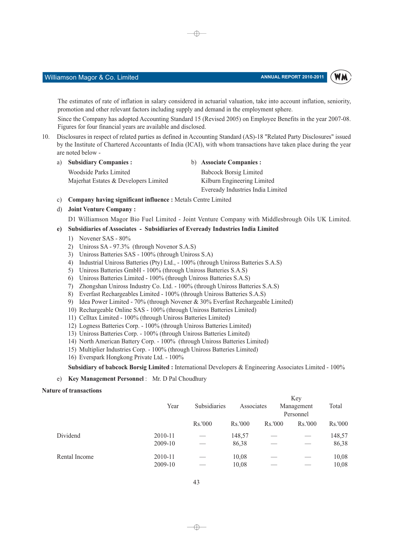WM

The estimates of rate of inflation in salary considered in actuarial valuation, take into account inflation, seniority, promotion and other relevant factors including supply and demand in the employment sphere.

⊕

Since the Company has adopted Accounting Standard 15 (Revised 2005) on Employee Benefits in the year 2007-08. Figures for four financial years are available and disclosed.

- Disclosures in respect of related parties as defined in Accounting Standard (AS)-18 "Related Party Disclosures" issued  $10<sup>1</sup>$ by the Institute of Chartered Accountants of India (ICAI), with whom transactions have taken place during the year are noted below
	- a) **Subsidiary Companies:** b) Associate Companies : **Woodside Parks Limited Babcock Borsig Limited** Majerhat Estates & Developers Limited Kilburn Engineering Limited Eveready Industries India Limited
	- c) Company having significant influence : Metals Centre Limited
	- d) Joint Venture Company:
		- D1 Williamson Magor Bio Fuel Limited Joint Venture Company with Middlesbrough Oils UK Limited.

### e) Subsidiaries of Associates - Subsidiaries of Eveready Industries India Limited

- Novener SAS 80%  $1)$
- $2)$ Uniross SA - 97.3% (through Novenor S.A.S)
- $3)$ Uniross Batteries SAS - 100% (through Uniross S.A)
- $4)$ Industrial Uniross Batteries (Pty) Ltd., - 100% (through Uniross Batteries S.A.S)
- 5) Uniross Batteries GmbH 100% (through Uniross Batteries S.A.S)
- 6) Uniross Batteries Limited 100% (through Uniross Batteries S.A.S)
- 7) Zhongshan Uniross Industry Co. Ltd. 100% (through Uniross Batteries S.A.S)
- 8) Everfast Rechargeables Limited 100% (through Uniross Batteries S.A.S)
- 9) Idea Power Limited 70% (through Novener & 30% Everfast Rechargeable Limited)
- 10) Rechargeable Online SAS 100% (through Uniross Batteries Limited)
- 11) Celltax Limited 100% (through Uniross Batteries Limited)
- 12) Logness Batteries Corp. 100% (through Uniross Batteries Limited)
- 13) Uniross Batteries Corp. 100% (through Uniross Batteries Limited)
- 14) North American Battery Corp. 100% (through Uniross Batteries Limited)
- 15) Multiplier Industries Corp. 100% (through Uniross Batteries Limited)
- 16) Everspark Hongkong Private Ltd. 100%

### Subsidiary of babcock Borsig Limited : International Developers & Engineering Associates Limited - 100%

e) Key Management Personnel: Mr. D Pal Choudhury

### **Nature of transactions**

|               |         |              | Key        |         |                         |         |  |  |  |  |
|---------------|---------|--------------|------------|---------|-------------------------|---------|--|--|--|--|
|               | Year    | Subsidiaries | Associates |         | Management<br>Personnel | Total   |  |  |  |  |
|               |         | Rs.'000      | Rs.'000    | Rs.'000 | Rs.'000                 | Rs.'000 |  |  |  |  |
| Dividend      | 2010-11 |              | 148,57     |         |                         | 148,57  |  |  |  |  |
|               | 2009-10 |              | 86,38      |         |                         | 86,38   |  |  |  |  |
| Rental Income | 2010-11 |              | 10,08      |         |                         | 10,08   |  |  |  |  |
|               | 2009-10 |              | 10,08      |         |                         | 10,08   |  |  |  |  |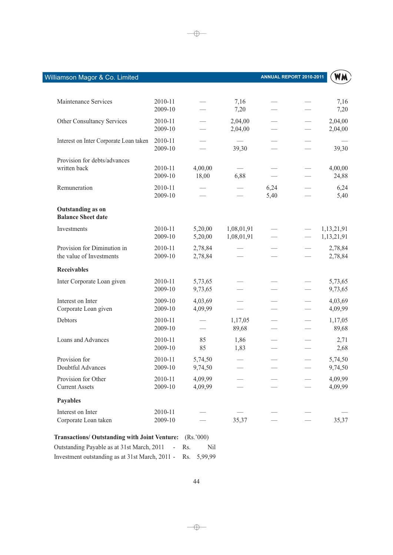| Maintenance Services                                    | 2010-11<br>2009-10 |                    | 7,16<br>7,20             |              | 7,16<br>7,20             |
|---------------------------------------------------------|--------------------|--------------------|--------------------------|--------------|--------------------------|
| Other Consultancy Services                              | 2010-11<br>2009-10 |                    | 2,04,00<br>2,04,00       |              | 2,04,00<br>2,04,00       |
| Interest on Inter Corporate Loan taken                  | 2010-11<br>2009-10 |                    | 39,30                    |              | 39,30                    |
| Provision for debts/advances<br>written back            | 2010-11<br>2009-10 | 4,00,00<br>18,00   | 6,88                     |              | 4,00,00<br>24,88         |
| Remuneration                                            | 2010-11<br>2009-10 |                    |                          | 6,24<br>5,40 | 6,24<br>5,40             |
| <b>Outstanding as on</b><br><b>Balance Sheet date</b>   |                    |                    |                          |              |                          |
| Investments                                             | 2010-11<br>2009-10 | 5,20,00<br>5,20,00 | 1,08,01,91<br>1,08,01,91 |              | 1,13,21,91<br>1,13,21,91 |
| Provision for Diminution in<br>the value of Investments | 2010-11<br>2009-10 | 2,78,84<br>2,78,84 |                          |              | 2,78,84<br>2,78,84       |
| <b>Receivables</b>                                      |                    |                    |                          |              |                          |
| Inter Corporate Loan given                              | 2010-11<br>2009-10 | 5,73,65<br>9,73,65 |                          |              | 5,73,65<br>9,73,65       |
| Interest on Inter<br>Corporate Loan given               | 2009-10<br>2009-10 | 4,03,69<br>4,09,99 |                          |              | 4,03,69<br>4,09,99       |
| Debtors                                                 | 2010-11<br>2009-10 |                    | 1,17,05<br>89,68         |              | 1,17,05<br>89,68         |
| Loans and Advances                                      | 2010-11<br>2009-10 | 85<br>85           | 1,86<br>1,83             |              | 2,71<br>2,68             |
| Provision for<br>Doubtful Advances                      | 2010-11<br>2009-10 | 5,74,50<br>9,74,50 |                          |              | 5,74,50<br>9,74,50       |
| Provision for Other<br><b>Current Assets</b>            | 2010-11<br>2009-10 | 4,09,99<br>4,09,99 |                          |              | 4,09,99<br>4,09,99       |
| <b>Payables</b>                                         |                    |                    |                          |              |                          |
| Interest on Inter<br>Corporate Loan taken               | 2010-11<br>2009-10 |                    | 35,37                    |              | 35,37                    |
| <b>Transactions/ Outstanding with Joint Venture:</b>    |                    | (Rs.'000)          |                          |              |                          |

 $\rightarrow$ 

| Outstanding Payable as at 31st March, 2011 - Rs.            | Nil |
|-------------------------------------------------------------|-----|
| Investment outstanding as at 31st March, 2011 - Rs. 5,99,99 |     |

 $\longrightarrow$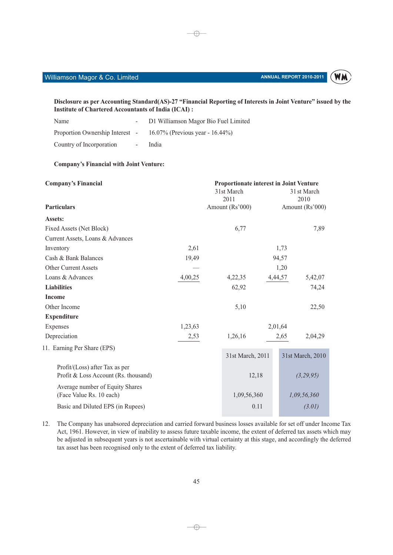### ANNUAL REPORT 2010-2011



Disclosure as per Accounting Standard(AS)-27 "Financial Reporting of Interests in Joint Venture" issued by the **Institute of Chartered Accountants of India (ICAI):** 

 $\oplus$ 

| Name                     |            | D1 Williamson Magor Bio Fuel Limited                                 |
|--------------------------|------------|----------------------------------------------------------------------|
|                          |            | Proportion Ownership Interest $-16.07\%$ (Previous year $-16.44\%$ ) |
| Country of Incorporation | $\sim 100$ | India                                                                |

### **Company's Financial with Joint Venture:**

| <b>Company's Financial</b>                                             |         |  | Proportionate interest in Joint Venture |         |       |                  |
|------------------------------------------------------------------------|---------|--|-----------------------------------------|---------|-------|------------------|
|                                                                        |         |  | 31st March                              |         |       | 31 st March      |
| <b>Particulars</b>                                                     |         |  | 2011                                    |         |       | 2010             |
|                                                                        |         |  | Amount (Rs'000)                         |         |       | Amount (Rs'000)  |
| Assets:                                                                |         |  |                                         |         |       |                  |
| Fixed Assets (Net Block)                                               |         |  | 6,77                                    |         |       | 7,89             |
| Current Assets, Loans & Advances                                       |         |  |                                         |         |       |                  |
| Inventory                                                              | 2,61    |  |                                         |         | 1,73  |                  |
| Cash & Bank Balances                                                   | 19,49   |  |                                         |         | 94,57 |                  |
| Other Current Assets                                                   |         |  |                                         |         | 1,20  |                  |
| Loans & Advances                                                       | 4,00,25 |  | 4,22,35                                 | 4,44,57 |       | 5,42,07          |
| <b>Liabilities</b>                                                     |         |  | 62,92                                   |         |       | 74,24            |
| <b>Income</b>                                                          |         |  |                                         |         |       |                  |
| Other Income                                                           |         |  | 5,10                                    |         |       | 22,50            |
| <b>Expenditure</b>                                                     |         |  |                                         |         |       |                  |
| Expenses                                                               | 1,23,63 |  |                                         | 2,01,64 |       |                  |
| Depreciation                                                           | 2,53    |  | 1,26,16                                 |         | 2,65  | 2,04,29          |
| 11. Earning Per Share (EPS)                                            |         |  |                                         |         |       |                  |
|                                                                        |         |  | 31st March, 2011                        |         |       | 31st March, 2010 |
| Profit/(Loss) after Tax as per<br>Profit & Loss Account (Rs. thousand) |         |  | 12,18                                   |         |       | (3,29,95)        |
| Average number of Equity Shares<br>(Face Value Rs. 10 each)            |         |  | 1,09,56,360                             |         |       | 1,09,56,360      |
| Basic and Diluted EPS (in Rupees)                                      |         |  |                                         | 0.11    |       | (3.01)           |
|                                                                        |         |  |                                         |         |       |                  |

12. The Company has unabsored depreciation and carried forward business losses available for set off under Income Tax Act, 1961. However, in view of inability to assess future taxable income, the extent of deferred tax assets which may be adjusted in subsequent years is not ascertainable with virtual certainty at this stage, and accordingly the deferred tax asset has been recognised only to the extent of deferred tax liability.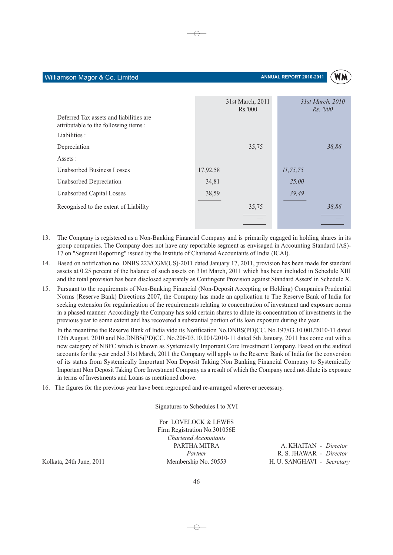

|                                                                                  | 31st March, 2011<br>Rs.'000 | 31st March, 2010<br><i>Rs.</i> '000 |
|----------------------------------------------------------------------------------|-----------------------------|-------------------------------------|
| Deferred Tax assets and liabilities are<br>attributable to the following items : |                             |                                     |
| Liabilities :                                                                    |                             |                                     |
| Depreciation                                                                     | 35,75                       | 38,86                               |
| Assets :                                                                         |                             |                                     |
| <b>Unabsorbed Business Losses</b>                                                | 17,92,58                    | 11, 75, 75                          |
| Unabsorbed Depreciation                                                          | 34,81                       | 25,00                               |
| Unabsorbed Capital Losses                                                        | 38,59                       | 39,49                               |
| Recognised to the extent of Liability                                            | 35,75                       | 38,86                               |
|                                                                                  |                             |                                     |
|                                                                                  |                             |                                     |

⊕

- The Company is registered as a Non-Banking Financial Company and is primarily engaged in holding shares in its  $13<sup>7</sup>$ group companies. The Company does not have any reportable segment as envisaged in Accounting Standard (AS)-17 on "Segment Reporting" issued by the Institute of Chartered Accountants of India (ICAI).
- $14$ Based on notification no. DNBS.223/CGM(US)-2011 dated January 17, 2011, provision has been made for standard assets at 0.25 percent of the balance of such assets on 31st March, 2011 which has been included in Schedule XIII and the total provision has been disclosed separately as Contingent Provision against Standard Assets' in Schedule X.
- Pursuant to the requiremnts of Non-Banking Financial (Non-Deposit Accepting or Holding) Companies Prudential  $15<sup>7</sup>$ Norms (Reserve Bank) Directions 2007, the Company has made an application to The Reserve Bank of India for seeking extension for regularization of the requirements relating to concentration of investment and exposure norms in a phased manner. Accordingly the Company has sold certain shares to dilute its concentration of investments in the previous year to some extent and has recovered a substantial portion of its loan exposure during the year.

In the meantime the Reserve Bank of India vide its Notification No.DNBS(PD)CC. No.197/03.10.001/2010-11 dated 12th August, 2010 and No.DNBS(PD)CC. No.206/03.10.001/2010-11 dated 5th January, 2011 has come out with a new category of NBFC which is known as Systemically Important Core Investment Company. Based on the audited accounts for the year ended 31st March, 2011 the Company will apply to the Reserve Bank of India for the conversion of its status from Systemically Important Non Deposit Taking Non Banking Financial Company to Systemically Important Non Deposit Taking Core Investment Company as a result of which the Company need not dilute its exposure in terms of Investments and Loans as mentioned above.

16. The figures for the previous year have been regrouped and re-arranged wherever necessary.

Signatures to Schedules I to XVI

For LOVELOCK & LEWES Firm Registration No.301056E **Chartered Accountants** PARTHA MITRA Partner Membership No. 50553

A. KHAITAN - Director R. S. JHAWAR - Director H. U. SANGHAVI - Secretary

Kolkata, 24th June, 2011

Williamson Magor & Co. Limited

 $\neg \oplus$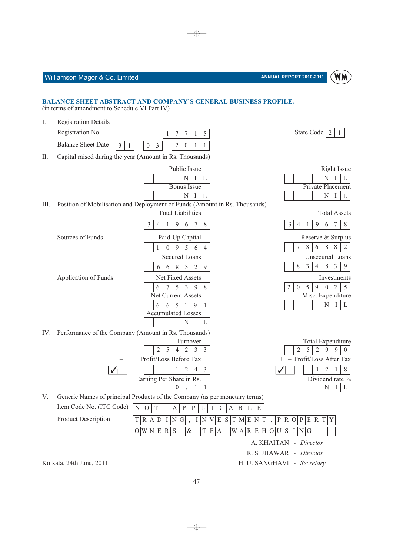5

 $\mathbf{1}$ 



### **BALANCE SHEET ABSTRACT AND COMPANY'S GENERAL BUSINESS PROFILE.** (in terms of amendment to Schedule VI Part IV)

I. **Registration Details** 

> Registration No.  $\mathbf{1}$  $\tau$  $\overline{7}$  $\mathbf{1}$ **Balance Sheet Date**  $0 \mid 3$  $3|$  $\overline{2}$  $\mathbf{0}$  $\vert$  1  $\mathbf{1}$

 $II.$ Capital raised during the year (Amount in Rs. Thousands)

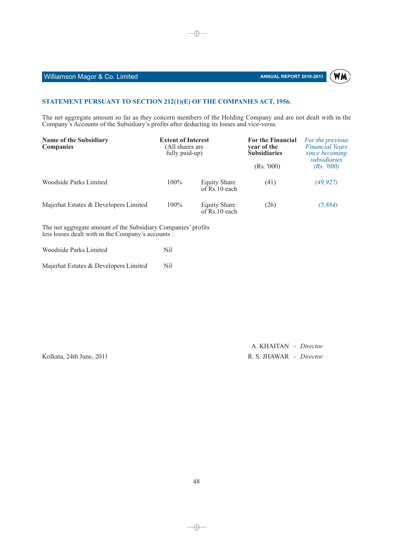### **Williamson Magor & Co. Limited Analysis of the Contract of Analysis of Analysis of Analysis of Analysis of An**

### **NNUAL REPORT 2010-2011**



### **STATEMENT PURSUANT TO SECTION 212(1)(E) OF THE COMPANIES ACT, 1956.**

The net aggregate amount so far as they concern members of the Holding Company and are not dealt with in the Company's Accounts of the Subsidiary's profits after deducting its losses and vice-versa.

 $\bigoplus$ 

| <b>Name of the Subsidiary</b><br><b>Companies</b> | <b>Extent of Interest</b><br>(All shares are<br>fully paid-up) |                                      | <b>For the Financial</b><br>year of the<br><b>Subsidiaries</b> | For the previous<br><b>Financial Years</b><br>since becoming<br>subsidiaries |  |
|---------------------------------------------------|----------------------------------------------------------------|--------------------------------------|----------------------------------------------------------------|------------------------------------------------------------------------------|--|
|                                                   |                                                                |                                      | (Rs. '000)                                                     | (Rs. 7000)                                                                   |  |
| Woodside Parks Limited                            | $100\%$                                                        | <b>Equity Share</b><br>of Rs.10 each | (41)                                                           | (49, 927)                                                                    |  |
| Majerhat Estates & Developers Limited             | $100\%$                                                        | <b>Equity Share</b><br>of Rs.10 each | (26)                                                           | (5,884)                                                                      |  |

The net aggregate amount of the Subsidiary Companies' profits less losses dealt with in the Company's accounts :

| Woodside Parks Limited                |     |  |
|---------------------------------------|-----|--|
| Majerhat Estates & Developers Limited | Nil |  |

Kolkata, 24th June, 2011

A. KHAITAN - Director AWAR - Director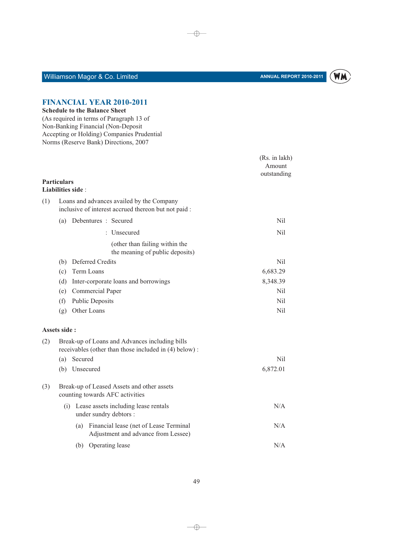

# Williamson Magor & Co. Limited

# **FINANCIAL YEAR 2010-2011**<br>Schedule to the Balance Sheet

| Schedule to the Balance Sheet            |  |
|------------------------------------------|--|
| (As required in terms of Paragraph 13 of |  |

| (As required in terms of Paragraph 15 of   |
|--------------------------------------------|
| Non-Banking Financial (Non-Deposit         |
| Accepting or Holding) Companies Prudential |
| Norms (Reserve Bank) Directions, 2007      |

|                    |     |                   |                                                                                                         | (Rs. in lakh)<br>Amount<br>outstanding |
|--------------------|-----|-------------------|---------------------------------------------------------------------------------------------------------|----------------------------------------|
| <b>Particulars</b> |     | Liabilities side: |                                                                                                         |                                        |
| (1)                |     |                   | Loans and advances availed by the Company<br>inclusive of interest accrued thereon but not paid :       |                                        |
|                    | (a) |                   | Debentures : Secured                                                                                    | Nil                                    |
|                    |     |                   | : Unsecured                                                                                             | Nil                                    |
|                    |     |                   | (other than failing within the<br>the meaning of public deposits)                                       |                                        |
|                    | (b) |                   | Deferred Credits                                                                                        | Nil.                                   |
|                    | (c) |                   | Term Loans                                                                                              | 6,683.29                               |
|                    | (d) |                   | Inter-corporate loans and borrowings                                                                    | 8,348.39                               |
|                    | (e) |                   | Commercial Paper                                                                                        | Nil                                    |
|                    | (f) |                   | <b>Public Deposits</b>                                                                                  | Nil                                    |
|                    | (g) |                   | Other Loans                                                                                             | N <sub>i</sub> l                       |
| Assets side:       |     |                   |                                                                                                         |                                        |
| (2)                |     |                   | Break-up of Loans and Advances including bills<br>receivables (other than those included in (4) below): |                                        |
|                    | (a) | Secured           |                                                                                                         | Nil                                    |
|                    |     | (b) Unsecured     |                                                                                                         | 6,872.01                               |
| (3)                |     |                   | Break-up of Leased Assets and other assets<br>counting towards AFC activities                           |                                        |
|                    |     |                   | (i) Lease assets including lease rentals<br>under sundry debtors :                                      | N/A                                    |
|                    |     |                   | (a) Financial lease (net of Lease Terminal<br>Adjustment and advance from Lessee)                       | N/A                                    |
|                    |     |                   | (b) Operating lease                                                                                     | N/A                                    |

 $\longrightarrow$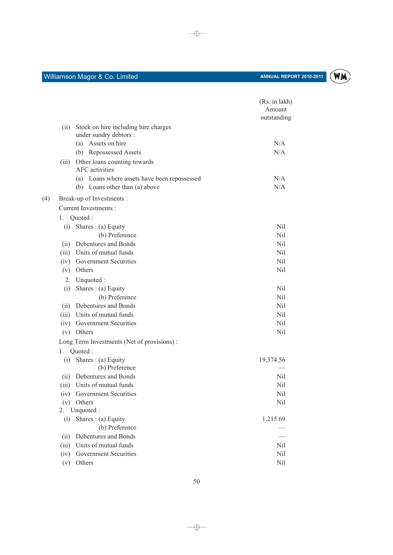$(4)$ 



|       |                                                       | (Rs. in lakh)<br>Amount |
|-------|-------------------------------------------------------|-------------------------|
|       |                                                       | outstanding             |
| (ii)  | Stock on hire including hire charges                  |                         |
|       | under sundry debtors :                                |                         |
|       | (a) Assets on hire                                    | N/A<br>N/A              |
|       | (b) Repossessed Assets                                |                         |
| (iii) | Other loans counting towards<br><b>AFC</b> activities |                         |
|       | (a) Loans where assets have been repossessed          | N/A                     |
|       | (b) Loans other than (a) above                        | N/A                     |
|       | Break-up of Investments :                             |                         |
|       | <b>Current Investments:</b>                           |                         |
| 1.    | Quoted:                                               |                         |
| (i)   | Shares $: (a)$ Equity                                 | Nil                     |
|       | (b) Preference                                        | Nil                     |
| (ii)  | Debentures and Bonds                                  | Nil                     |
| (iii) | Units of mutual funds                                 | Nil                     |
| (iv)  | <b>Government Securities</b>                          | Nil                     |
| (v)   | Others                                                | Nil                     |
| 2.    | Unquoted:                                             |                         |
| (i)   | Shares: (a) Equity                                    | Nil                     |
|       | (b) Preference                                        | Nil                     |
| (ii)  | Debentures and Bonds                                  | Nil                     |
| (iii) | Units of mutual funds                                 | Nil                     |
| (iv)  | Government Securities                                 | Nil<br>Nil              |
| (v)   | Others                                                |                         |
| 1.    | Long Term Investments (Net of provisions):<br>Quoted: |                         |
| (i)   | Shares $: (a)$ Equity                                 | 19,374.56               |
|       | (b) Preference                                        |                         |
| (ii)  | Debentures and Bonds                                  | Nil                     |
|       | (iii) Units of mutual funds                           | Nil                     |
|       | (iv) Government Securities                            | Nil                     |
| (v)   | Others                                                | Nil                     |
| 2.    | Unquoted:                                             |                         |
| (i)   | Shares: $(a)$ Equity                                  | 1,215.69                |
|       | (b) Preference                                        |                         |
| (ii)  | Debentures and Bonds                                  |                         |
| (iii) | Units of mutual funds                                 | Nil                     |
| (iv)  | Government Securities                                 | Nil                     |
| (v)   | Others                                                | Nil                     |

 $\longrightarrow$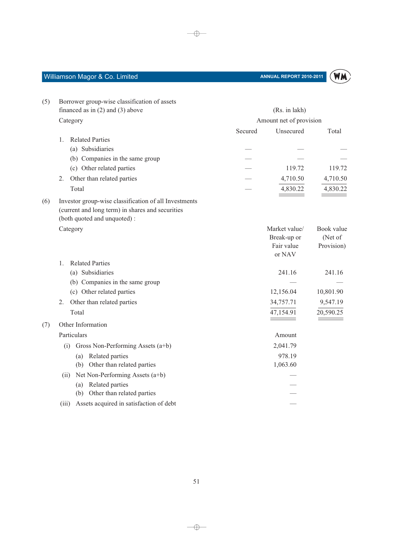

| (5) | Borrower group-wise classification of assets                                                                                             |         |                                                      |                                     |
|-----|------------------------------------------------------------------------------------------------------------------------------------------|---------|------------------------------------------------------|-------------------------------------|
|     | financed as in $(2)$ and $(3)$ above                                                                                                     |         | (Rs. in lakh)                                        |                                     |
|     | Category                                                                                                                                 |         | Amount net of provision                              |                                     |
|     |                                                                                                                                          | Secured | Unsecured                                            | Total                               |
|     | <b>Related Parties</b><br>1.                                                                                                             |         |                                                      |                                     |
|     | (a) Subsidiaries                                                                                                                         |         |                                                      |                                     |
|     | (b) Companies in the same group                                                                                                          |         |                                                      |                                     |
|     | (c) Other related parties                                                                                                                |         | 119.72                                               | 119.72                              |
|     | Other than related parties<br>2.                                                                                                         |         | 4,710.50                                             | 4,710.50                            |
|     | Total                                                                                                                                    |         | 4,830.22                                             | 4,830.22                            |
| (6) | Investor group-wise classification of all Investments<br>(current and long term) in shares and securities<br>(both quoted and unquoted): |         |                                                      |                                     |
|     | Category                                                                                                                                 |         | Market value/<br>Break-up or<br>Fair value<br>or NAV | Book value<br>(Net of<br>Provision) |
|     | <b>Related Parties</b><br>$1_{-}$                                                                                                        |         |                                                      |                                     |
|     | (a) Subsidiaries                                                                                                                         |         | 241.16                                               | 241.16                              |
|     | (b) Companies in the same group                                                                                                          |         |                                                      |                                     |
|     | (c) Other related parties                                                                                                                |         | 12,156.04                                            | 10,801.90                           |
|     | Other than related parties<br>2.                                                                                                         |         | 34,757.71                                            | 9,547.19                            |
|     | Total                                                                                                                                    |         | 47,154.91                                            | 20,590.25                           |
| (7) | Other Information                                                                                                                        |         |                                                      |                                     |
|     | Particulars                                                                                                                              |         | Amount                                               |                                     |
|     | Gross Non-Performing Assets (a+b)<br>(i)                                                                                                 |         | 2,041.79                                             |                                     |
|     | (a) Related parties                                                                                                                      |         | 978.19                                               |                                     |
|     | (b) Other than related parties                                                                                                           |         | 1,063.60                                             |                                     |
|     | Net Non-Performing Assets (a+b)<br>(i)                                                                                                   |         |                                                      |                                     |
|     | (a) Related parties                                                                                                                      |         |                                                      |                                     |
|     | (b) Other than related parties                                                                                                           |         |                                                      |                                     |
|     | Assets acquired in satisfaction of debt<br>(iii)                                                                                         |         |                                                      |                                     |

 $\longrightarrow$ 

 $\longrightarrow$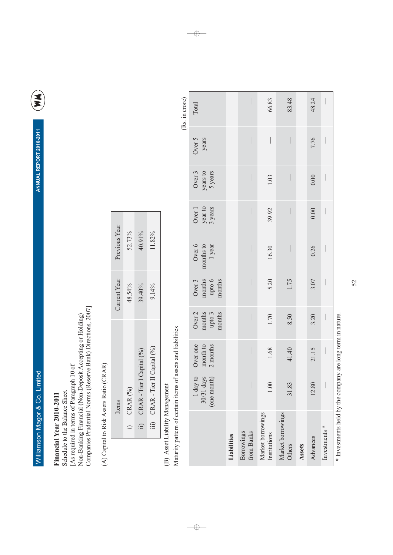ANNUAL REPORT 2010-2011

E

Financial Year 2010-2011

[As required in terms of Paragraph 10 of<br>Non-Banking Financial (Non-Deposit Accepting or Holding)<br>Companies Prudential Norms (Reserve Bank) Directions, 2007] Schedule to the Balance Sheet

(A) Capital to Risk Assets Ratio (CRAR)

 $\overline{\mathsf{L}}$ 

| Previous Year | 52.73%            | 10.91%                    | 1.82%                      |
|---------------|-------------------|---------------------------|----------------------------|
| Current Yea   | 18.54%            | 39.40%                    | 9.14%                      |
|               |                   | CRAR - Tier I Capital (%) | CRAR - Tier II Capital (%) |
| tems          | $\text{IRAR}$ (%) |                           |                            |
|               |                   | ίΞ                        | 曰                          |

(B) Asset Liability Management

Maturity pattern of certain items of assets and liabilities

 $-\bigoplus$ 

| (Rs. in crore) | Total                                                                                                           |             |                          | 66.83                             | 83.48                           |        | 48.24    |                          |
|----------------|-----------------------------------------------------------------------------------------------------------------|-------------|--------------------------|-----------------------------------|---------------------------------|--------|----------|--------------------------|
|                | Over 5<br>years                                                                                                 |             |                          |                                   | $\bigg $                        |        | 7.76     | $\overline{\phantom{a}}$ |
|                | Over 3<br>years to<br>5 years                                                                                   |             |                          | 1.03                              |                                 |        | 0.00     | $\overline{\phantom{a}}$ |
|                | year to<br>3 years<br>Over 1                                                                                    |             |                          | 39.92                             | $\bigg $                        |        | 0.00     | $\overline{\phantom{a}}$ |
|                | $\begin{array}{c} \text{Over } 6 \\ \text{months to} \\ 1 \text{ year} \end{array}$                             |             |                          | 16.30                             | $\bigg $                        |        | 0.26     | $\overline{\phantom{a}}$ |
|                | $\begin{array}{c} \text{Over 3} \\ \text{months} \\ \text{upto 6} \\ \text{month} \\ \text{month} \end{array}$  |             |                          | 5.20                              | 1.75                            |        | 3.07     | $\overline{\phantom{a}}$ |
|                | $\begin{array}{c} \text{Over 2} \\ \text{months} \\ \text{upto 3} \\ \text{month} \\ \text{months} \end{array}$ |             |                          | 1.70                              | 8.50                            |        | 3.20     | $\overline{\phantom{a}}$ |
|                | month to $2$ months<br>Over one                                                                                 |             |                          | 1.68                              | 41.40                           |        | 21.15    | $\overline{\phantom{a}}$ |
|                | $1 \text{ day to}$<br>30/31 days<br>(one month)                                                                 |             |                          | 1.00                              | .83<br>$\overline{\mathcal{E}}$ |        | 12.80    |                          |
|                |                                                                                                                 | Liabilities | from Banks<br>Borrowings | Market borrowings<br>Institutions | Market borrowings<br>Others     | Assets | Advances | Investments <sup>*</sup> |

\* Investments held by the company are long term in nature.

52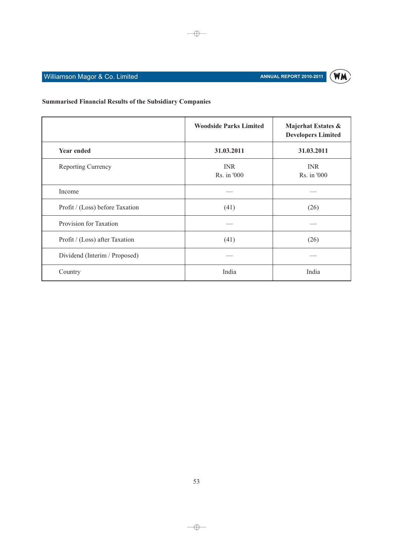

# **Summarised Financial Results of the Subsidiary Companies**

|                                 | <b>Woodside Parks Limited</b> | Majerhat Estates &<br><b>Developers Limited</b> |
|---------------------------------|-------------------------------|-------------------------------------------------|
| <b>Year ended</b>               | 31.03.2011                    | 31.03.2011                                      |
| Reporting Currency              | <b>INR</b><br>Rs. in '000     | <b>INR</b><br>Rs. in '000                       |
| Income                          |                               |                                                 |
| Profit / (Loss) before Taxation | (41)                          | (26)                                            |
| Provision for Taxation          |                               |                                                 |
| Profit / (Loss) after Taxation  | (41)                          | (26)                                            |
| Dividend (Interim / Proposed)   |                               |                                                 |
| Country                         | India                         | India                                           |

 $\overline{\bigoplus}$ 

 $\longrightarrow$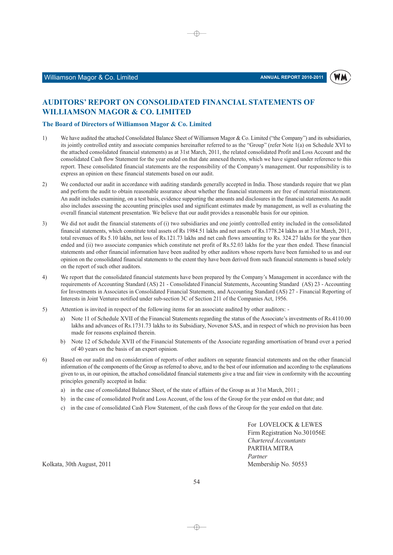

### **AUDITORS' REPORT ON CONSOLIDATED FINANCIAL STATEMENTS OF WILLIAMSON MAGOR & CO. LIMITED**

### The Board of Directors of Williamson Magor & Co. Limited

 $1)$ We have audited the attached Consolidated Balance Sheet of Williamson Magor & Co. Limited ("the Company") and its subsidiaries, its jointly controlled entity and associate companies hereinafter referred to as the "Group" (refer Note 1(a) on Schedule XVI to the attached consolidated financial statements) as at 31st March, 2011, the related consolidated Profit and Loss Account and the consolidated Cash flow Statement for the year ended on that date annexed thereto, which we have signed under reference to this report. These consolidated financial statements are the responsibility of the Company's management. Our responsibility is to express an opinion on these financial statements based on our audit.

⊕

- $2)$ We conducted our audit in accordance with auditing standards generally accepted in India. Those standards require that we plan and perform the audit to obtain reasonable assurance about whether the financial statements are free of material misstatement. An audit includes examining, on a test basis, evidence supporting the amounts and disclosures in the financial statements. An audit also includes assessing the accounting principles used and significant estimates made by management, as well as evaluating the overall financial statement presentation. We believe that our audit provides a reasonable basis for our opinion.
- $3)$ We did not audit the financial statements of (i) two subsidiaries and one jointly controlled entity included in the consolidated financial statements, which constitute total assets of Rs 1984.51 lakhs and net assets of Rs.1778.24 lakhs as at 31st March, 2011, total revenues of Rs 5.10 lakhs, net loss of Rs.121.73 lakhs and net cash flows amounting to Rs. 324.27 lakhs for the year then ended and (ii) two associate companies which constitute net profit of Rs.52.03 lakhs for the year then ended. These financial statements and other financial information have been audited by other auditors whose reports have been furnished to us and our opinion on the consolidated financial statements to the extent they have been derived from such financial statements is based solely on the report of such other auditors.
- $4)$ We report that the consolidated financial statements have been prepared by the Company's Management in accordance with the requirements of Accounting Standard (AS) 21 - Consolidated Financial Statements, Accounting Standard (AS) 23 - Accounting for Investments in Associates in Consolidated Financial Statements, and Accounting Standard (AS) 27 - Financial Reporting of Interests in Joint Ventures notified under sub-section 3C of Section 211 of the Companies Act, 1956.
- $5)$ Attention is invited in respect of the following items for an associate audited by other auditors: -
	- Note 11 of Schedule XVII of the Financial Statements regarding the status of the Associate's investments of Rs.4110.00  $a)$ lakhs and advances of Rs.1731.73 lakhs to its Subsidiary, Novenor SAS, and in respect of which no provision has been made for reasons explained therein.
	- b) Note 12 of Schedule XVII of the Financial Statements of the Associate regarding amortisation of brand over a period of 40 years on the basis of an expert opinion.
- $6)$ Based on our audit and on consideration of reports of other auditors on separate financial statements and on the other financial information of the components of the Group as referred to above, and to the best of our information and according to the explanations given to us, in our opinion, the attached consolidated financial statements give a true and fair view in conformity with the accounting principles generally accepted in India:
	- a) in the case of consolidated Balance Sheet, of the state of affairs of the Group as at 31st March, 2011;
	- b) in the case of consolidated Profit and Loss Account, of the loss of the Group for the year ended on that date; and
	- c) in the case of consolidated Cash Flow Statement, of the cash flows of the Group for the year ended on that date.

For LOVELOCK & LEWES Firm Registration No.301056E Chartered Accountants PARTHA MITRA Partner Membership No. 50553

Kolkata, 30th August, 2011

 $\rightarrow$   $\rightarrow$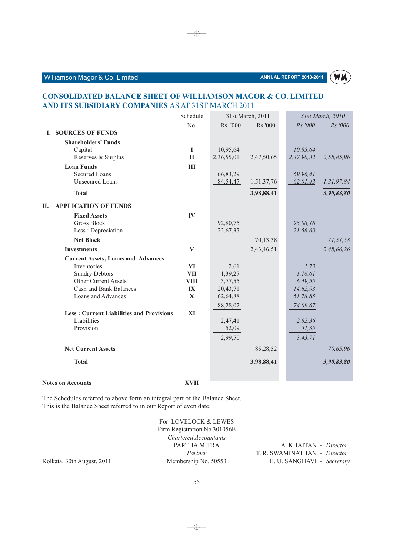

### **CONSOLIDATED BALANCE SHEET OF WILLIAMSON MAGOR & CO. LIMITED** AND ITS SUBSIDIARY COMPANIES AS AT 31ST MARCH 2011

 $\rightarrow$ 

|                                                 | Schedule       |            | 31st March, 2011 |            | 31st March, 2010 |
|-------------------------------------------------|----------------|------------|------------------|------------|------------------|
|                                                 | No.            | Rs. '000   | Rs.'000          | Rs.'000    | Rs.'000          |
| <b>SOURCES OF FUNDS</b><br>L.                   |                |            |                  |            |                  |
| <b>Shareholders' Funds</b>                      |                |            |                  |            |                  |
| Capital                                         | I              | 10,95,64   |                  | 10,95,64   |                  |
| Reserves & Surplus                              | $\mathbf{I}$   | 2,36,55,01 | 2,47,50,65       | 2,47,90,32 | 2,58,85,96       |
| <b>Loan Funds</b>                               | $\mathbf{III}$ |            |                  |            |                  |
| <b>Secured Loans</b>                            |                | 66,83,29   |                  | 69,96,41   |                  |
| <b>Unsecured Loans</b>                          |                | 84,54,47   | 1,51,37,76       | 62,01,43   | 1,31,97,84       |
| <b>Total</b>                                    |                |            | 3,98,88,41       |            | 3,90,83,80       |
| <b>APPLICATION OF FUNDS</b><br>П.               |                |            |                  |            |                  |
| <b>Fixed Assets</b>                             | IV             |            |                  |            |                  |
| <b>Gross Block</b>                              |                | 92,80,75   |                  | 93,08,18   |                  |
| Less : Depreciation                             |                | 22,67,37   |                  | 21,56,60   |                  |
| <b>Net Block</b>                                |                |            | 70,13,38         |            | 71,51,58         |
| <b>Investments</b>                              | $\bf{V}$       |            | 2,43,46,51       |            | 2,48,66,26       |
| <b>Current Assets, Loans and Advances</b>       |                |            |                  |            |                  |
| Inventories                                     | <b>VI</b>      | 2,61       |                  | 1,73       |                  |
| <b>Sundry Debtors</b>                           | <b>VII</b>     | 1,39,27    |                  | 1,16,61    |                  |
| Other Current Assets                            | <b>VIII</b>    | 3,77,55    |                  | 6,49,55    |                  |
| <b>Cash and Bank Balances</b>                   | IX             | 20,43,71   |                  | 14,62,93   |                  |
| Loans and Advances                              | $\mathbf X$    | 62,64,88   |                  | 51,78,85   |                  |
|                                                 |                | 88,28,02   |                  | 74,09,67   |                  |
| <b>Less: Current Liabilities and Provisions</b> | XI             |            |                  |            |                  |
| Liabilities                                     |                | 2,47,41    |                  | 2,92,36    |                  |
| Provision                                       |                | 52,09      |                  | 51,35      |                  |
|                                                 |                | 2,99,50    |                  | 3, 43, 71  |                  |
| <b>Net Current Assets</b>                       |                |            | 85,28,52         |            | 70,65,96         |
| <b>Total</b>                                    |                |            | 3,98,88,41       |            | 3,90,83,80       |
| <b>Notes on Accounts</b>                        | <b>XVII</b>    |            |                  |            |                  |

The Schedules referred to above form an integral part of the Balance Sheet. This is the Balance Sheet referred to in our Report of even date.

|                            | For LOVELOCK & LEWES<br>Firm Registration No.301056E |                              |
|----------------------------|------------------------------------------------------|------------------------------|
|                            | Chartered Accountants                                |                              |
|                            | PARTHA MITRA                                         | A. KHAITAN - Director        |
|                            | Partner                                              | T. R. SWAMINATHAN - Director |
| Kolkata, 30th August, 2011 | Membership No. 50553                                 | H. U. SANGHAVI - Secretary   |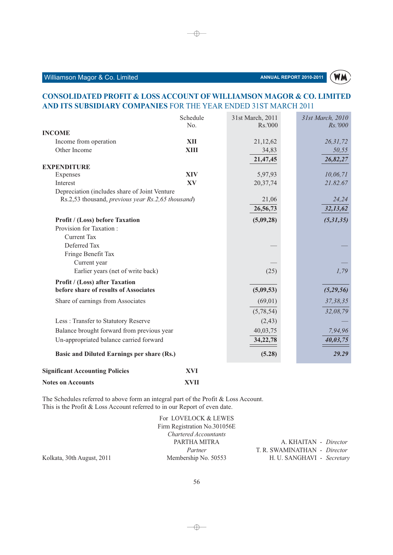### ANNUAL REPORT 2010-2011

# **WM**

### **CONSOLIDATED PROFIT & LOSS ACCOUNT OF WILLIAMSON MAGOR & CO. LIMITED** AND ITS SUBSIDIARY COMPANIES FOR THE YEAR ENDED 31ST MARCH 2011

|                                                                                                    | Schedule    | 31st March, 2011 | 31st March, 2010 |
|----------------------------------------------------------------------------------------------------|-------------|------------------|------------------|
|                                                                                                    | No.         | Rs.'000          | <i>Rs.'000</i>   |
| <b>INCOME</b>                                                                                      |             |                  |                  |
| Income from operation                                                                              | <b>XII</b>  | 21,12,62         | 26, 31, 72       |
| Other Income                                                                                       | <b>XIII</b> | 34,83            | 50,55            |
|                                                                                                    |             | 21,47,45         | 26,82,27         |
| <b>EXPENDITURE</b>                                                                                 |             |                  |                  |
| Expenses                                                                                           | <b>XIV</b>  | 5,97,93          | 10,06,71         |
| Interest                                                                                           | XV          | 20,37,74         | 21.82.67         |
| Depreciation (includes share of Joint Venture<br>Rs.2,53 thousand, previous year Rs.2,65 thousand) |             | 21,06            | 24,24            |
|                                                                                                    |             |                  |                  |
|                                                                                                    |             | 26,56,73         | 32,13,62         |
| <b>Profit / (Loss) before Taxation</b>                                                             |             | (5,09,28)        | (5,31,35)        |
| Provision for Taxation:                                                                            |             |                  |                  |
| <b>Current Tax</b>                                                                                 |             |                  |                  |
| Deferred Tax                                                                                       |             |                  |                  |
| Fringe Benefit Tax                                                                                 |             |                  |                  |
| Current year                                                                                       |             |                  |                  |
| Earlier years (net of write back)                                                                  |             | (25)             | 1,79             |
| <b>Profit / (Loss) after Taxation</b>                                                              |             |                  |                  |
| before share of results of Associates                                                              |             | (5,09,53)        | (5,29,56)        |
| Share of earnings from Associates                                                                  |             | (69, 01)         | 37, 38, 35       |
|                                                                                                    |             | (5,78,54)        | 32,08,79         |
| Less: Transfer to Statutory Reserve                                                                |             | (2, 43)          |                  |
| Balance brought forward from previous year                                                         |             | 40,03,75         | 7,94,96          |
| Un-appropriated balance carried forward                                                            |             | 34,22,78         | 40,03,75         |
| Basic and Diluted Earnings per share (Rs.)                                                         |             | (5.28)           | 29.29            |
| <b>Significant Accounting Policies</b>                                                             | <b>XVI</b>  |                  |                  |
| <b>Notes on Accounts</b>                                                                           | <b>XVII</b> |                  |                  |

**Notes on Accounts** 

The Schedules referred to above form an integral part of the Profit & Loss Account. This is the Profit & Loss Account referred to in our Report of even date.

|                            | For LOVELOCK & LEWES         |                              |
|----------------------------|------------------------------|------------------------------|
|                            | Firm Registration No.301056E |                              |
|                            | Chartered Accountants        |                              |
|                            | PARTHA MITRA                 | A. KHAITAN - Director        |
|                            | Partner                      | T. R. SWAMINATHAN - Director |
| Kolkata, 30th August, 2011 | Membership No. 50553         | H. U. SANGHAVI - Secretary   |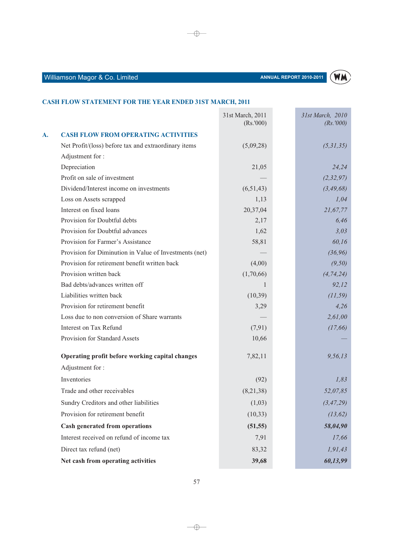

### CASH FLOW STATEMENT FOR THE YEAR ENDED 31ST MARCH, 2011

|    |                                                        | 31st March, 2011<br>(Rs. '000) | 31st March, 2010<br>(Rs. '000) |
|----|--------------------------------------------------------|--------------------------------|--------------------------------|
| A. | <b>CASH FLOW FROM OPERATING ACTIVITIES</b>             |                                |                                |
|    | Net Profit/(loss) before tax and extraordinary items   | (5,09,28)                      | (5,31,35)                      |
|    | Adjustment for:                                        |                                |                                |
|    | Depreciation                                           | 21,05                          | 24,24                          |
|    | Profit on sale of investment                           |                                | (2, 32, 97)                    |
|    | Dividend/Interest income on investments                | (6,51,43)                      | (3, 49, 68)                    |
|    | Loss on Assets scrapped                                | 1,13                           | 1,04                           |
|    | Interest on fixed loans                                | 20,37,04                       | 21,67,77                       |
|    | Provision for Doubtful debts                           | 2,17                           | 6,46                           |
|    | Provision for Doubtful advances                        | 1,62                           | 3,03                           |
|    | Provision for Farmer's Assistance                      | 58,81                          | 60,16                          |
|    | Provision for Diminution in Value of Investments (net) |                                | (36, 96)                       |
|    | Provision for retirement benefit written back          | (4,00)                         | (9,50)                         |
|    | Provision written back                                 | (1,70,66)                      | (4, 74, 24)                    |
|    | Bad debts/advances written off                         |                                | 92,12                          |
|    | Liabilities written back                               | (10,39)                        | (11, 59)                       |
|    | Provision for retirement benefit                       | 3,29                           | 4,26                           |
|    | Loss due to non conversion of Share warrants           |                                | 2,61,00                        |
|    | Interest on Tax Refund                                 | (7,91)                         | (17, 66)                       |
|    | Provision for Standard Assets                          | 10,66                          |                                |
|    | Operating profit before working capital changes        | 7,82,11                        | 9,56,13                        |
|    | Adjustment for:                                        |                                |                                |
|    | Inventories                                            | (92)                           | 1,83                           |
|    | Trade and other receivables                            | (8,21,38)                      | 52,07,85                       |
|    | Sundry Creditors and other liabilities                 | (1,03)                         | (3, 47, 29)                    |
|    | Provision for retirement benefit                       | (10, 33)                       | (13, 62)                       |
|    | <b>Cash generated from operations</b>                  | (51, 55)                       | 58,04,90                       |
|    | Interest received on refund of income tax              | 7,91                           | 17,66                          |
|    | Direct tax refund (net)                                | 83,32                          | 1,91,43                        |
|    | Net cash from operating activities                     | 39,68                          | 60,13,99                       |

 $\overline{\bigoplus}$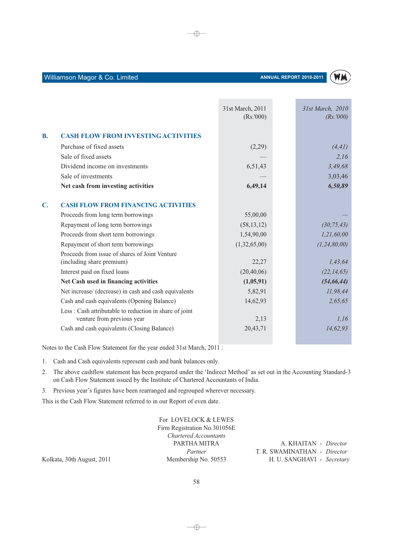

### Williamson Magor & Co. Limited

|                                                                             | 31st March, 2011<br>(Rs. '000) | 31st March, 2010<br>(Rs. '000) |
|-----------------------------------------------------------------------------|--------------------------------|--------------------------------|
| <b>CASH FLOW FROM INVESTING ACTIVITIES</b>                                  |                                |                                |
| Purchase of fixed assets                                                    | (2,29)                         | (4, 41)                        |
| Sale of fixed assets                                                        |                                | 2,16                           |
| Dividend income on investments                                              | 6,51,43                        | 3,49,68                        |
| Sale of investments                                                         |                                | 3,03,46                        |
| Net cash from investing activities                                          | 6,49,14                        | 6,50,89                        |
| <b>CASH FLOW FROM FINANCING ACTIVITIES</b>                                  |                                |                                |
| Proceeds from long term borrowings                                          | 55,00,00                       |                                |
| Repayment of long term borrowings                                           | (58, 13, 12)                   | (30, 75, 43)                   |
| Proceeds from short term borrowings                                         | 1,54,90,00                     | 1,21,60,00                     |
| Repayment of short term borrowings                                          | (1,32,65,00)                   | (1, 24, 80, 00)                |
| Proceeds from issue of shares of Joint Venture<br>(including share premium) | 22,27                          | 1,43,64                        |
| Interest paid on fixed loans                                                | (20, 40, 06)                   | (22, 14, 65)                   |
| Net Cash used in financing activities                                       | (1,05,91)                      | (54, 66, 44)                   |
| Net increase/ (decrease) in cash and cash equivalents                       | 5,82,91                        | 11,98,44                       |
| Cash and cash equivalents (Opening Balance)                                 | 14,62,93                       | 2,65,65                        |
| Less : Cash attributable to reduction in share of joint                     |                                |                                |
|                                                                             | 2,13                           | 1,16                           |
| Cash and cash equivalents (Closing Balance)                                 | 20,43,71                       | 14,62,93                       |
|                                                                             | venture from previous year     |                                |

 $\oplus$ 

Notes to the Cash Flow Statement for the year ended 31st March, 2011:

1. Cash and Cash equivalents represent cash and bank balances only.

- 2. The above cashflow statement has been prepared under the 'Indirect Method' as set out in the Accounting Standard-3 on Cash Flow Statement issued by the Institute of Chartered Accountants of India.
- 3. Previous year's figures have been rearranged and regrouped wherever necessary.

This is the Cash Flow Statement referred to in our Report of even date.

|                 | For LOVELOCK & LEWES         |                              |
|-----------------|------------------------------|------------------------------|
|                 | Firm Registration No.301056E |                              |
|                 | Chartered Accountants        |                              |
|                 | PARTHA MITRA                 | A. KHAITAN - <i>Director</i> |
|                 | Partner                      | T. R. SWAMINATHAN - Director |
| th August, 2011 | Membership No. 50553         | H. U. SANGHAVI - Secretary   |

Kolkata, 30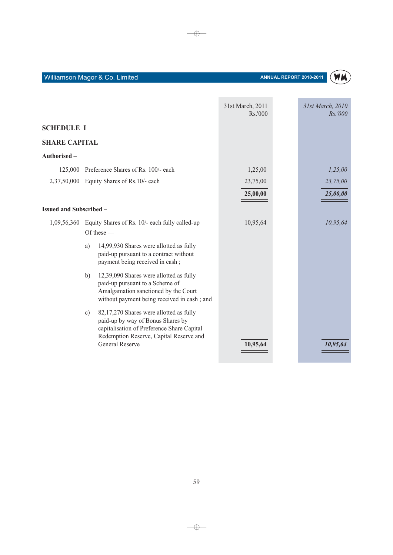Ė



|                                |    |                                                                                                                                                                                                 | 31st March, 2011<br>Rs.'000 | 31st March, 2010<br>Rs.'000 |
|--------------------------------|----|-------------------------------------------------------------------------------------------------------------------------------------------------------------------------------------------------|-----------------------------|-----------------------------|
| <b>SCHEDULE I</b>              |    |                                                                                                                                                                                                 |                             |                             |
| <b>SHARE CAPITAL</b>           |    |                                                                                                                                                                                                 |                             |                             |
| Authorised -                   |    |                                                                                                                                                                                                 |                             |                             |
| 125,000                        |    | Preference Shares of Rs. 100/- each                                                                                                                                                             | 1,25,00                     | 1,25,00                     |
|                                |    | 2,37,50,000 Equity Shares of Rs.10/- each                                                                                                                                                       | 23,75,00                    | 23,75,00                    |
|                                |    |                                                                                                                                                                                                 | 25,00,00                    | 25,00,00                    |
| <b>Issued and Subscribed -</b> |    |                                                                                                                                                                                                 |                             |                             |
| 1,09,56,360                    |    | Equity Shares of Rs. 10/- each fully called-up<br>Of these $-$                                                                                                                                  | 10,95,64                    | 10,95,64                    |
|                                | a) | 14,99,930 Shares were allotted as fully<br>paid-up pursuant to a contract without<br>payment being received in cash;                                                                            |                             |                             |
|                                | b) | 12,39,090 Shares were allotted as fully<br>paid-up pursuant to a Scheme of<br>Amalgamation sanctioned by the Court<br>without payment being received in cash; and                               |                             |                             |
|                                | c) | 82,17,270 Shares were allotted as fully<br>paid-up by way of Bonus Shares by<br>capitalisation of Preference Share Capital<br>Redemption Reserve, Capital Reserve and<br><b>General Reserve</b> | 10,95,64                    | 10,95,64                    |

 $\rightarrow$ 

**COL**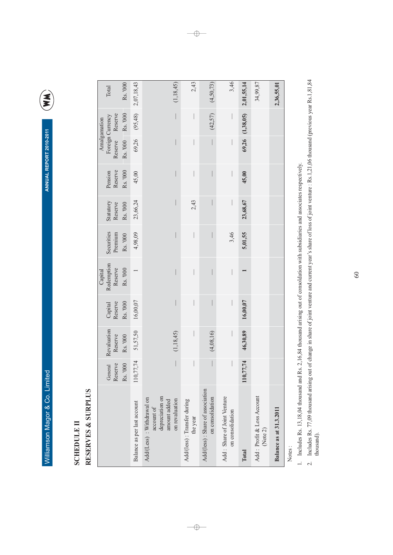ANNUAL REPORT 2010-2011

E

# **SCHEDULE II**

# RESERVES & SURPLUS

L

|                                                                                              | General<br>Reserve       | Revaluation<br>Reserve | Reserve<br>Capital | Redemption<br>Reserve<br>Capital | Securities<br>Premium    | Statutory<br>Reserve | Reserve<br>Pension       | Reserve Reserve          | Foreign Currency<br>Amalgamation | Total       |
|----------------------------------------------------------------------------------------------|--------------------------|------------------------|--------------------|----------------------------------|--------------------------|----------------------|--------------------------|--------------------------|----------------------------------|-------------|
|                                                                                              | Rs. '000                 | Rs. '000               | Rs. '000           | Rs. '000                         | Rs. '000                 | Rs. '000             | Rs. '000                 | Rs. '000 Rs. '000        |                                  | Rs. '000    |
| Balance as per last account                                                                  | 110,77,74                | 51,57,50               | 16,00,07           |                                  | 4,98,09                  | 23,66,24             | 45,00                    |                          | $69,26$ $(95,48)$                | 2,07,18,43  |
| depreciation on<br>Add/(Less): Withdrawal on<br>on revaluation<br>amount added<br>account of | $\overline{\phantom{a}}$ | (1, 18, 45)            |                    |                                  |                          |                      | I                        | 1                        |                                  | (1, 18, 45) |
| Add/(less) : Transfer during<br>the year                                                     |                          |                        |                    | $\overline{\phantom{a}}$         | $\overline{\phantom{a}}$ | 2,43                 | $\overline{\phantom{a}}$ | $\overline{\phantom{a}}$ |                                  | 2,43        |
| Add/(less) : Share of association<br>on consolidation                                        |                          | (4,08,16)              |                    |                                  |                          |                      |                          |                          | (42, 57)                         | (4, 50, 73) |
| Add: Share of Joint Venture<br>on consolidation                                              |                          |                        |                    |                                  | 3,46                     |                      | $\overline{\phantom{a}}$ |                          |                                  | 3,46        |
| Total                                                                                        | 110,77,74                | 46,30,89               | 16,00,07           |                                  | 5,01,55                  | 23,68,67             | 45,00                    |                          | $69,26$ $(1,38,05)$              | 2,01,55,14  |
| Add: Profit & Loss Account<br>(Note 2)                                                       |                          |                        |                    |                                  |                          |                      |                          |                          |                                  | 34,99,87    |
| Balance as at 31.3.2011                                                                      |                          |                        |                    |                                  |                          |                      |                          |                          |                                  | 2,36,55,01  |
|                                                                                              |                          |                        |                    |                                  |                          |                      |                          |                          |                                  |             |

 $\overline{\phantom{0}}$ 

Notes:

1. Includes Rs. 13,18,04 thousand and Rs. 2,16,84 thousand arising out of consoldation with subsidiaries and associates respectively.

2. Includes Rs. 77,09 thousand arising out of change in share of joint venture and current year's share of loss of joint venture : Rs.1,21,06 thousand (previous year Rs.1,81,84<br>thousand).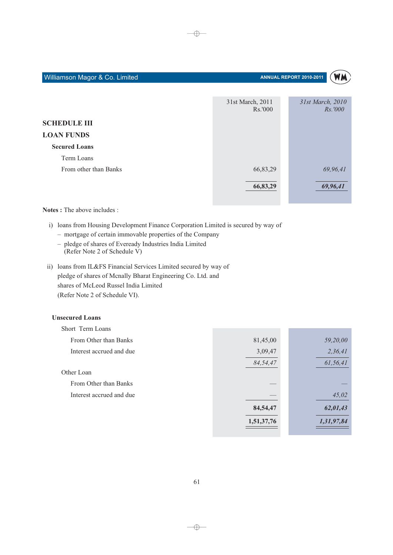| Williamson Magor & Co. Limited |                             | ANNUAL REPORT 2010-2011<br>W M     |
|--------------------------------|-----------------------------|------------------------------------|
|                                | 31st March, 2011<br>Rs.'000 | 31st March, 2010<br><i>Rs.'000</i> |
| <b>SCHEDULE III</b>            |                             |                                    |
| <b>LOAN FUNDS</b>              |                             |                                    |
| <b>Secured Loans</b>           |                             |                                    |
| Term Loans                     |                             |                                    |
| From other than Banks          | 66,83,29                    | 69,96,41                           |
|                                | 66,83,29                    | 69,96,41                           |

Notes: The above includes:

i) loans from Housing Development Finance Corporation Limited is secured by way of

- mortgage of certain immovable properties of the Company
- pledge of shares of Eveready Industries India Limited (Refer Note 2 of Schedule V)
- ii) loans from IL&FS Financial Services Limited secured by way of pledge of shares of Mcnally Bharat Engineering Co. Ltd. and shares of McLeod Russel India Limited (Refer Note 2 of Schedule VI).

### **Unsecured Loans**

| Short Term Loans         |            |            |
|--------------------------|------------|------------|
| From Other than Banks    | 81,45,00   | 59,20,00   |
| Interest accrued and due | 3,09,47    | 2,36,41    |
|                          | 84,54,47   | 61,56,41   |
| Other Loan               |            |            |
| From Other than Banks    |            |            |
| Interest accrued and due |            | 45,02      |
|                          | 84,54,47   | 62,01,43   |
|                          | 1,51,37,76 | 1,31,97,84 |
|                          |            |            |

61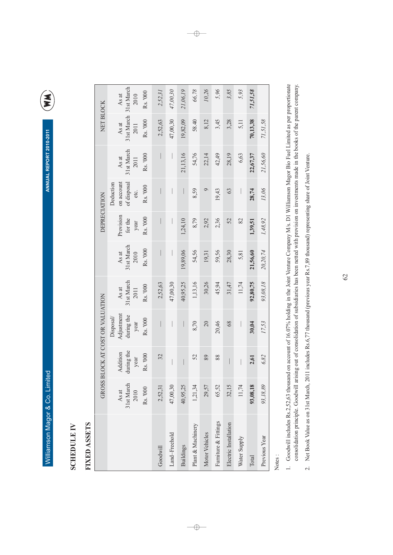ANNUAL REPORT 2010-2011

E

# **SCHEDULE IV**

# FIXED ASSETS

|                       | <b>GROSS</b>                            |                                            | <b>BLOCK AT COST OR VALUATION</b>                        |                                         |                                         | DEPRECIATION                             |                                                            |                                         | NET BLOCK                               |                                         |
|-----------------------|-----------------------------------------|--------------------------------------------|----------------------------------------------------------|-----------------------------------------|-----------------------------------------|------------------------------------------|------------------------------------------------------------|-----------------------------------------|-----------------------------------------|-----------------------------------------|
|                       | 31st March<br>Rs. '000<br>As at<br>2010 | during the<br>Addition<br>Rs. '000<br>year | Adjustment<br>during the<br>Disposal<br>Rs. '000<br>year | 31st March<br>Rs. '000<br>As at<br>2011 | 31st March<br>Rs. '000<br>As at<br>2010 | Provision<br>Rs. '000<br>for the<br>year | on account<br>of disposal<br>Deduction<br>Rs. '000<br>etc. | 31st March<br>Rs. '000<br>As at<br>2011 | 31st March<br>Rs. '000<br>As at<br>2011 | 31st March<br>Rs. '000<br>As at<br>2010 |
| Goodwill              | 2,52,31                                 | 32                                         | $\overline{\phantom{a}}$                                 | 2,52,63                                 | $\overline{\phantom{a}}$                | I                                        |                                                            |                                         | 2,52,63                                 | 2,52,31                                 |
| Land-Freehold         | 47,00,30                                |                                            |                                                          | 47,00,30                                |                                         |                                          |                                                            | $\bigg $                                | 47,00,30                                | 47,00,30                                |
| <b>Buildings</b>      | 40,95,25                                |                                            |                                                          | 40,95,25                                | 19,89,06                                | 1,24,10                                  |                                                            | 21,13,16                                | 19,82,09                                | 21,06,19                                |
| Plant & Machinery     | 1,21,34                                 | 52                                         | 8,70                                                     | 1,13,16                                 | 54,56                                   | 8,79                                     | 8,59                                                       | 54,76                                   | 58.40                                   | 66,78                                   |
| Motor Vehicles        | 29,57                                   | 89                                         | 20                                                       | 30,26                                   | 19,31                                   | 2,92                                     | $\circ$                                                    | 22,14                                   | 8,12                                    | 10,26                                   |
| Furniture & Fittings  | 65,52                                   | 88                                         | 20,46                                                    | 45,94                                   | 59,56                                   | 2,36                                     | 19,43                                                      | 42,49                                   | 3,45                                    | 5,96                                    |
| Electric Installation | 32,15                                   | I                                          | 68                                                       | 31,47                                   | 28,30                                   | 52                                       | 63                                                         | 28,19                                   | 3,28                                    | 3,85                                    |
| Water Supply          | 11,74                                   |                                            |                                                          | 11,74                                   | 5,81                                    | 82                                       | $\overline{\phantom{a}}$                                   | 6,63                                    | 5,11                                    | 5,93                                    |
| Total                 | 93,08,18                                | 2,61                                       | 30,04                                                    | 92,80,75                                | 21,56,60                                | 1,39,51                                  | 28,74                                                      | 22,67,37                                | 70,13,38                                | 71,51,58                                |
| Previous Year         | 93,18,89                                | 6,82                                       | 17,53                                                    | 93,08,18                                | 20,20,74                                | 1,48,92                                  | 13,06                                                      | 21,56,60                                | 71,51,58                                |                                         |
|                       |                                         |                                            |                                                          |                                         |                                         |                                          |                                                            |                                         |                                         |                                         |

 $\rightarrow$ 

Notes:

1. Goodwill includes Rs.2,52,63 thousand on account of 16.07% holding in the Joint Venture Company M/s. D1 Williamson Magor Bio Fuel Limited as per proportionate consolidation principle. Goodwill arising out of consolidation of subsidiaries has been netted with provision on investments made in the books of the parent company.

2. Net Book Value as on 31st March, 2011 includes Rs.6,77 thousand (previous year Rs.7,89 thousand) representing share of Joint Venture.

 $\overline{\bigoplus}$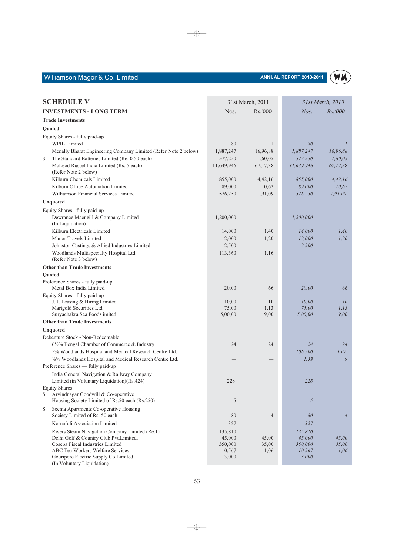### ANNUAL REPORT 2010-2011



| <b>SCHEDULE V</b>                                                                           | 31st March, 2011 |                 | 31st March, 2010          |                |
|---------------------------------------------------------------------------------------------|------------------|-----------------|---------------------------|----------------|
| <b>INVESTMENTS - LONG TERM</b>                                                              | Nos.<br>Rs.'000  |                 | $N$ os.<br><i>Rs.'000</i> |                |
| <b>Trade Investments</b>                                                                    |                  |                 |                           |                |
| Quoted                                                                                      |                  |                 |                           |                |
| Equity Shares - fully paid-up                                                               |                  |                 |                           |                |
| <b>WPIL Limited</b>                                                                         | 80               | 1               | 80                        | $\mathcal{I}$  |
| Mcnally Bharat Engineering Company Limited (Refer Note 2 below)                             | 1,887,247        | 16,96,88        | 1,887,247                 | 16,96,88       |
| The Standard Batteries Limited (Re. 0.50 each)<br>\$                                        | 577,250          | 1,60,05         | 577,250                   | 1,60,05        |
| McLeod Russel India Limited (Rs. 5 each)<br>(Refer Note 2 below)                            | 11,649,946       | 67, 17, 38      | 11,649,946                | 67,17,38       |
| Kilburn Chemicals Limited                                                                   | 855,000          | 4,42,16         | 855,000                   | 4,42,16        |
| Kilburn Office Automation Limited                                                           | 89,000           | 10,62           | 89,000                    | 10.62          |
| Williamson Financial Services Limited                                                       | 576,250          | 1,91,09         | 576,250                   | 1,91,09        |
| Unquoted                                                                                    |                  |                 |                           |                |
| Equity Shares - fully paid-up                                                               |                  |                 |                           |                |
| Dewrance Macneill & Company Limited                                                         | 1,200,000        |                 | 1,200,000                 |                |
| (In Liquidation)                                                                            |                  |                 |                           |                |
| Kilburn Electricals Limited                                                                 | 14,000           | 1,40            | 14,000                    | 1,40           |
| Manor Travels Limited                                                                       | 12,000           | 1,20            | 12,000                    | 1,20           |
| Johnston Castings & Allied Industries Limited                                               | 2,500            |                 | 2,500                     |                |
| Woodlands Multispecialty Hospital Ltd.<br>(Refer Note 3 below)                              | 113,360          | 1,16            |                           |                |
| <b>Other than Trade Investments</b>                                                         |                  |                 |                           |                |
| Quoted                                                                                      |                  |                 |                           |                |
| Preference Shares - fully paid-up                                                           |                  |                 |                           |                |
| Metal Box India Limited                                                                     | 20,00            | 66              | 20,00                     | 66             |
| Equity Shares - fully paid-up                                                               |                  |                 |                           |                |
| J. J. Leasing & Hiring Limited<br>Marigold Securities Ltd.                                  | 10,00<br>75,00   | 10<br>1,13      | 10,00<br>75,00            | 10<br>1, 13    |
| Suryachakra Sea Foods imited                                                                | 5,00,00          | 9,00            | 5,00,00                   | 9,00           |
| <b>Other than Trade Investments</b>                                                         |                  |                 |                           |                |
| Unquoted                                                                                    |                  |                 |                           |                |
| Debenture Stock - Non-Redeemable                                                            |                  |                 |                           |                |
| 6½% Bengal Chamber of Commerce & Industry                                                   | 24               | 24              | 24                        | 24             |
| 5% Woodlands Hospital and Medical Research Centre Ltd.                                      |                  |                 | 106,500                   | 1,07           |
| 1/2% Woodlands Hospital and Medical Research Centre Ltd.                                    |                  |                 | 1.39                      | 9              |
| Preference Shares - fully paid-up                                                           |                  |                 |                           |                |
| India General Navigation & Railway Company<br>Limited (in Voluntary Liquidation)(Rs.424)    | 228              |                 | 228                       |                |
| <b>Equity Shares</b>                                                                        |                  |                 |                           |                |
| \$<br>Arvindnagar Goodwill & Co-operative<br>Housing Society Limited of Rs.50 each (Rs.250) | 5                |                 | 5                         |                |
| Seema Apartments Co-operative Housing<br>\$<br>Society Limited of Rs. 50 each               | 80               | $\overline{4}$  | 80                        | $\overline{4}$ |
| Kornafuli Association Limited                                                               | 327              |                 | 327                       |                |
| Rivers Steam Navigation Company Limited (Re.1)                                              | 135,810          | $\qquad \qquad$ | 135,810                   |                |
| Delhi Golf & Country Club Pvt.Limited.                                                      | 45,000           | 45,00           | 45,000                    | 45,00          |
| Cosepa Fiscal Industries Limited                                                            | 350,000          | 35,00           | 350,000                   | 35,00          |
| ABC Tea Workers Welfare Services                                                            | 10,567           | 1,06            | 10,567                    | 1,06           |
| Gouripore Electric Supply Co.Limited<br>(In Voluntary Liquidation)                          | 3,000            |                 | 3,000                     |                |

 $\longrightarrow$ 

 $\longrightarrow$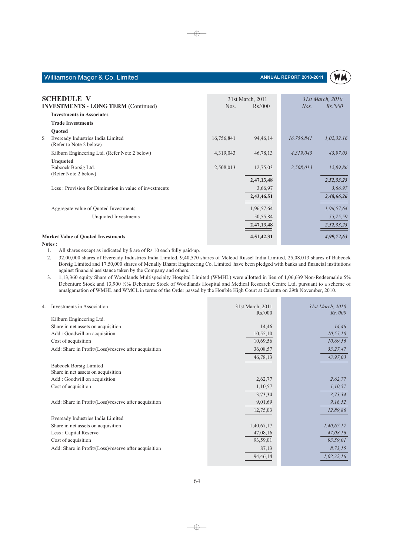

| Williamson Magor & Co. Limited |  |  |  |
|--------------------------------|--|--|--|
|--------------------------------|--|--|--|

| <b>SCHEDULE V</b>                                                  |            | 31st March, 2011 |            | 31st March, 2010 |
|--------------------------------------------------------------------|------------|------------------|------------|------------------|
| <b>INVESTMENTS - LONG TERM (Continued)</b>                         | Nos.       | Rs.'000          | $N$ os.    | <i>Rs.'000</i>   |
| <b>Investments in Associates</b>                                   |            |                  |            |                  |
| <b>Trade Investments</b>                                           |            |                  |            |                  |
| Quoted                                                             |            |                  |            |                  |
| \$<br>Eveready Industries India Limited<br>(Refer to Note 2 below) | 16,756,841 | 94, 46, 14       | 16,756,841 | 1,02,32,16       |
| Kilburn Engineering Ltd. (Refer Note 2 below)                      | 4,319,043  | 46,78,13         | 4,319,043  | 43,97,03         |
| Unquoted<br>Babcock Borsig Ltd.<br>(Refer Note 2 below)            | 2,508,013  | 12,75,03         | 2,508,013  | 12,89,86         |
|                                                                    |            | 2,47,13,48       |            | 2,52,33,23       |
| Less: Provision for Diminution in value of investments             |            | 3,66,97          |            | 3,66,97          |
|                                                                    |            | 2,43,46,51       |            | 2,48,66,26       |
| Aggregate value of Quoted Investments                              |            | 1,96,57,64       |            | 1,96,57,64       |
| Unquoted Investments                                               |            | 50,55,84         |            | 55,75,59         |
|                                                                    |            | 2,47,13,48       |            | 2,52,33,23       |
| <b>Market Value of Quoted Investments</b>                          |            | 4,51,42,31       |            | 4,99,72,63       |
|                                                                    |            |                  |            |                  |

 $\oplus$ 

Notes:

 $\overline{4}$ .

1. All shares except as indicated by \$ are of Rs.10 each fully paid-up.

32,00,000 shares of Eveready Industries India Limited, 9,40,570 shares of Mcleod Russel India Limited, 25,08,013 shares of Babcock  $2.$ Borsig Limited and 17,50,000 shares of Mcnally Bharat Engineering Co. Limited have been pledged with banks and financial institutions against financial assistance taken by the Company and others.

1,13,360 equity Share of Woodlands Multispecialty Hospital Limited (WMHL) were allotted in lieu of 1,06,639 Non-Redeemable 5%  $3.$ Debenture Stock and 13,900 1/2% Debenture Stock of Woodlands Hospital and Medical Research Centre Ltd. pursuant to a scheme of amalgamation of WMHL and WMCL in terms of the Order passed by the Hon'ble High Court at Calcutta on 29th November, 2010.

| Investments in Association                            | 31st March, 2011<br>Rs.'000 | 31st March, 2010<br>Rs.'000 |
|-------------------------------------------------------|-----------------------------|-----------------------------|
| Kilburn Engineering Ltd.                              |                             |                             |
| Share in net assets on acquisition                    | 14,46                       | 14,46                       |
| Add: Goodwill on acquisition                          | 10,55,10                    | 10, 55, 10                  |
| Cost of acquisition                                   | 10,69,56                    | 10,69,56                    |
| Add: Share in Profit/(Loss)/reserve after acquisition | 36,08,57                    | 33,27,47                    |
|                                                       | 46,78,13                    | 43,97,03                    |
| <b>Babcock Borsig Limited</b>                         |                             |                             |
| Share in net assets on acquisition                    |                             |                             |
| Add: Goodwill on acquisition                          | 2,62,77                     | 2,62,77                     |
| Cost of acquisition                                   | 1,10,57                     | 1,10,57                     |
|                                                       | 3,73,34                     | 3,73,34                     |
| Add: Share in Profit/(Loss)/reserve after acquisition | 9,01,69                     | 9,16,52                     |
|                                                       | 12,75,03                    | 12,89,86                    |
| Eveready Industries India Limited                     |                             |                             |
| Share in net assets on acquisition                    | 1,40,67,17                  | 1,40,67,17                  |
| Less: Capital Reserve                                 | 47,08,16                    | 47,08,16                    |
| Cost of acquisition                                   | 93,59,01                    | 93,59,01                    |
| Add: Share in Profit/(Loss)/reserve after acquisition | 87,13                       | 8,73,15                     |
|                                                       | 94, 46, 14                  | 1,02,32,16                  |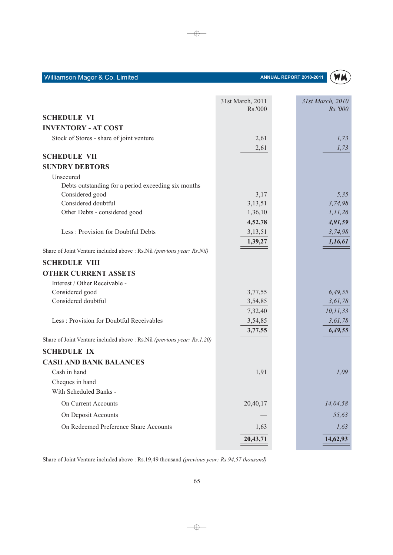| <b>SCHEDULE VI</b><br><b>INVENTORY - AT COST</b><br>Stock of Stores - share of joint venture<br>1,73<br>2,61<br>2,61<br>1,73<br><b>SCHEDULE VII</b><br><b>SUNDRY DEBTORS</b><br>Unsecured<br>Debts outstanding for a period exceeding six months<br>Considered good<br>3,17<br>5,35<br>Considered doubtful<br>3,74,98<br>3,13,51<br>Other Debts - considered good<br>1,36,10<br>1, 11, 26<br>4,52,78<br>4,91,59<br>Less: Provision for Doubtful Debts<br>3,13,51<br>3,74,98<br>1,39,27<br>1,16,61<br>Share of Joint Venture included above : Rs.Nil (previous year: Rs.Nil)<br><b>SCHEDULE VIII</b><br><b>OTHER CURRENT ASSETS</b><br>Interest / Other Receivable -<br>Considered good<br>6,49,55<br>3,77,55<br>Considered doubtful<br>3,61,78<br>3,54,85<br>10,11,33<br>7,32,40<br>Less: Provision for Doubtful Receivables<br>3,54,85<br>3,61,78<br>3,77,55<br>6,49,55<br>Share of Joint Venture included above : Rs.Nil (previous year: Rs.1,20)<br><b>SCHEDULE IX</b><br><b>CASH AND BANK BALANCES</b><br>Cash in hand<br>1,91<br>1,09<br>Cheques in hand<br>With Scheduled Banks -<br>On Current Accounts<br>20,40,17<br>14,04,58<br>On Deposit Accounts<br>55,63<br>On Redeemed Preference Share Accounts<br>1,63<br>1,63 | 31st March, 2011<br>Rs.'000 | 31st March, 2010<br>Rs.'000 |
|---------------------------------------------------------------------------------------------------------------------------------------------------------------------------------------------------------------------------------------------------------------------------------------------------------------------------------------------------------------------------------------------------------------------------------------------------------------------------------------------------------------------------------------------------------------------------------------------------------------------------------------------------------------------------------------------------------------------------------------------------------------------------------------------------------------------------------------------------------------------------------------------------------------------------------------------------------------------------------------------------------------------------------------------------------------------------------------------------------------------------------------------------------------------------------------------------------------------------------|-----------------------------|-----------------------------|
|                                                                                                                                                                                                                                                                                                                                                                                                                                                                                                                                                                                                                                                                                                                                                                                                                                                                                                                                                                                                                                                                                                                                                                                                                                 |                             |                             |
|                                                                                                                                                                                                                                                                                                                                                                                                                                                                                                                                                                                                                                                                                                                                                                                                                                                                                                                                                                                                                                                                                                                                                                                                                                 |                             |                             |
|                                                                                                                                                                                                                                                                                                                                                                                                                                                                                                                                                                                                                                                                                                                                                                                                                                                                                                                                                                                                                                                                                                                                                                                                                                 |                             |                             |
|                                                                                                                                                                                                                                                                                                                                                                                                                                                                                                                                                                                                                                                                                                                                                                                                                                                                                                                                                                                                                                                                                                                                                                                                                                 |                             |                             |
|                                                                                                                                                                                                                                                                                                                                                                                                                                                                                                                                                                                                                                                                                                                                                                                                                                                                                                                                                                                                                                                                                                                                                                                                                                 |                             |                             |
|                                                                                                                                                                                                                                                                                                                                                                                                                                                                                                                                                                                                                                                                                                                                                                                                                                                                                                                                                                                                                                                                                                                                                                                                                                 |                             |                             |
|                                                                                                                                                                                                                                                                                                                                                                                                                                                                                                                                                                                                                                                                                                                                                                                                                                                                                                                                                                                                                                                                                                                                                                                                                                 |                             |                             |
|                                                                                                                                                                                                                                                                                                                                                                                                                                                                                                                                                                                                                                                                                                                                                                                                                                                                                                                                                                                                                                                                                                                                                                                                                                 |                             |                             |
|                                                                                                                                                                                                                                                                                                                                                                                                                                                                                                                                                                                                                                                                                                                                                                                                                                                                                                                                                                                                                                                                                                                                                                                                                                 |                             |                             |
|                                                                                                                                                                                                                                                                                                                                                                                                                                                                                                                                                                                                                                                                                                                                                                                                                                                                                                                                                                                                                                                                                                                                                                                                                                 |                             |                             |
|                                                                                                                                                                                                                                                                                                                                                                                                                                                                                                                                                                                                                                                                                                                                                                                                                                                                                                                                                                                                                                                                                                                                                                                                                                 |                             |                             |
|                                                                                                                                                                                                                                                                                                                                                                                                                                                                                                                                                                                                                                                                                                                                                                                                                                                                                                                                                                                                                                                                                                                                                                                                                                 |                             |                             |
|                                                                                                                                                                                                                                                                                                                                                                                                                                                                                                                                                                                                                                                                                                                                                                                                                                                                                                                                                                                                                                                                                                                                                                                                                                 |                             |                             |
|                                                                                                                                                                                                                                                                                                                                                                                                                                                                                                                                                                                                                                                                                                                                                                                                                                                                                                                                                                                                                                                                                                                                                                                                                                 |                             |                             |
|                                                                                                                                                                                                                                                                                                                                                                                                                                                                                                                                                                                                                                                                                                                                                                                                                                                                                                                                                                                                                                                                                                                                                                                                                                 |                             |                             |
|                                                                                                                                                                                                                                                                                                                                                                                                                                                                                                                                                                                                                                                                                                                                                                                                                                                                                                                                                                                                                                                                                                                                                                                                                                 |                             |                             |
|                                                                                                                                                                                                                                                                                                                                                                                                                                                                                                                                                                                                                                                                                                                                                                                                                                                                                                                                                                                                                                                                                                                                                                                                                                 |                             |                             |
|                                                                                                                                                                                                                                                                                                                                                                                                                                                                                                                                                                                                                                                                                                                                                                                                                                                                                                                                                                                                                                                                                                                                                                                                                                 |                             |                             |
|                                                                                                                                                                                                                                                                                                                                                                                                                                                                                                                                                                                                                                                                                                                                                                                                                                                                                                                                                                                                                                                                                                                                                                                                                                 |                             |                             |
|                                                                                                                                                                                                                                                                                                                                                                                                                                                                                                                                                                                                                                                                                                                                                                                                                                                                                                                                                                                                                                                                                                                                                                                                                                 |                             |                             |
|                                                                                                                                                                                                                                                                                                                                                                                                                                                                                                                                                                                                                                                                                                                                                                                                                                                                                                                                                                                                                                                                                                                                                                                                                                 |                             |                             |
|                                                                                                                                                                                                                                                                                                                                                                                                                                                                                                                                                                                                                                                                                                                                                                                                                                                                                                                                                                                                                                                                                                                                                                                                                                 |                             |                             |
|                                                                                                                                                                                                                                                                                                                                                                                                                                                                                                                                                                                                                                                                                                                                                                                                                                                                                                                                                                                                                                                                                                                                                                                                                                 |                             |                             |
|                                                                                                                                                                                                                                                                                                                                                                                                                                                                                                                                                                                                                                                                                                                                                                                                                                                                                                                                                                                                                                                                                                                                                                                                                                 |                             |                             |
|                                                                                                                                                                                                                                                                                                                                                                                                                                                                                                                                                                                                                                                                                                                                                                                                                                                                                                                                                                                                                                                                                                                                                                                                                                 |                             |                             |
|                                                                                                                                                                                                                                                                                                                                                                                                                                                                                                                                                                                                                                                                                                                                                                                                                                                                                                                                                                                                                                                                                                                                                                                                                                 |                             |                             |
|                                                                                                                                                                                                                                                                                                                                                                                                                                                                                                                                                                                                                                                                                                                                                                                                                                                                                                                                                                                                                                                                                                                                                                                                                                 |                             |                             |
|                                                                                                                                                                                                                                                                                                                                                                                                                                                                                                                                                                                                                                                                                                                                                                                                                                                                                                                                                                                                                                                                                                                                                                                                                                 |                             |                             |
|                                                                                                                                                                                                                                                                                                                                                                                                                                                                                                                                                                                                                                                                                                                                                                                                                                                                                                                                                                                                                                                                                                                                                                                                                                 |                             |                             |
|                                                                                                                                                                                                                                                                                                                                                                                                                                                                                                                                                                                                                                                                                                                                                                                                                                                                                                                                                                                                                                                                                                                                                                                                                                 |                             |                             |
|                                                                                                                                                                                                                                                                                                                                                                                                                                                                                                                                                                                                                                                                                                                                                                                                                                                                                                                                                                                                                                                                                                                                                                                                                                 |                             |                             |
|                                                                                                                                                                                                                                                                                                                                                                                                                                                                                                                                                                                                                                                                                                                                                                                                                                                                                                                                                                                                                                                                                                                                                                                                                                 |                             |                             |
|                                                                                                                                                                                                                                                                                                                                                                                                                                                                                                                                                                                                                                                                                                                                                                                                                                                                                                                                                                                                                                                                                                                                                                                                                                 | 20,43,71                    | 14,62,93                    |

 $\qquad \qquad = \qquad \qquad$ 

Share of Joint Venture included above : Rs.19,49 thousand (previous year: Rs.94,57 thousand)

 $\rightarrow$ 

Williamson Magor & Co. Limited

### ANNUAL REPORT 2010-2011

**WM** 

<u> 1989 - Andrea Station Books, amerikansk politiker (</u>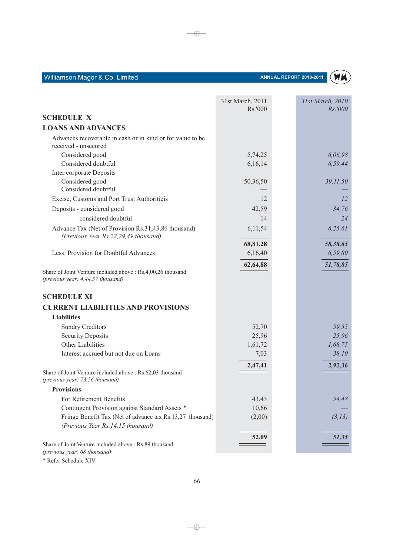|                                                                                              | 31st March, 2011<br>Rs.'000 | 31st March, 2010<br>Rs.'000 |
|----------------------------------------------------------------------------------------------|-----------------------------|-----------------------------|
| <b>SCHEDULE X</b>                                                                            |                             |                             |
| <b>LOANS AND ADVANCES</b>                                                                    |                             |                             |
| Advances recoverable in cash or in kind or for value to be                                   |                             |                             |
| received - unsecured                                                                         |                             |                             |
| Considered good                                                                              | 5,74,25                     | 6,06,98                     |
| Considered doubtful                                                                          | 6,16,14                     | 6,59,44                     |
| Inter corporate Deposits                                                                     |                             |                             |
| Considered good                                                                              | 50,36,50                    | 39,11,50                    |
| Considered doubtful                                                                          |                             |                             |
| Excise, Customs and Port Trust Authoritieis                                                  | 12                          | 12                          |
| Deposits - considered good                                                                   | 42,59                       | 34,76                       |
| considered doubtful                                                                          | 14                          | 24                          |
| Advance Tax (Net of Provision Rs.31,43,86 thousand)                                          | 6,11,54                     | 6,25,61                     |
| (Previous Year Rs.22,29,49 thousand)                                                         |                             |                             |
|                                                                                              | 68,81,28                    | 58,38,65                    |
| Less: Provision for Doubtful Advances                                                        | 6,16,40                     | 6,59,80                     |
|                                                                                              | 62,64,88                    | 51,78,85                    |
| Share of Joint Venture included above : Rs.4,00,26 thousand                                  |                             |                             |
| (previous year: 4,44,57 thousand)                                                            |                             |                             |
| <b>SCHEDULE XI</b>                                                                           |                             |                             |
| <b>CURRENT LIABILITIES AND PROVISIONS</b>                                                    |                             |                             |
| <b>Liabilities</b>                                                                           |                             |                             |
| <b>Sundry Creditors</b>                                                                      | 52,70                       | 59,55                       |
| <b>Security Deposits</b>                                                                     | 25,96                       | 25,96                       |
| Other Liabilities                                                                            | 1,61,72                     | 1,68,75                     |
| Interest accrued but not due on Loans                                                        | 7,03                        | 38,10                       |
|                                                                                              |                             |                             |
| Share of Joint Venture included above : Rs.62,03 thousand<br>(previous year: 73,56 thousand) | 2,47,41                     | 2,92,36                     |
| <b>Provisions</b>                                                                            |                             |                             |
| For Retirement Benefits                                                                      | 43,43                       | 54,48                       |
| Contingent Provision against Standard Assets *                                               | 10,66                       |                             |
| Fringe Benefit Tax (Net of advance tax Rs.13,27 thousand)                                    | (2,00)                      | (3,13)                      |
| (Previous Year Rs.14,15 thousand)                                                            |                             |                             |
|                                                                                              |                             |                             |
| Share of Joint Venture included above: Rs.89 thousand                                        | 52,09                       | 51,35                       |
| (previous year: 68 thousand)                                                                 |                             |                             |

 $\rightarrow$ 

ANNUAL REPORT 2010-2011

**WM** 

\* Refer Schedule XIV

Williamson Magor & Co. Limited

 $\longrightarrow$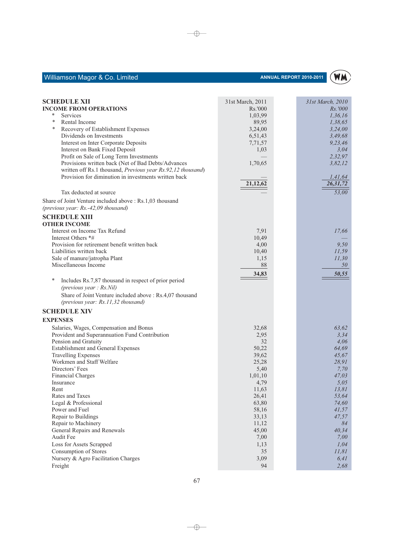

| $\overline{53,00}$<br>Tax deducted at source<br>Share of Joint Venture included above : Rs.1,03 thousand<br>(previous year: Rs.-42,09 thousand)<br><b>SCHEDULE XIII</b><br><b>OTHER INCOME</b>                                                                                                                                                                                                                                                                                                                                                                                                                                                                                                                                                                                                                                                 |
|------------------------------------------------------------------------------------------------------------------------------------------------------------------------------------------------------------------------------------------------------------------------------------------------------------------------------------------------------------------------------------------------------------------------------------------------------------------------------------------------------------------------------------------------------------------------------------------------------------------------------------------------------------------------------------------------------------------------------------------------------------------------------------------------------------------------------------------------|
|                                                                                                                                                                                                                                                                                                                                                                                                                                                                                                                                                                                                                                                                                                                                                                                                                                                |
|                                                                                                                                                                                                                                                                                                                                                                                                                                                                                                                                                                                                                                                                                                                                                                                                                                                |
|                                                                                                                                                                                                                                                                                                                                                                                                                                                                                                                                                                                                                                                                                                                                                                                                                                                |
| Interest on Income Tax Refund<br>7,91<br>17,66<br>Interest Others *#<br>10,49<br>Provision for retirement benefit written back<br>4,00<br>9,50<br>Liabilities written back<br>10,40<br>11,59<br>Sale of manure/jatropha Plant<br>1,15<br>11,30<br>Miscellaneous Income<br>88<br>50<br>34,83<br>50,55                                                                                                                                                                                                                                                                                                                                                                                                                                                                                                                                           |
| ∗<br>Includes Rs.7,87 thousand in respect of prior period<br>(previous year: Rs.Nil)<br>Share of Joint Venture included above : Rs.4,07 thousand<br>(previous year: Rs.11,32 thousand)<br><b>SCHEDULE XIV</b>                                                                                                                                                                                                                                                                                                                                                                                                                                                                                                                                                                                                                                  |
| <b>EXPENSES</b>                                                                                                                                                                                                                                                                                                                                                                                                                                                                                                                                                                                                                                                                                                                                                                                                                                |
| Salaries, Wages, Compensation and Bonus<br>32,68<br>63,62<br>Provident and Superannuation Fund Contribution<br>2,95<br>3,34<br>Pension and Gratuity<br>32<br>4,06<br>Establishment and General Expenses<br>50,22<br>64,69<br><b>Travelling Expenses</b><br>39,62<br>45,67<br>Workmen and Staff Welfare<br>25,28<br>28,91<br>Directors' Fees<br>5,40<br>7,70<br><b>Financial Charges</b><br>1,01,10<br>47,03<br>5,05<br>Insurance<br>4,79<br>11,63<br>13,81<br>Rent<br>Rates and Taxes<br>26,41<br>53,64<br>63,80<br>74,60<br>Legal & Professional<br>Power and Fuel<br>58,16<br>41,57<br>Repair to Buildings<br>33,13<br>47,57<br>Repair to Machinery<br>11,12<br>84<br>General Repairs and Renewals<br>45,00<br>40,34<br>Audit Fee<br>7,00<br>7,00<br>Loss for Assets Scrapped<br>1,13<br>1,04<br><b>Consumption of Stores</b><br>35<br>11,81 |
| Nursery & Agro Facilitation Charges<br>3,09<br>6,41<br>Freight<br>94<br>2,68                                                                                                                                                                                                                                                                                                                                                                                                                                                                                                                                                                                                                                                                                                                                                                   |

 $\longrightarrow$ 

 $\longrightarrow$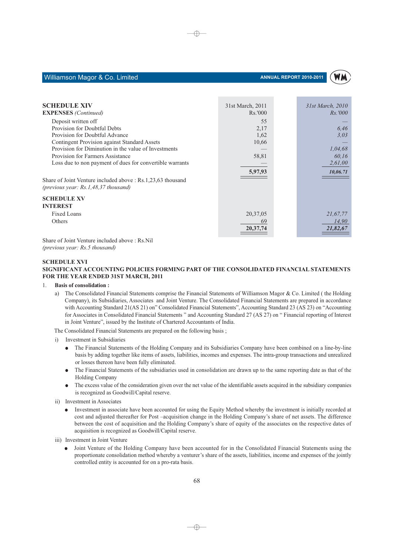

| <b>SCHEDULE XIV</b>                                                                                   |                  |                  |
|-------------------------------------------------------------------------------------------------------|------------------|------------------|
|                                                                                                       | 31st March, 2011 | 31st March, 2010 |
| <b>EXPENSES</b> (Continued)                                                                           | Rs.'000          | <i>Rs.</i> '000  |
| Deposit written off                                                                                   | 55               |                  |
| Provision for Doubtful Debts                                                                          | 2,17             | 6.46             |
| Provision for Doubtful Advance                                                                        | 1,62             | 3,03             |
| <b>Contingent Provision against Standard Assets</b>                                                   | 10,66            |                  |
| Provision for Diminution in the value of Investments                                                  |                  | 1,04,68          |
| Provision for Farmers Assistance                                                                      | 58,81            | 60,16            |
| Loss due to non payment of dues for convertible warrants                                              |                  | 2,61,00          |
|                                                                                                       | 5,97,93          | 10,06.71         |
| Share of Joint Venture included above : Rs.1,23,63 thousand<br>(previous year: $Rs.1,48,37$ thousand) |                  |                  |
| <b>SCHEDULE XV</b>                                                                                    |                  |                  |
| <b>INTEREST</b>                                                                                       |                  |                  |
| Fixed Loans                                                                                           | 20,37,05         | 21,67,77         |
| Others                                                                                                | 69               | 14,90            |
|                                                                                                       | 20, 37, 74       | 21,82,67         |
|                                                                                                       |                  |                  |

⊕

Share of Joint Venture included above : Rs.Nil (previous year: Rs.5 thousand)

### **SCHEDULE XVI** SIGNIFICANT ACCOUNTING POLICIES FORMING PART OF THE CONSOLIDATED FINANCIAL STATEMENTS FOR THE YEAR ENDED 31ST MARCH, 2011

#### $\mathbf{1}$ **Basis of consolidation:**

a) The Consolidated Financial Statements comprise the Financial Statements of Williamson Magor & Co. Limited (the Holding Company), its Subsidiaries, Associates and Joint Venture. The Consolidated Financial Statements are prepared in accordance with Accounting Standard 21(AS 21) on" Consolidated Financial Statements", Accounting Standard 23 (AS 23) on "Accounting for Associates in Consolidated Financial Statements " and Accounting Standard 27 (AS 27) on " Financial reporting of Interest in Joint Venture", issued by the Institute of Chartered Accountants of India.

The Consolidated Financial Statements are prepared on the following basis;

- Investment in Subsidiaries
	- The Financial Statements of the Holding Company and its Subsidiaries Company have been combined on a line-by-line  $\bullet$ basis by adding together like items of assets, liabilities, incomes and expenses. The intra-group transactions and unrealized or losses thereon have been fully eliminated.
	- The Financial Statements of the subsidiaries used in consolidation are drawn up to the same reporting date as that of the  $\bullet$ Holding Company
	- The excess value of the consideration given over the net value of the identifiable assets acquired in the subsidiary companies  $\bullet$ is recognized as Goodwill/Capital reserve.
- ii) Investment in Associates
	- Investment in associate have been accounted for using the Equity Method whereby the investment is initially recorded at cost and adjusted thereafter for Post -acquisition change in the Holding Company's share of net assets. The difference between the cost of acquisition and the Holding Company's share of equity of the associates on the respective dates of acquisition is recognized as Goodwill/Capital reserve.
- iii) Investment in Joint Venture
	- Joint Venture of the Holding Company have been accounted for in the Consolidated Financial Statements using the proportionate consolidation method whereby a venturer's share of the assets, liabilities, income and expenses of the jointly controlled entity is accounted for on a pro-rata basis.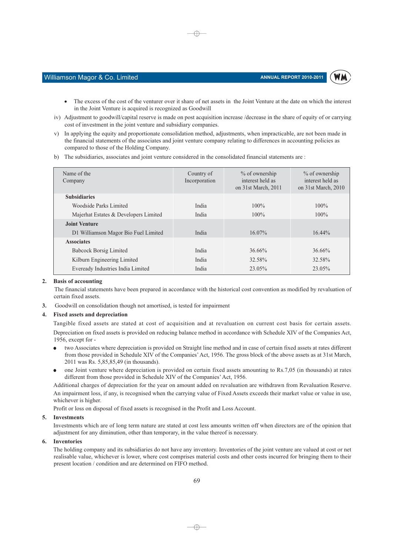

### Williamson Magor & Co. Limited

- The excess of the cost of the venturer over it share of net assets in the Joint Venture at the date on which the interest  $\bullet$ in the Joint Venture is acquired is recognized as Goodwill
- iv) Adjustment to goodwill/capital reserve is made on post acquisition increase /decrease in the share of equity of or carrying cost of investment in the joint venture and subsidiary companies.

⊕

- v) In applying the equity and proportionate consolidation method, adjustments, when impracticable, are not been made in the financial statements of the associates and joint venture company relating to differences in accounting policies as compared to those of the Holding Company.
- b) The subsidiaries, associates and joint venture considered in the consolidated financial statements are :

| Name of the<br>Company                | Country of<br>Incorporation | $%$ of ownership<br>interest held as<br>on 31st March, 2011 | $\%$ of ownership<br>interest held as<br>on 31st March, 2010 |
|---------------------------------------|-----------------------------|-------------------------------------------------------------|--------------------------------------------------------------|
| <b>Subsidiaries</b>                   |                             |                                                             |                                                              |
| Woodside Parks Limited                | India                       | $100\%$                                                     | $100\%$                                                      |
| Majerhat Estates & Developers Limited | India                       | $100\%$                                                     | $100\%$                                                      |
| <b>Joint Venture</b>                  |                             |                                                             |                                                              |
| D1 Williamson Magor Bio Fuel Limited  | India                       | $16.07\%$                                                   | $16.44\%$                                                    |
| <b>Associates</b>                     |                             |                                                             |                                                              |
| <b>Babcock Borsig Limited</b>         | India                       | $36.66\%$                                                   | 36.66%                                                       |
| Kilburn Engineering Limited           | India                       | 32.58%                                                      | 32.58%                                                       |
| Eveready Industries India Limited     | India                       | 23.05%                                                      | 23.05%                                                       |
|                                       |                             |                                                             |                                                              |

### 2. Basis of accounting

The financial statements have been prepared in accordance with the historical cost convention as modified by revaluation of certain fixed assets.

Goodwill on consolidation though not amortised, is tested for impairment  $\overline{3}$ .

### 4. Fixed assets and depreciation

Tangible fixed assets are stated at cost of acquisition and at revaluation on current cost basis for certain assets. Depreciation on fixed assets is provided on reducing balance method in accordance with Schedule XIV of the Companies Act, 1956, except for -

- two Associates where depreciation is provided on Straight line method and in case of certain fixed assets at rates different from those provided in Schedule XIV of the Companies' Act, 1956. The gross block of the above assets as at 31st March, 2011 was Rs. 5,85,85,49 (in thousands).
- one Joint venture where depreciation is provided on certain fixed assets amounting to Rs.7,05 (in thousands) at rates different from those provided in Schedule XIV of the Companies' Act, 1956.

Additional charges of depreciation for the year on amount added on revaluation are withdrawn from Revaluation Reserve. An impairment loss, if any, is recognised when the carrying value of Fixed Assets exceeds their market value or value in use, whichever is higher.

Profit or loss on disposal of fixed assets is recognised in the Profit and Loss Account.

### 5. Investments

Investments which are of long term nature are stated at cost less amounts written off when directors are of the opinion that adjustment for any diminution, other than temporary, in the value thereof is necessary.

### 6. Inventories

The holding company and its subsidiaries do not have any inventory. Inventories of the joint venture are valued at cost or net realisable value, whichever is lower, where cost comprises material costs and other costs incurred for bringing them to their present location / condition and are determined on FIFO method.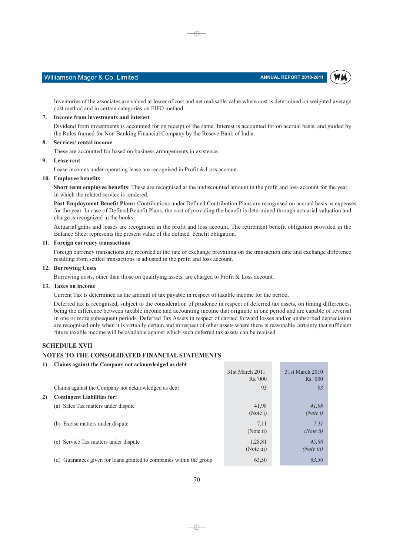### Williamson Magor & Co. Limited

Inventories of the associates are valued at lower of cost and net realisable value where cost is determined on weighted average cost method and in certain categories on FIFO method.

⊕

### 7. Income from investments and interest

Dividend from investments is accounted for on receipt of the same. Interest is accounted for on accrual basis, and guided by the Rules framed for Non Banking Financial Company by the Reseve Bank of India.

### 8. Services/rental income

These are accounted for based on business arrangements in existence.

### 9. Lease rent

Lease incomes under operating lease are recognised in Profit & Loss account.

### 10. Employee benefits

Short term employee benefits: These are recognised at the undiscounted amount in the profit and loss account for the year in which the related service is rendered.

Post Employment Benefit Plans: Contributions under Defined Contribution Plans are recognised on accrual basis as expenses for the year. In case of Defined Benefit Plans, the cost of providing the benefit is determined through actuarial valuation and charge is recognized in the books.

Actuarial gains and losses are recognised in the profit and loss account. The retirement benefit obligation provided in the Balance Sheet represents the present value of the defined benefit obligation.

### 11. Foreign currency transactions

Foreign currency transactions are recorded at the rate of exchange prevailing on the transaction date and exchange difference resulting from settled transactions is adjusted in the profit and loss account.

### 12. Borrowing Costs

Borrowing costs, other than those on qualifying assets, are charged to Profit & Loss account.

### 13. Taxes on income

Current Tax is determined as the amount of tax payable in respect of taxable income for the period.

Deferred tax is recognised, subject to the consideration of prudence in respect of deferred tax assets, on timing differences, being the difference between taxable income and accounting income that originate in one period and are capable of reversal in one or more subsequent periods. Deferred Tax Assets in respect of carried forward losses and/or unabsorbed depreciation are recognised only when it is virtually certain and in respect of other assets where there is reasonable certainty that sufficient future taxable income will be available against which such deferred tax assets can be realised.

### **SCHEDULE XVII**

### NOTES TO THE CONSOLIDATED FINANCIAL STATEMENTS

### 1) Claims against the Company not acknowledged as debt

|    |                                                                         | 31st March 2011<br>Rs.7000 | 31st March 2010<br>Rs.7000 |
|----|-------------------------------------------------------------------------|----------------------------|----------------------------|
|    | Claims against the Company not acknowledged as debt                     | 93                         | 93                         |
| 2) | <b>Contingent Liabilities for:</b>                                      |                            |                            |
|    | (a) Sales Tax matters under dispute                                     | 41,98<br>(Note i)          | 41,98<br>(Note $i$ )       |
|    | (b) Excise matters under dispute                                        | 7,11<br>(Note ii)          | 7.11<br>( <i>Note ii</i> ) |
|    | (c) Service Tax matters under dispute                                   | 1,28,81<br>(Note iii)      | 45,80<br>(Note iii)        |
|    | Guarantees given for loans granted to companies within the group<br>(d) | 63,50                      | 63,50                      |

 $\neg \oplus$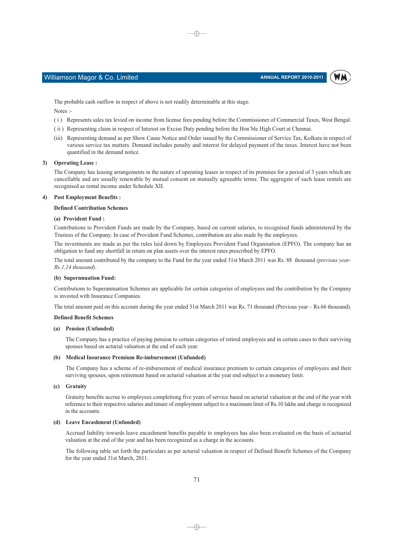WM



The probable cash outflow in respect of above is not readily determinable at this stage.

Notes :-

(i) Represents sales tax levied on income from license fees pending before the Commissioner of Commercial Taxes, West Bengal.

⊕

- (ii) Representing claim in respect of Interest on Excise Duty pending before the Hon'ble High Court at Chennai.
- (iii) Representing demand as per Show Cause Notice and Order issued by the Commissioner of Service Tax, Kolkata in respect of various service tax matters. Demand includes penalty and interest for delayed payment of the taxes. Interest have not been quantified in the demand notice.

### 3) Operating Lease:

The Company has leasing arrangements in the nature of operating leases in respect of its premises for a period of 3 years which are cancellable and are usually renewable by mutual consent on mutually agreeable terms. The aggregate of such lease rentals are recognised as rental income under Schedule XII.

### 4) Post Employment Benefits:

### **Defined Contribution Schemes**

### (a) Provident Fund:

Contributions to Provident Funds are made by the Company, based on current salaries, to recognised funds administered by the Trustees of the Company. In case of Provident Fund Schemes, contribution are also made by the employees.

The investments are made as per the rules laid down by Employees Provident Fund Organisation (EPFO). The company has an obligation to fund any shortfall in return on plan assets over the interest rates prescribed by EPFO.

The total amount contributed by the company to the Fund for the year ended 31st March 2011 was Rs. 88 thousand (previous year- $Rs 114$  thousand)

### (b) Supernnuation Fund:

Contributions to Superannuation Schemes are applicable for certain categories of employees and the contribution by the Company is invested with Insurance Companies.

The total amount paid on this account during the year ended 31st March 2011 was Rs. 71 thousand (Previous year - Rs.66 thousand).

### **Defined Benefit Schemes**

### (a) Pension (Unfunded)

The Company has a practice of paying pension to certain categories of retired employees and in certain cases to their surviving spouses based on acturial valuation at the end of each year.

### (b) Medical Insurance Premium Re-imbursement (Unfunded)

The Company has a scheme of re-imbursement of medical insurance premium to certain categories of employees and their surviving spouses, upon retirement based on acturial valuation at the year end subject to a monetary limit.

### (c) Gratuity

Gratuity benefits accrue to employees completiong five years of service based on acturial valuation at the end of the year with reference to their respective salaries and tenure of employment subject to a maximum limit of Rs.10 lakhs and charge is recognized in the accounts.

### (d) Leave Encashment (Unfunded)

Accrued liability towards leave encashment benefits payable to employees has also been evaluated on the basis of actuarial valuation at the end of the year and has been recognized as a charge in the accounts.

The following table set forth the particulars as per acturial valuation in respect of Defined Benefit Schemes of the Company for the year ended 31st March, 2011.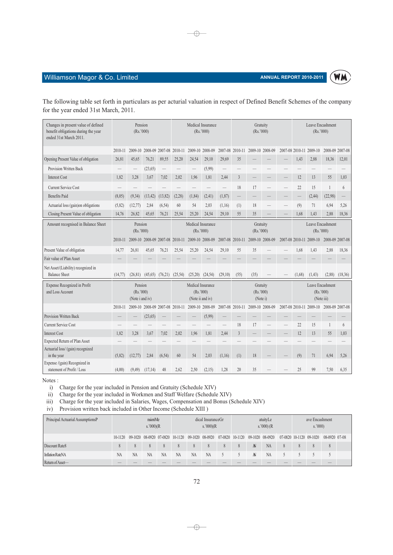

### Williamson Magor & Co. Limited

The following table set forth in particulars as per acturial valuation in respect of Defined Benefit Schemes of the company for the year ended 31st March, 2011.

 $\bigoplus$ 

| Changes in present value of defined<br>benefit obligations during the year<br>ended 31st March 2011. | Pension<br>(Rs.'000)                    |         |          |                                 | Medical Insurance<br>(Rs.'000)                      |                 |                 |         | Gratuity<br>(Rs.'000) |                                   |                 |  | Leave Encashment<br>(Rs.'000)                |                         |                          |                 |
|------------------------------------------------------------------------------------------------------|-----------------------------------------|---------|----------|---------------------------------|-----------------------------------------------------|-----------------|-----------------|---------|-----------------------|-----------------------------------|-----------------|--|----------------------------------------------|-------------------------|--------------------------|-----------------|
|                                                                                                      | 2010-11                                 | 2009-10 | 2008-09  | 2007-08                         | 2010-11                                             |                 | 2009-10 2008-09 | 2007-08 | 2010-11               |                                   | 2009-10 2008-09 |  | 2007-08 2010-11                              | 2009-10                 |                          | 2008-09 2007-08 |
| Opening Present Value of obligation                                                                  | 26,81                                   | 45,65   | 76,21    | 89,55                           | 25,20                                               | 24,54           | 29,10           | 29,69   | 35                    |                                   |                 |  | 1,43                                         | 2,88                    | 18,36                    | 12,01           |
| Provision Written Back                                                                               |                                         |         | (23, 65) |                                 |                                                     |                 | (5,99)          |         |                       |                                   |                 |  |                                              |                         |                          |                 |
| <b>Interest Cost</b>                                                                                 | 1,82                                    | 3,28    | 3,67     | 7,02                            | 2,02                                                | 1,96            | 1,81            | 2,44    | $\overline{3}$        |                                   |                 |  | 12                                           | 13                      | 55                       | 1,03            |
| <b>Current Service Cost</b>                                                                          |                                         |         |          |                                 |                                                     |                 |                 |         | 18                    | 17                                |                 |  | 22                                           | 15                      | $\overline{\phantom{a}}$ | 6               |
| <b>Benefits Paid</b>                                                                                 | (8,05)                                  | (9, 34) | (13, 42) | (13, 82)                        | (2, 28)                                             | (1, 84)         | (2, 41)         | (1, 87) |                       |                                   |                 |  |                                              | (2, 44)                 | (22,98)                  |                 |
| Actuarial loss (gain)on obligations                                                                  | (5,82)                                  | (12,77) | 2,84     | (6, 54)                         | 60                                                  | 54              | 2,03            | (1,16)  | (1)                   | 18                                |                 |  | (9)                                          | 71                      | 6,94                     | 5,26            |
| Closing Present Value of obligation                                                                  | 14,76                                   | 26,82   | 45,65    | 76,21                           | 25,54                                               | 25,20           | 24,54           | 29,10   | 55                    | 35                                |                 |  | 1,68                                         | 1,43                    | 2,88                     | 18,36           |
| Amount recognised in Balance Sheet                                                                   | Pension<br>(Rs.'000)                    |         |          |                                 | Medical Insurance<br>(Rs.'000)                      |                 |                 |         |                       | Gratuity<br>(Rs. '000)            |                 |  | Leave Encashment<br>(Rs.'000)                |                         |                          |                 |
|                                                                                                      | 2010-11                                 |         |          |                                 | 2009-10 2008-09 2007-08 2010-11                     | 2009-10 2008-09 |                 | 2007-08 | 2010-11               |                                   | 2009-10 2008-09 |  |                                              | 2007-08 2010-11 2009-10 | 2008-09 2007-08          |                 |
| Present Value of obligation                                                                          | 14,77                                   | 26,81   | 45,65    | 76,21                           | 25,54                                               | 25,20           | 24,54           | 29,10   | 55                    | 35                                |                 |  | 1,68                                         | 1,43                    | 2.88                     | 18,36           |
| Fair value of Plan Asset                                                                             |                                         |         |          |                                 |                                                     |                 |                 |         |                       |                                   |                 |  |                                              |                         |                          |                 |
| Net Asset/(Liability) recognized in<br><b>Balance Sheet</b>                                          | (14, 77)                                | (26.81) | (45,65)  | (76,21)                         | (25,54)                                             | (25,20)         | (24, 54)        | (29,10) | (55)                  | (35)                              |                 |  | (1,68)                                       | (1, 43)                 | (2,88)                   | (18,36)         |
| Expense Recognized in Profit<br>and Loss Account                                                     | Pension<br>(Rs.'000)<br>(Note i and iv) |         |          |                                 | Medical Insurance<br>(Rs. '000)<br>(Note ii and iv) |                 |                 |         |                       | Gratuity<br>(Rs.'000)<br>(Note i) |                 |  | Leave Encashment<br>(Rs. '000)<br>(Note iii) |                         |                          |                 |
|                                                                                                      | 2010-11                                 |         |          | 2009-10 2008-09 2007-08 2010-11 |                                                     |                 | 2009-10 2008-09 | 2007-08 | 2010-11               |                                   | 2009-10 2008-09 |  |                                              | 2007-08 2010-11 2009-10 | 2008-09 2007-08          |                 |
| Provision Written Back                                                                               |                                         |         | (23, 65) |                                 |                                                     |                 | (5,99)          |         |                       |                                   |                 |  |                                              |                         |                          |                 |
| <b>Current Service Cost</b>                                                                          |                                         |         |          |                                 |                                                     |                 |                 |         | 18                    | 17                                |                 |  | 22                                           | 15                      | $\mathbf{1}$             | 6               |
| <b>Interest Cost</b>                                                                                 | 1,82                                    | 3,28    | 3,67     | 7,02                            | 2,02                                                | 1.96            | 1,81            | 2,44    | $\overline{3}$        |                                   |                 |  | 12                                           | 13                      | 55                       | 1.03            |
| Expected Return of Plan Asset                                                                        |                                         |         |          |                                 |                                                     |                 |                 |         |                       |                                   |                 |  |                                              |                         |                          |                 |
| Actuarial loss/ (gain) recognized<br>in the year                                                     | (5,82)                                  | (12,77) | 2,84     | (6, 54)                         | 60                                                  | 54              | 2,03            | (1,16)  | (1)                   | 18                                |                 |  | (9)                                          | 71                      | 6,94                     | 5.26            |
| Expense /(gain) Recognized in<br>statement of Profit / Loss                                          | (4,00)                                  | (9, 49) | (17,14)  | 48                              | 2,62                                                | 2,50            | (2,15)          | 1,28    | 20                    | 35                                |                 |  | 25                                           | 99                      | 7.50                     | 6,35            |

Notes:

i) Charge for the year included in Pension and Gratuity (Schedule XIV)

ii) Charge for the year included in Workmen and Staff Welfare (Schedule XIV)

iii) Charge for the year included in Salaries, Wages, Compensation and Bonus (Schedule XIV)

iv) Provision written back included in Other Income (Schedule XIII)

| Principal Actuarial AssumptionsP | nsionMe<br>s.'000) $(R$ |    |                | dical InsuranceGr<br>s.'000) $(R$ |               |    |                | atuityLe<br>s.2000(R) |  |          |           | ave Encashment<br>s.000                                                                                 |   |  |               |  |
|----------------------------------|-------------------------|----|----------------|-----------------------------------|---------------|----|----------------|-----------------------|--|----------|-----------|---------------------------------------------------------------------------------------------------------|---|--|---------------|--|
|                                  | $10 - 1120$             |    |                |                                   |               |    |                |                       |  |          |           | 09-1020 08-0920 07-0820 10-1120 09-1020 08-0920 07-0820 10-1120 09-1020 08-0920 07-0820 10-1120 09-1020 |   |  | 08-0920 07-08 |  |
| Discount Rate8                   |                         | 8  |                |                                   | 8             | 8  | 8              |                       |  | <b>A</b> | <b>NA</b> |                                                                                                         | 8 |  | 8             |  |
| Inflation RateNA                 | <b>NA</b>               | NA | N <sub>A</sub> | <b>NA</b>                         | <sup>NA</sup> | NA | N <sub>A</sub> |                       |  | A        | <b>NA</b> |                                                                                                         |   |  |               |  |
| Return of Asset-                 |                         |    |                |                                   |               |    |                |                       |  |          |           |                                                                                                         |   |  |               |  |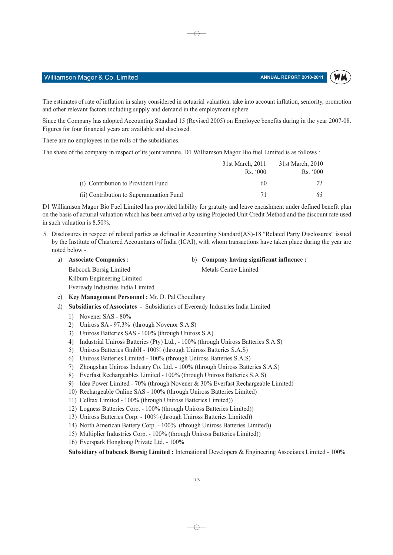#### ANNUAL REPORT 2010-2011



## Williamson Magor & Co. Limited

The estimates of rate of inflation in salary considered in actuarial valuation, take into account inflation, seniority, promotion and other relevant factors including supply and demand in the employment sphere.

⊕

Since the Company has adopted Accounting Standard 15 (Revised 2005) on Employee benefits during in the year 2007-08. Figures for four financial years are available and disclosed.

There are no employees in the rolls of the subsidiaries.

The share of the company in respect of its joint venture, D1 Williamson Magor Bio fuel Limited is as follows :

|                                          | 31st March, 2011    | 31st March, 2010 |
|------------------------------------------|---------------------|------------------|
|                                          | R <sub>s</sub> .000 | Rs. 000          |
| (i) Contribution to Provident Fund       | 60                  |                  |
| (ii) Contribution to Superannuation Fund | 71                  | 83.              |

D1 Williamson Magor Bio Fuel Limited has provided liability for gratuity and leave encashment under defined benefit plan on the basis of acturial valuation which has been arrived at by using Projected Unit Credit Method and the discount rate used in such valuation is  $8.50\%$ .

- 5. Disclosures in respect of related parties as defined in Accounting Standard(AS)-18 "Related Party Disclosures" issued by the Institute of Chartered Accountants of India (ICAI), with whom transactions have taken place during the year are noted below
	- a) Associate Companies : **Babcock Borsig Limited** Kilburn Engineering Limited Eveready Industries India Limited
- b) Company having significant influence :

Metals Centre Limited

- c) Key Management Personnel: Mr. D. Pal Choudhury
- d) Subsidiaries of Associates Subsidiaries of Eveready Industries India Limited
	- 1) Novener SAS  $80\%$
	- 2) Uniross SA 97.3% (through Novenor S.A.S)
	- 3) Uniross Batteries SAS 100% (through Uniross S.A)
	- 4) Industrial Uniross Batteries (Pty) Ltd., 100% (through Uniross Batteries S.A.S)
	- 5) Uniross Batteries GmbH 100% (through Uniross Batteries S.A.S)
	- 6) Uniross Batteries Limited 100% (through Uniross Batteries S.A.S)
	- 7) Zhongshan Uniross Industry Co. Ltd. 100% (through Uniross Batteries S.A.S)
	- 8) Everfast Rechargeables Limited 100% (through Uniross Batteries S.A.S)
	- 9) Idea Power Limited 70% (through Novener & 30% Everfast Rechargeable Limited)
	- 10) Rechargeable Online SAS 100% (through Uniross Batteries Limited)
	- 11) Celltax Limited 100% (through Uniross Batteries Limited))
	- 12) Logness Batteries Corp. 100% (through Uniross Batteries Limited))
	- 13) Uniross Batteries Corp. 100% (through Uniross Batteries Limited))
	- 14) North American Battery Corp. 100% (through Uniross Batteries Limited))
	- 15) Multiplier Industries Corp. 100% (through Uniross Batteries Limited))
	- 16) Everspark Hongkong Private Ltd. 100%

Subsidiary of babcock Borsig Limited : International Developers & Engineering Associates Limited - 100%

 $\rightarrow$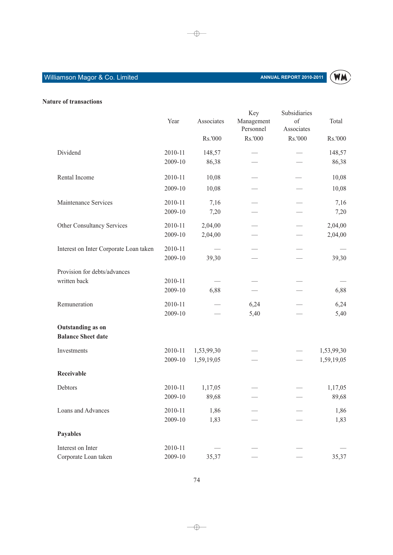# Williamson Magor & Co. Limited



## Nature of transactions

|                                                | Year               | Associates               | Key<br>Management<br>Personnel | Subsidiaries<br>of<br>Associates | Total                    |
|------------------------------------------------|--------------------|--------------------------|--------------------------------|----------------------------------|--------------------------|
|                                                |                    | Rs.'000                  | Rs.'000                        | Rs.'000                          | Rs.'000                  |
| Dividend                                       | 2010-11<br>2009-10 | 148,57<br>86,38          |                                |                                  | 148,57<br>86,38          |
| Rental Income                                  | 2010-11            | 10,08                    |                                |                                  | 10,08                    |
|                                                | 2009-10            | 10,08                    |                                |                                  | 10,08                    |
| Maintenance Services                           | 2010-11<br>2009-10 | 7,16<br>7,20             |                                |                                  | 7,16<br>7,20             |
| Other Consultancy Services                     | 2010-11<br>2009-10 | 2,04,00<br>2,04,00       |                                |                                  | 2,04,00<br>2,04,00       |
| Interest on Inter Corporate Loan taken         | 2010-11<br>2009-10 | 39,30                    |                                |                                  | 39,30                    |
| Provision for debts/advances                   |                    |                          |                                |                                  |                          |
| written back                                   | 2010-11<br>2009-10 | 6,88                     |                                |                                  | 6,88                     |
| Remuneration                                   | 2010-11<br>2009-10 |                          | 6,24<br>5,40                   |                                  | 6,24<br>5,40             |
| Outstanding as on<br><b>Balance Sheet date</b> |                    |                          |                                |                                  |                          |
| Investments                                    | 2010-11<br>2009-10 | 1,53,99,30<br>1,59,19,05 |                                |                                  | 1,53,99,30<br>1,59,19,05 |
| Receivable                                     |                    |                          |                                |                                  |                          |
| Debtors                                        | 2010-11<br>2009-10 | 1,17,05<br>89,68         |                                |                                  | 1,17,05<br>89,68         |
| Loans and Advances                             | 2010-11<br>2009-10 | 1,86<br>1,83             |                                |                                  | 1,86<br>1,83             |
| Payables                                       |                    |                          |                                |                                  |                          |
| Interest on Inter                              | 2010-11            |                          |                                |                                  |                          |
| Corporate Loan taken                           | 2009-10            | 35,37                    |                                |                                  | 35,37                    |

 $\rightarrow$ 

 $\longrightarrow$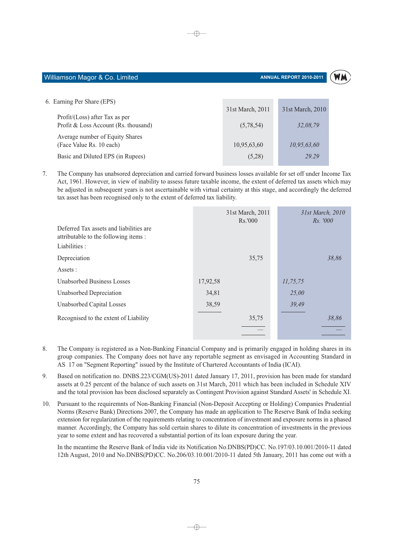#### Williamson Magor & Co. Limited

#### ANNUAL REPORT 2010-2011



| 6. Earning Per Share (EPS)           |                  |                  |
|--------------------------------------|------------------|------------------|
|                                      | 31st March, 2011 | 31st March, 2010 |
| $Profit / (Loss)$ after Tax as per   |                  |                  |
| Profit & Loss Account (Rs. thousand) | (5,78,54)        | 32.08.79         |
| Average number of Equity Shares      |                  |                  |
| (Face Value Rs. 10 each)             | 10,95,63,60      | 10,95,63,60      |
| Basic and Diluted EPS (in Rupees)    | (5,28)           | 29.29            |
|                                      |                  |                  |

 $\oplus$ 

7. The Company has unabsored depreciation and carried forward business losses available for set off under Income Tax Act, 1961. However, in view of inability to assess future taxable income, the extent of deferred tax assets which may be adjusted in subsequent years is not ascertainable with virtual certainty at this stage, and accordingly the deferred tax asset has been recognised only to the extent of deferred tax liability.

|                                                                                  | 31st March, 2011<br>Rs.'000 | 31st March, 2010<br><i>Rs.</i> '000 |
|----------------------------------------------------------------------------------|-----------------------------|-------------------------------------|
| Deferred Tax assets and liabilities are<br>attributable to the following items : |                             |                                     |
| Liabilities :                                                                    |                             |                                     |
| Depreciation                                                                     | 35,75                       | 38.86                               |
| Assets :                                                                         |                             |                                     |
| <b>Unabsorbed Business Losses</b>                                                | 17,92,58                    | 11, 75, 75                          |
| Unabsorbed Depreciation                                                          | 34,81                       | 25,00                               |
| Unabsorbed Capital Losses                                                        | 38,59                       | 39,49                               |
| Recognised to the extent of Liability                                            | 35,75                       | 38.86                               |
|                                                                                  |                             |                                     |

- 8. The Company is registered as a Non-Banking Financial Company and is primarily engaged in holding shares in its group companies. The Company does not have any reportable segment as envisaged in Accounting Standard in AS 17 on "Segment Reporting" issued by the Institute of Chartered Accountants of India (ICAI).
- Based on notification no. DNBS.223/CGM(US)-2011 dated January 17, 2011, provision has been made for standard  $\mathbf Q$ assets at 0.25 percent of the balance of such assets on 31st March, 2011 which has been included in Schedule XIV and the total provision has been disclosed separately as Contingent Provision against Standard Assets' in Schedule XI.
- 10. Pursuant to the requiremnts of Non-Banking Financial (Non-Deposit Accepting or Holding) Companies Prudential Norms (Reserve Bank) Directions 2007, the Company has made an application to The Reserve Bank of India seeking extension for regularization of the requirements relating to concentration of investment and exposure norms in a phased manner. Accordingly, the Company has sold certain shares to dilute its concentration of investments in the previous year to some extent and has recovered a substantial portion of its loan exposure during the year.

In the meantime the Reserve Bank of India vide its Notification No.DNBS(PD)CC. No.197/03.10.001/2010-11 dated 12th August, 2010 and No.DNBS(PD)CC. No.206/03.10.001/2010-11 dated 5th January, 2011 has come out with a

 $\rightarrow$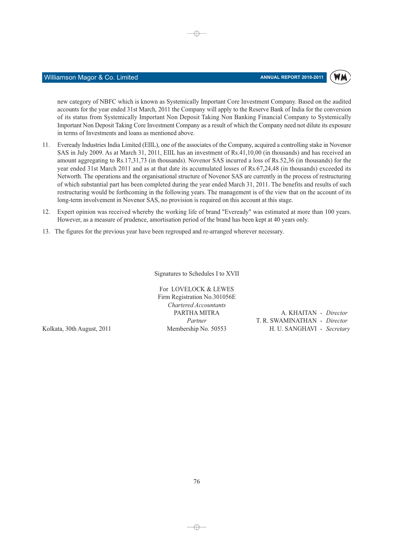#### ANNUAL REPORT 2010-2011



new category of NBFC which is known as Systemically Important Core Investment Company. Based on the audited accounts for the year ended 31st March, 2011 the Company will apply to the Reserve Bank of India for the conversion of its status from Systemically Important Non Deposit Taking Non Banking Financial Company to Systemically Important Non Deposit Taking Core Investment Company as a result of which the Company need not dilute its exposure in terms of Investments and loans as mentioned above.

⊕

- 11. Eveready Industries India Limited (EIIL), one of the associates of the Company, acquired a controlling stake in Novenor SAS in July 2009. As at March 31, 2011, EIIL has an investment of Rs.41,10,00 (in thousands) and has received an amount aggregating to Rs.17,31,73 (in thousands). Novenor SAS incurred a loss of Rs.52,36 (in thousands) for the year ended 31st March 2011 and as at that date its accumulated losses of Rs.67,24,48 (in thousands) exceeded its Networth. The operations and the organisational structure of Novenor SAS are currently in the process of restructuring of which substantial part has been completed during the year ended March 31, 2011. The benefits and results of such restructuring would be forthcoming in the following years. The management is of the view that on the account of its long-term involvement in Novenor SAS, no provision is required on this account at this stage.
- 12. Expert opinion was received whereby the working life of brand "Eveready" was estimated at more than 100 years. However, as a measure of prudence, amortisation period of the brand has been kept at 40 years only.
- 13. The figures for the previous year have been regrouped and re-arranged wherever necessary.

Signatures to Schedules I to XVII

For LOVELOCK & LEWES Firm Registration No.301056E Chartered Accountants PARTHA MITRA Partner Membership No. 50553

Kolkata, 30th August, 2011

Williamson Magor & Co. Limited

A. KHAITAN - Director T. R. SWAMINATHAN - Director H. U. SANGHAVI - Secretary

 $\rightarrow$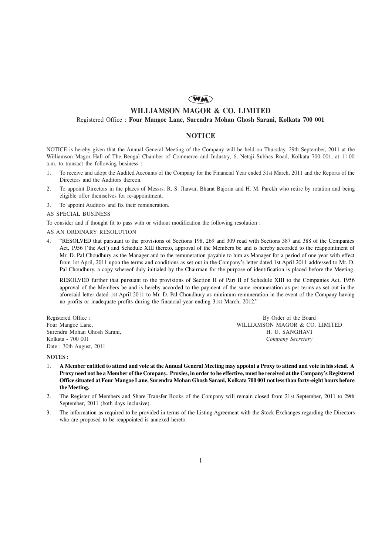## **WM**

## **WILLIAMSON MAGOR & CO. LIMITED**

### Registered Office : **Four Mangoe Lane, Surendra Mohan Ghosh Sarani, Kolkata 700 001**

## **NOTICE**

NOTICE is hereby given that the Annual General Meeting of the Company will be held on Thursday, 29th September, 2011 at the Williamson Magor Hall of The Bengal Chamber of Commerce and Industry, 6, Netaji Subhas Road, Kolkata 700 001, at 11.00 a.m. to transact the following business :

- 1. To receive and adopt the Audited Accounts of the Company for the Financial Year ended 31st March, 2011 and the Reports of the Directors and the Auditors thereon.
- 2. To appoint Directors in the places of Messrs. R. S. Jhawar, Bharat Bajoria and H. M. Parekh who retire by rotation and being eligible offer themselves for re-appointment.
- 3. To appoint Auditors and fix their remuneration.

#### AS SPECIAL BUSINESS

To consider and if thought fit to pass with or without modification the following resolution :

#### AS AN ORDINARY RESOLUTION

4. "RESOLVED that pursuant to the provisions of Sections 198, 269 and 309 read with Sections 387 and 388 of the Companies Act, 1956 ('the Act') and Schedule XIII thereto, approval of the Members be and is hereby accorded to the reappointment of Mr. D. Pal Choudhury as the Manager and to the remuneration payable to him as Manager for a period of one year with effect from 1st April, 2011 upon the terms and conditions as set out in the Company's letter dated 1st April 2011 addressed to Mr. D. Pal Choudhury, a copy whereof duly initialed by the Chairman for the purpose of identification is placed before the Meeting.

RESOLVED further that pursuant to the provisions of Section II of Part II of Schedule XIII to the Companies Act, 1956 approval of the Members be and is hereby accorded to the payment of the same remuneration as per terms as set out in the aforesaid letter dated 1st April 2011 to Mr. D. Pal Choudhury as minimum remuneration in the event of the Company having no profits or inadequate profits during the financial year ending 31st March, 2012."

Date : 30th August, 2011

Registered Office : By Order of the Board<br>
Four Mangoe Lane, By Order of the Board<br>
Four Mangoe Lane, By Order of the Board<br>
Pulled MILLIAMSON MAGOR & CO. WILLIAMSON MAGOR & CO. LIMITED Surendra Mohan Ghosh Sarani, H. U. SANGHAVI Kolkata - 700 001 *Company Secretary*

#### **NOTES :**

- 1. **A Member entitled to attend and vote at the Annual General Meeting may appoint a Proxy to attend and vote in his stead. A Proxy need not be a Member of the Company. Proxies, in order to be effective, must be received at the Company's Registered Office situated at Four Mangoe Lane, Surendra Mohan Ghosh Sarani, Kolkata 700 001 not less than forty-eight hours before the Meeting.**
- 2. The Register of Members and Share Transfer Books of the Company will remain closed from 21st September, 2011 to 29th September, 2011 (both days inclusive).
- 3. The information as required to be provided in terms of the Listing Agreement with the Stock Exchanges regarding the Directors who are proposed to be reappointed is annexed hereto.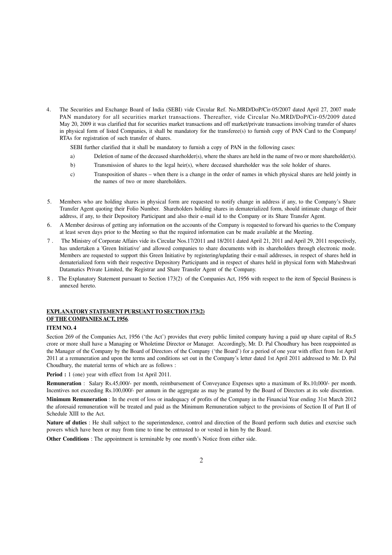4. The Securities and Exchange Board of India (SEBI) vide Circular Ref. No.MRD/DoP/Cir-05/2007 dated April 27, 2007 made PAN mandatory for all securities market transactions. Thereafter, vide Circular No.MRD/DoP/Cir-05/2009 dated May 20, 2009 it was clarified that for securities market transactions and off market/private transactions involving transfer of shares in physical form of listed Companies, it shall be mandatory for the transferee(s) to furnish copy of PAN Card to the Company/ RTAs for registration of such transfer of shares.

SEBI further clarified that it shall be mandatory to furnish a copy of PAN in the following cases:

- a) Deletion of name of the deceased shareholder(s), where the shares are held in the name of two or more shareholder(s).
- b) Transmission of shares to the legal heir(s), where deceased shareholder was the sole holder of shares.
- c) Transposition of shares when there is a change in the order of names in which physical shares are held jointly in the names of two or more shareholders.
- 5. Members who are holding shares in physical form are requested to notify change in address if any, to the Company's Share Transfer Agent quoting their Folio Number. Shareholders holding shares in dematerialized form, should intimate change of their address, if any, to their Depository Participant and also their e-mail id to the Company or its Share Transfer Agent.
- 6. A Member desirous of getting any information on the accounts of the Company is requested to forward his queries to the Company at least seven days prior to the Meeting so that the required information can be made available at the Meeting.
- 7 . The Ministry of Corporate Affairs vide its Circular Nos. 17/2011 and 18/2011 dated April 21, 2011 and April 29, 2011 respectively, has undertaken a 'Green Initiative' and allowed companies to share documents with its shareholders through electronic mode. Members are requested to support this Green Initiative by registering/updating their e-mail addresses, in respect of shares held in dematerialized form with their respective Depository Participants and in respect of shares held in physical form with Maheshwari Datamatics Private Limited, the Registrar and Share Transfer Agent of the Company.
- 8 . The Explanatory Statement pursuant to Section 173(2) of the Companies Act, 1956 with respect to the item of Special Business is annexed hereto.

# **EXPLANATORY STATEMENT PURSUANT TO SECTION 173(2) OF THE COMPANIES ACT, 1956**.

#### **ITEM NO. 4**

Section 269 of the Companies Act, 1956 ('the Act') provides that every public limited company having a paid up share capital of Rs.5 crore or more shall have a Managing or Wholetime Director or Manager. Accordingly, Mr. D. Pal Choudhury has been reappointed as the Manager of the Company by the Board of Directors of the Company ('the Board') for a period of one year with effect from 1st April 2011 at a remuneration and upon the terms and conditions set out in the Company's letter dated 1st April 2011 addressed to Mr. D. Pal Choudhury, the material terms of which are as follows :

**Period :** 1 (one) year with effect from 1st April 2011.

**Remuneration** : Salary Rs.45,000/- per month, reimbursement of Conveyance Expenses upto a maximum of Rs.10,000/- per month. Incentives not exceeding Rs.100,000/- per annum in the aggregate as may be granted by the Board of Directors at its sole discretion.

**Minimum Remuneration** : In the event of loss or inadequacy of profits of the Company in the Financial Year ending 31st March 2012 the aforesaid remuneration will be treated and paid as the Minimum Remuneration subject to the provisions of Section II of Part II of Schedule XIII to the Act.

Nature of duties : He shall subject to the superintendence, control and direction of the Board perform such duties and exercise such powers which have been or may from time to time be entrusted to or vested in him by the Board.

**Other Conditions** : The appointment is terminable by one month's Notice from either side.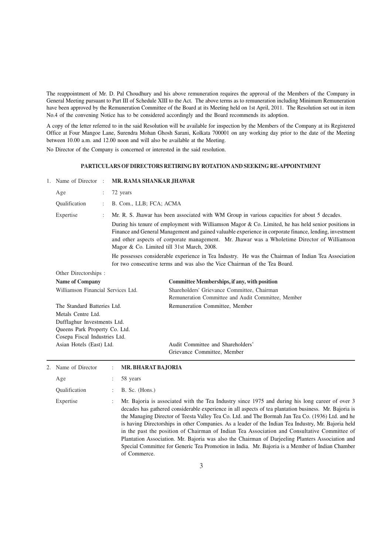The reappointment of Mr. D. Pal Choudhury and his above remuneration requires the approval of the Members of the Company in General Meeting pursuant to Part III of Schedule XIII to the Act. The above terms as to remuneration including Minimum Remuneration have been approved by the Remuneration Committee of the Board at its Meeting held on 1st April, 2011. The Resolution set out in item No.4 of the convening Notice has to be considered accordingly and the Board recommends its adoption.

A copy of the letter referred to in the said Resolution will be available for inspection by the Members of the Company at its Registered Office at Four Mangoe Lane, Surendra Mohan Ghosh Sarani, Kolkata 700001 on any working day prior to the date of the Meeting between 10.00 a.m. and 12.00 noon and will also be available at the Meeting.

No Director of the Company is concerned or interested in the said resolution.

#### **PARTICULARS OF DIRECTORS RETIRING BY ROTATION AND SEEKING RE-APPOINTMENT**

| Age<br>72 years<br>Qualification<br>B. Com., LLB; FCA; ACMA<br>Expertise<br>Magor & Co. Limited till 31st March, 2008.<br>Other Directorships:<br><b>Name of Company</b><br>Williamson Financial Services Ltd.<br>The Standard Batteries Ltd.<br>Metals Centre Ltd.<br>Dufflaghur Investments Ltd.<br>Queens Park Property Co. Ltd.<br>Cosepa Fiscal Industries Ltd. | Mr. R. S. Jhawar has been associated with WM Group in various capacities for about 5 decades.<br>During his tenure of employment with Williamson Magor & Co. Limited, he has held senior positions in<br>Finance and General Management and gained valuable experience in corporate finance, lending, investment<br>and other aspects of corporate management. Mr. Jhawar was a Wholetime Director of Williamson<br>He possesses considerable experience in Tea Industry. He was the Chairman of Indian Tea Association<br>for two consecutive terms and was also the Vice Chairman of the Tea Board.<br><b>Committee Memberships, if any, with position</b><br>Shareholders' Grievance Committee, Chairman<br>Remuneration Committee and Audit Committee, Member |  |  |
|----------------------------------------------------------------------------------------------------------------------------------------------------------------------------------------------------------------------------------------------------------------------------------------------------------------------------------------------------------------------|-------------------------------------------------------------------------------------------------------------------------------------------------------------------------------------------------------------------------------------------------------------------------------------------------------------------------------------------------------------------------------------------------------------------------------------------------------------------------------------------------------------------------------------------------------------------------------------------------------------------------------------------------------------------------------------------------------------------------------------------------------------------|--|--|
|                                                                                                                                                                                                                                                                                                                                                                      |                                                                                                                                                                                                                                                                                                                                                                                                                                                                                                                                                                                                                                                                                                                                                                   |  |  |
|                                                                                                                                                                                                                                                                                                                                                                      |                                                                                                                                                                                                                                                                                                                                                                                                                                                                                                                                                                                                                                                                                                                                                                   |  |  |
|                                                                                                                                                                                                                                                                                                                                                                      |                                                                                                                                                                                                                                                                                                                                                                                                                                                                                                                                                                                                                                                                                                                                                                   |  |  |
|                                                                                                                                                                                                                                                                                                                                                                      |                                                                                                                                                                                                                                                                                                                                                                                                                                                                                                                                                                                                                                                                                                                                                                   |  |  |
|                                                                                                                                                                                                                                                                                                                                                                      |                                                                                                                                                                                                                                                                                                                                                                                                                                                                                                                                                                                                                                                                                                                                                                   |  |  |
|                                                                                                                                                                                                                                                                                                                                                                      | Remuneration Committee, Member                                                                                                                                                                                                                                                                                                                                                                                                                                                                                                                                                                                                                                                                                                                                    |  |  |
| Asian Hotels (East) Ltd.                                                                                                                                                                                                                                                                                                                                             | Audit Committee and Shareholders'<br>Grievance Committee, Member                                                                                                                                                                                                                                                                                                                                                                                                                                                                                                                                                                                                                                                                                                  |  |  |
| Name of Director<br><b>MR. BHARAT BAJORIA</b>                                                                                                                                                                                                                                                                                                                        |                                                                                                                                                                                                                                                                                                                                                                                                                                                                                                                                                                                                                                                                                                                                                                   |  |  |
| 58 years<br>Age                                                                                                                                                                                                                                                                                                                                                      |                                                                                                                                                                                                                                                                                                                                                                                                                                                                                                                                                                                                                                                                                                                                                                   |  |  |
| Qualification<br>$B.$ Sc. (Hons.)                                                                                                                                                                                                                                                                                                                                    |                                                                                                                                                                                                                                                                                                                                                                                                                                                                                                                                                                                                                                                                                                                                                                   |  |  |
| Expertise                                                                                                                                                                                                                                                                                                                                                            | Mr. Bajoria is associated with the Tea Industry since 1975 and during his long career of over 3<br>decades has gathered considerable experience in all aspects of tea plantation business. Mr. Bajoria is<br>the Managing Director of Teesta Valley Tea Co. Ltd. and The Bormah Jan Tea Co. (1936) Ltd. and he<br>is having Directorships in other Companies. As a leader of the Indian Tea Industry, Mr. Bajoria held<br>in the past the position of Chairman of Indian Tea Association and Consultative Committee of<br>Plantation Association. Mr. Bajoria was also the Chairman of Darjeeling Planters Association and<br>Special Committee for Generic Tea Promotion in India. Mr. Bajoria is a Member of Indian Chamber<br>of Commerce.                     |  |  |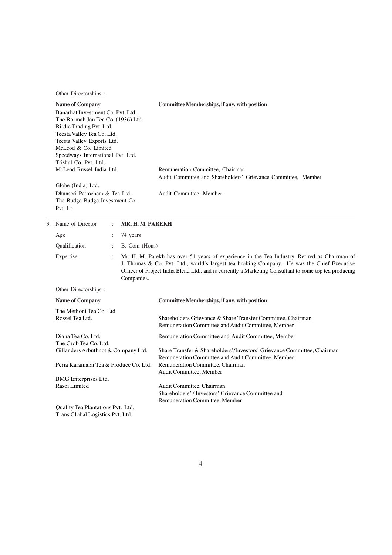Other Directorships :

Trans Global Logistics Pvt. Ltd.

| <b>Name of Company</b><br>Banarhat Investment Co. Pvt. Ltd.<br>The Bormah Jan Tea Co. (1936) Ltd.<br>Birdie Trading Pvt. Ltd.<br>Teesta Valley Tea Co. Ltd.<br>Teesta Valley Exports Ltd.<br>McLeod & Co. Limited<br>Speedways International Pvt. Ltd.<br>Trishul Co. Pvt. Ltd.<br>McLeod Russel India Ltd.<br>Globe (India) Ltd. |                                                                                    |                  | <b>Committee Memberships, if any, with position</b><br>Remuneration Committee, Chairman<br>Audit Committee and Shareholders' Grievance Committee, Member |                                                                                                                                                                                                                                                                                                      |  |  |
|-----------------------------------------------------------------------------------------------------------------------------------------------------------------------------------------------------------------------------------------------------------------------------------------------------------------------------------|------------------------------------------------------------------------------------|------------------|----------------------------------------------------------------------------------------------------------------------------------------------------------|------------------------------------------------------------------------------------------------------------------------------------------------------------------------------------------------------------------------------------------------------------------------------------------------------|--|--|
|                                                                                                                                                                                                                                                                                                                                   | Dhunseri Petrochem & Tea Ltd.<br>The Budge Budge Investment Co.<br>Pvt. Lt         |                  |                                                                                                                                                          | Audit Committee, Member                                                                                                                                                                                                                                                                              |  |  |
|                                                                                                                                                                                                                                                                                                                                   | 3. Name of Director                                                                | MR. H. M. PAREKH |                                                                                                                                                          |                                                                                                                                                                                                                                                                                                      |  |  |
|                                                                                                                                                                                                                                                                                                                                   | Age                                                                                | $\ddot{\cdot}$   | 74 years                                                                                                                                                 |                                                                                                                                                                                                                                                                                                      |  |  |
|                                                                                                                                                                                                                                                                                                                                   | Qualification                                                                      | ÷                | B. Com (Hons)                                                                                                                                            |                                                                                                                                                                                                                                                                                                      |  |  |
|                                                                                                                                                                                                                                                                                                                                   | Expertise<br>$\ddot{\phantom{0}}$<br>Companies.                                    |                  |                                                                                                                                                          | Mr. H. M. Parekh has over 51 years of experience in the Tea Industry. Retired as Chairman of<br>J. Thomas & Co. Pvt. Ltd., world's largest tea broking Company. He was the Chief Executive<br>Officer of Project India Blend Ltd., and is currently a Marketing Consultant to some top tea producing |  |  |
|                                                                                                                                                                                                                                                                                                                                   | Other Directorships:                                                               |                  |                                                                                                                                                          |                                                                                                                                                                                                                                                                                                      |  |  |
|                                                                                                                                                                                                                                                                                                                                   | Name of Company                                                                    |                  |                                                                                                                                                          | Committee Memberships, if any, with position                                                                                                                                                                                                                                                         |  |  |
|                                                                                                                                                                                                                                                                                                                                   | The Methoni Tea Co. Ltd.<br>Rossel Tea Ltd.                                        |                  |                                                                                                                                                          | Shareholders Grievance & Share Transfer Committee, Chairman<br>Remuneration Committee and Audit Committee, Member                                                                                                                                                                                    |  |  |
|                                                                                                                                                                                                                                                                                                                                   | Diana Tea Co. Ltd.<br>The Grob Tea Co. Ltd.<br>Gillanders Arbuthnot & Company Ltd. |                  |                                                                                                                                                          | Remuneration Committee and Audit Committee, Member<br>Share Transfer & Shareholders'/Investors' Grievance Committee, Chairman                                                                                                                                                                        |  |  |
|                                                                                                                                                                                                                                                                                                                                   | Peria Karamalai Tea & Produce Co. Ltd.                                             |                  |                                                                                                                                                          | Remuneration Committee and Audit Committee, Member<br>Remuneration Committee, Chairman<br>Audit Committee, Member                                                                                                                                                                                    |  |  |
|                                                                                                                                                                                                                                                                                                                                   | BMG Enterprises Ltd.<br>Rasoi Limited                                              |                  |                                                                                                                                                          | Audit Committee, Chairman<br>Shareholders' / Investors' Grievance Committee and<br>Remuneration Committee, Member                                                                                                                                                                                    |  |  |
|                                                                                                                                                                                                                                                                                                                                   | Quality Tea Plantations Pvt. Ltd.                                                  |                  |                                                                                                                                                          |                                                                                                                                                                                                                                                                                                      |  |  |

4